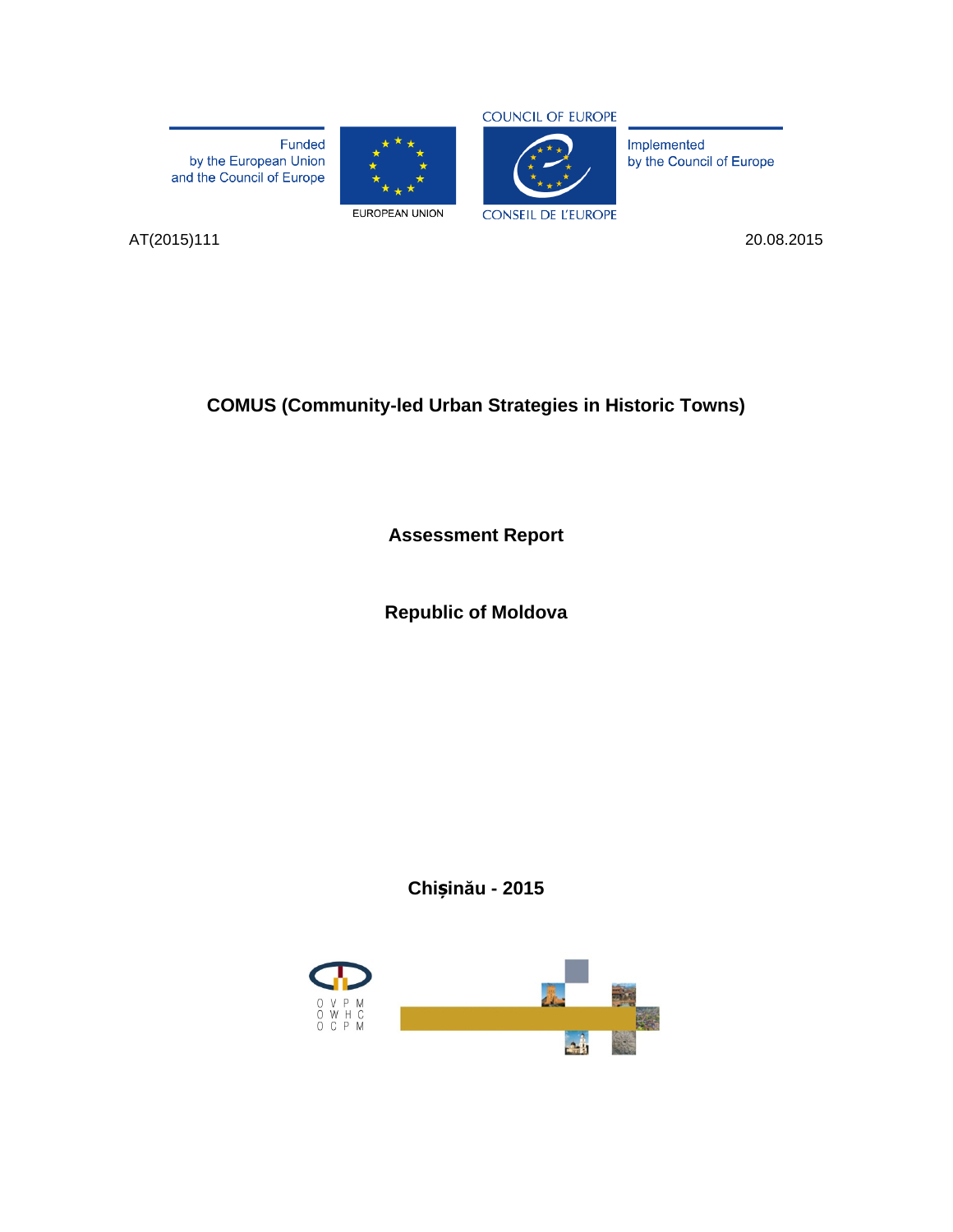Funded by the European Union<br>and the Council of Europe





Implemented by the Council of Europe

AT(2015)111 20.08.2015

**COMUS (Community-led Urban Strategies in Historic Towns)**

**Assessment Report**

**Republic of Moldova**

**Chișinău - 2015**

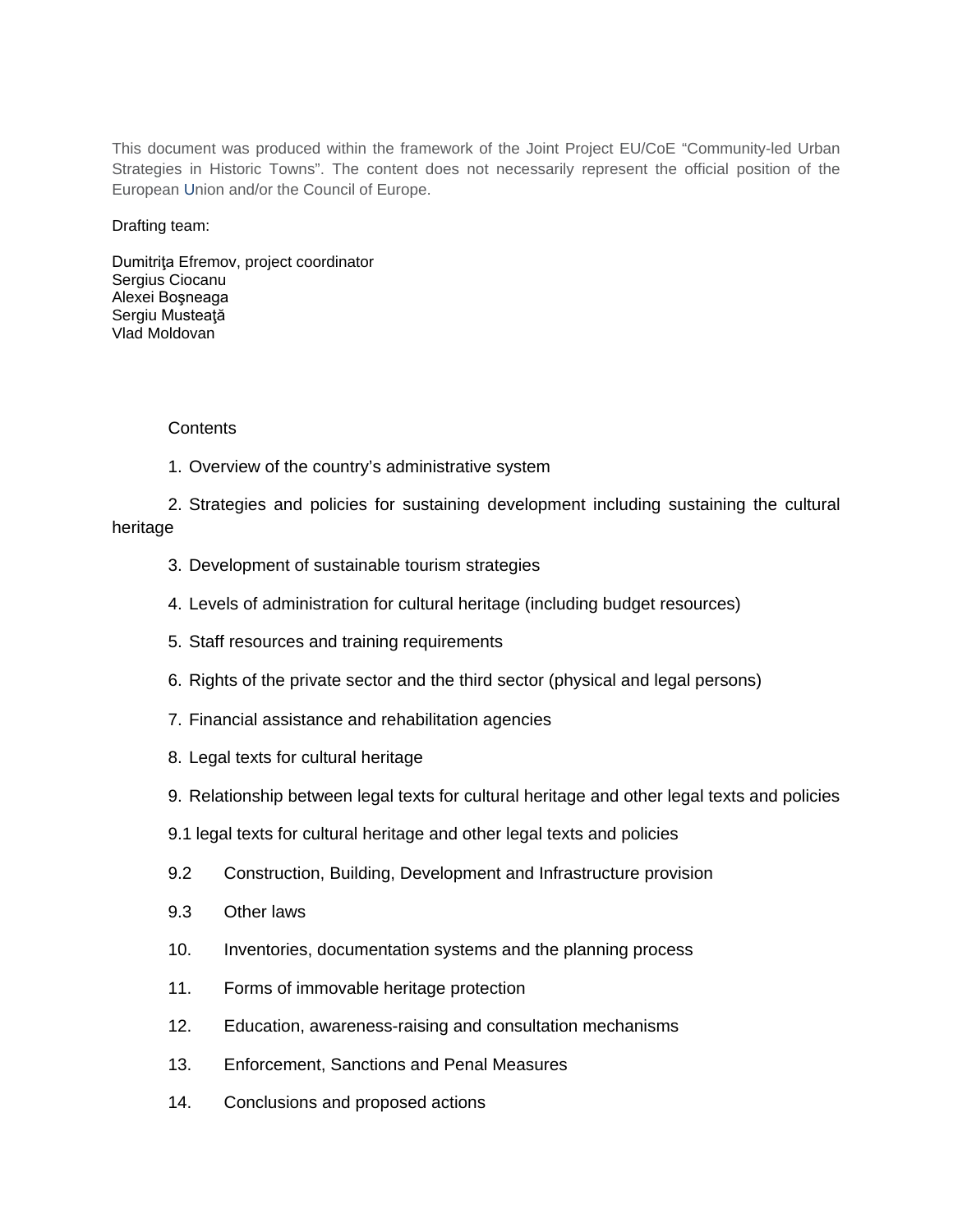This document was produced within the framework of the Joint Project EU/CoE "Community-led Urban Strategies in Historic Towns". The content does not necessarily represent the official position of the European Union and/or the Council of Europe.

Drafting team:

Dumitriţa Efremov, project coordinator Sergius Ciocanu Alexei Boşneaga Sergiu Musteaţă Vlad Moldovan

## Contents

1. Overview of the country's administrative system

2. Strategies and policies for sustaining development including sustaining the cultural heritage

- 3. Development of sustainable tourism strategies
- 4. Levels of administration for cultural heritage (including budget resources)
- 5. Staff resources and training requirements
- 6. Rights of the private sector and the third sector (physical and legal persons)
- 7. Financial assistance and rehabilitation agencies
- 8. Legal texts for cultural heritage
- 9. Relationship between legal texts for cultural heritage and other legal texts and policies
- 9.1 legal texts for cultural heritage and other legal texts and policies
- 9.2 Construction, Building, Development and Infrastructure provision
- 9.3 Other laws
- 10. Inventories, documentation systems and the planning process
- 11. Forms of immovable heritage protection
- 12. Education, awareness-raising and consultation mechanisms
- 13. Enforcement, Sanctions and Penal Measures
- 14. Conclusions and proposed actions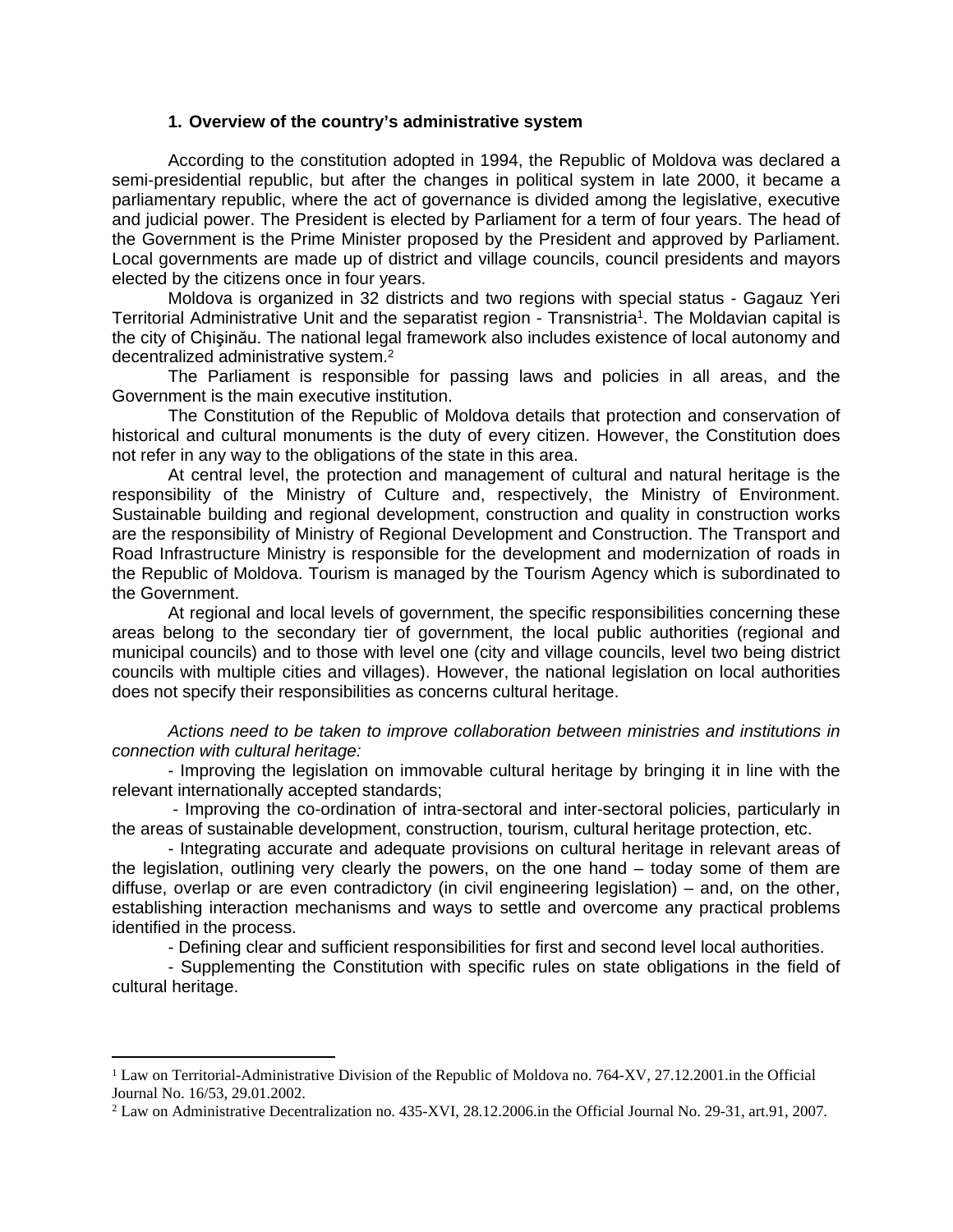#### **1. Overview of the country's administrative system**

According to the constitution adopted in 1994, the Republic of Moldova was declared a semi-presidential republic, but after the changes in political system in late 2000, it became a parliamentary republic, where the act of governance is divided among the legislative, executive and judicial power. The President is elected by Parliament for a term of four years. The head of the Government is the Prime Minister proposed by the President and approved by Parliament. Local governments are made up of district and village councils, council presidents and mayors elected by the citizens once in four years.

Moldova is organized in 32 districts and two regions with special status - Gagauz Yeri Territorial Administrative Unit and the separatist region - Transnistria<sup>1</sup>. The Moldavian capital is the city of Chişinău. The national legal framework also includes existence of local autonomy and decentralized administrative system.<sup>2</sup>

The Parliament is responsible for passing laws and policies in all areas, and the Government is the main executive institution.

The Constitution of the Republic of Moldova details that protection and conservation of historical and cultural monuments is the duty of every citizen. However, the Constitution does not refer in any way to the obligations of the state in this area.

At central level, the protection and management of cultural and natural heritage is the responsibility of the Ministry of Culture and, respectively, the Ministry of Environment. Sustainable building and regional development, construction and quality in construction works are the responsibility of Ministry of Regional Development and Construction. The Transport and Road Infrastructure Ministry is responsible for the development and modernization of roads in the Republic of Moldova. Tourism is managed by the Tourism Agency which is subordinated to the Government.

At regional and local levels of government, the specific responsibilities concerning these areas belong to the secondary tier of government, the local public authorities (regional and municipal councils) and to those with level one (city and village councils, level two being district councils with multiple cities and villages). However, the national legislation on local authorities does not specify their responsibilities as concerns cultural heritage.

*Actions need to be taken to improve collaboration between ministries and institutions in connection with cultural heritage:* 

- Improving the legislation on immovable cultural heritage by bringing it in line with the relevant internationally accepted standards;

 - Improving the co-ordination of intra-sectoral and inter-sectoral policies, particularly in the areas of sustainable development, construction, tourism, cultural heritage protection, etc.

- Integrating accurate and adequate provisions on cultural heritage in relevant areas of the legislation, outlining very clearly the powers, on the one hand – today some of them are diffuse, overlap or are even contradictory (in civil engineering legislation) – and, on the other, establishing interaction mechanisms and ways to settle and overcome any practical problems identified in the process.

- Defining clear and sufficient responsibilities for first and second level local authorities.

- Supplementing the Constitution with specific rules on state obligations in the field of cultural heritage.

<sup>&</sup>lt;sup>1</sup> Law on Territorial-Administrative Division of the Republic of Moldova no. 764-XV, 27.12.2001.in the Official Journal No. 16/53, 29.01.2002.

<sup>2</sup> Law on Administrative Decentralization no. 435-XVI, 28.12.2006.in the Official Journal No. 29-31, art.91, 2007.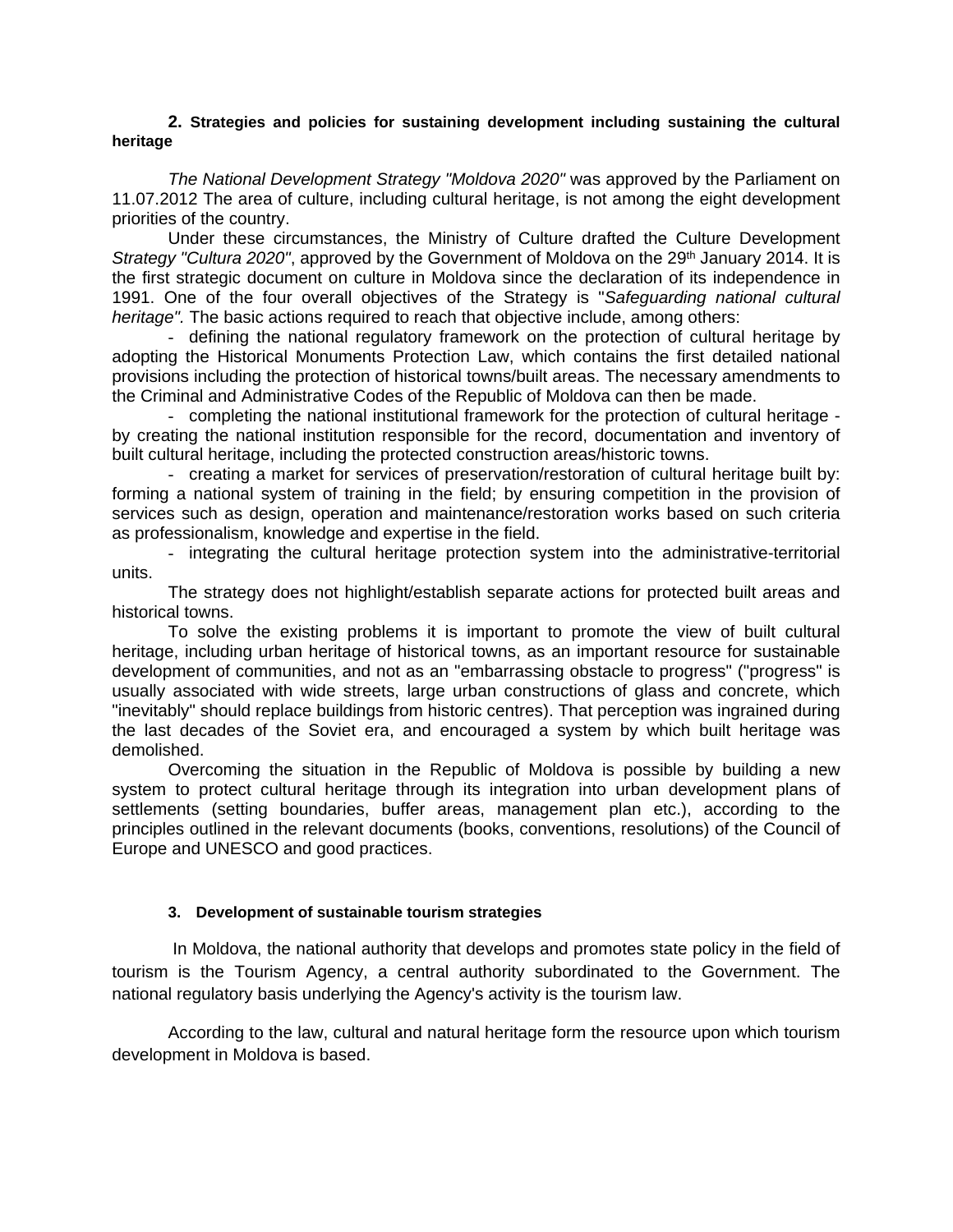#### **2. Strategies and policies for sustaining development including sustaining the cultural heritage**

*The National Development Strategy "Moldova 2020"* was approved by the Parliament on 11.07.2012 The area of culture, including cultural heritage, is not among the eight development priorities of the country.

Under these circumstances, the Ministry of Culture drafted the Culture Development *Strategy "Cultura 2020"*, approved by the Government of Moldova on the 29<sup>th</sup> January 2014. It is the first strategic document on culture in Moldova since the declaration of its independence in 1991. One of the four overall objectives of the Strategy is "*Safeguarding national cultural heritage".* The basic actions required to reach that objective include, among others:

- defining the national regulatory framework on the protection of cultural heritage by adopting the Historical Monuments Protection Law, which contains the first detailed national provisions including the protection of historical towns/built areas. The necessary amendments to the Criminal and Administrative Codes of the Republic of Moldova can then be made.

- completing the national institutional framework for the protection of cultural heritage by creating the national institution responsible for the record, documentation and inventory of built cultural heritage, including the protected construction areas/historic towns.

- creating a market for services of preservation/restoration of cultural heritage built by: forming a national system of training in the field; by ensuring competition in the provision of services such as design, operation and maintenance/restoration works based on such criteria as professionalism, knowledge and expertise in the field.

- integrating the cultural heritage protection system into the administrative-territorial units.

The strategy does not highlight/establish separate actions for protected built areas and historical towns.

To solve the existing problems it is important to promote the view of built cultural heritage, including urban heritage of historical towns, as an important resource for sustainable development of communities, and not as an "embarrassing obstacle to progress" ("progress" is usually associated with wide streets, large urban constructions of glass and concrete, which "inevitably" should replace buildings from historic centres). That perception was ingrained during the last decades of the Soviet era, and encouraged a system by which built heritage was demolished.

Overcoming the situation in the Republic of Moldova is possible by building a new system to protect cultural heritage through its integration into urban development plans of settlements (setting boundaries, buffer areas, management plan etc.), according to the principles outlined in the relevant documents (books, conventions, resolutions) of the Council of Europe and UNESCO and good practices.

## **3. Development of sustainable tourism strategies**

 In Moldova, the national authority that develops and promotes state policy in the field of tourism is the Tourism Agency, a central authority subordinated to the Government. The national regulatory basis underlying the Agency's activity is the tourism law.

According to the law, cultural and natural heritage form the resource upon which tourism development in Moldova is based.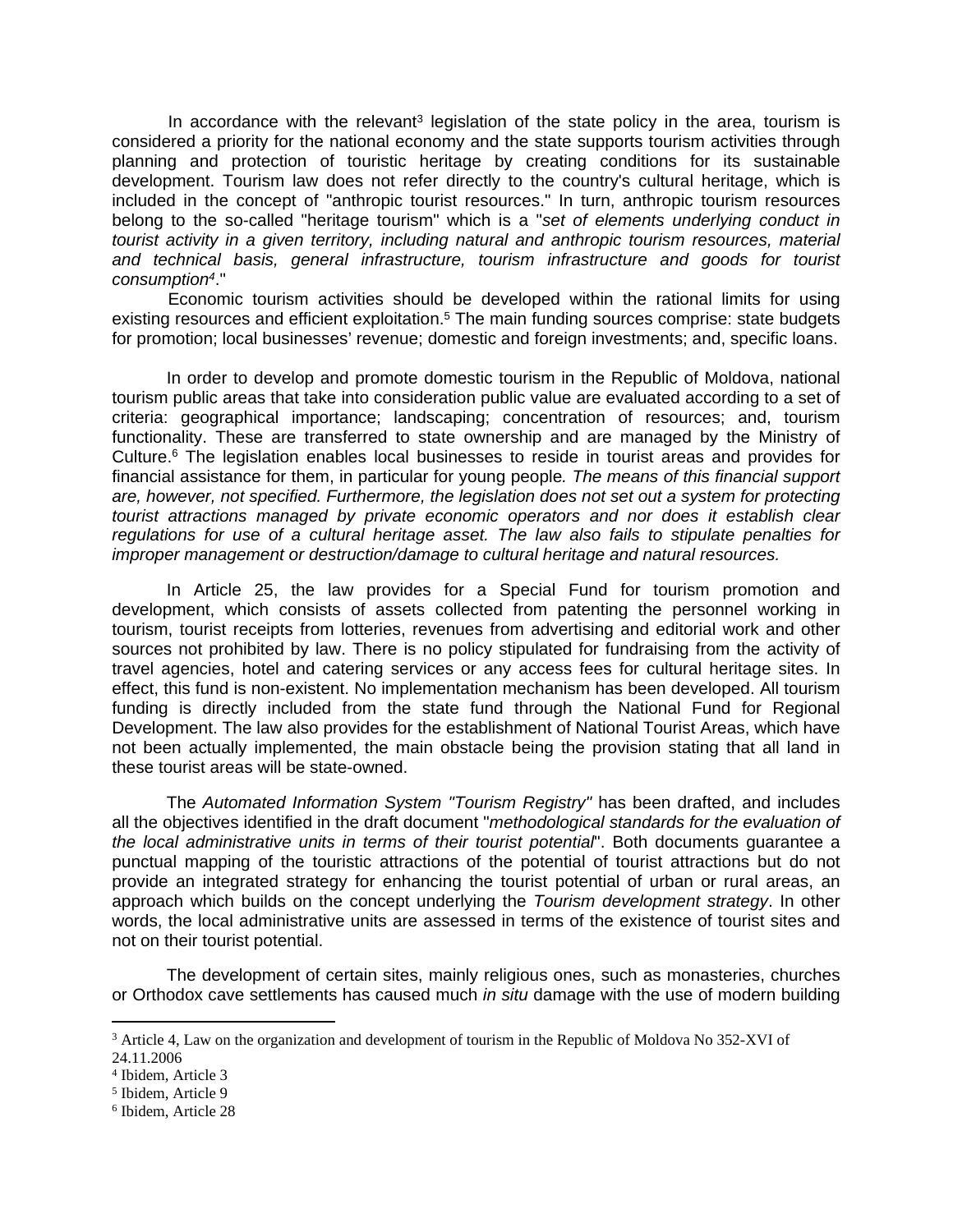In accordance with the relevant<sup>3</sup> legislation of the state policy in the area, tourism is considered a priority for the national economy and the state supports tourism activities through planning and protection of touristic heritage by creating conditions for its sustainable development. Tourism law does not refer directly to the country's cultural heritage, which is included in the concept of "anthropic tourist resources." In turn, anthropic tourism resources belong to the so-called "heritage tourism" which is a "*set of elements underlying conduct in tourist activity in a given territory, including natural and anthropic tourism resources, material and technical basis, general infrastructure, tourism infrastructure and goods for tourist consumption<sup>4</sup>* ."

Economic tourism activities should be developed within the rational limits for using existing resources and efficient exploitation.<sup>5</sup> The main funding sources comprise: state budgets for promotion; local businesses' revenue; domestic and foreign investments; and, specific loans.

In order to develop and promote domestic tourism in the Republic of Moldova, national tourism public areas that take into consideration public value are evaluated according to a set of criteria: geographical importance; landscaping; concentration of resources; and, tourism functionality. These are transferred to state ownership and are managed by the Ministry of Culture.<sup>6</sup> The legislation enables local businesses to reside in tourist areas and provides for financial assistance for them, in particular for young people*. The means of this financial support are, however, not specified. Furthermore, the legislation does not set out a system for protecting tourist attractions managed by private economic operators and nor does it establish clear regulations for use of a cultural heritage asset. The law also fails to stipulate penalties for improper management or destruction/damage to cultural heritage and natural resources.*

In Article 25, the law provides for a Special Fund for tourism promotion and development, which consists of assets collected from patenting the personnel working in tourism, tourist receipts from lotteries, revenues from advertising and editorial work and other sources not prohibited by law. There is no policy stipulated for fundraising from the activity of travel agencies, hotel and catering services or any access fees for cultural heritage sites. In effect, this fund is non-existent. No implementation mechanism has been developed. All tourism funding is directly included from the state fund through the National Fund for Regional Development. The law also provides for the establishment of National Tourist Areas, which have not been actually implemented, the main obstacle being the provision stating that all land in these tourist areas will be state-owned.

The *Automated Information System "Tourism Registry"* has been drafted, and includes all the objectives identified in the draft document "*methodological standards for the evaluation of the local administrative units in terms of their tourist potential*". Both documents guarantee a punctual mapping of the touristic attractions of the potential of tourist attractions but do not provide an integrated strategy for enhancing the tourist potential of urban or rural areas, an approach which builds on the concept underlying the *Tourism development strategy*. In other words, the local administrative units are assessed in terms of the existence of tourist sites and not on their tourist potential.

The development of certain sites, mainly religious ones, such as monasteries, churches or Orthodox cave settlements has caused much *in situ* damage with the use of modern building

<sup>&</sup>lt;sup>3</sup> Article 4, Law on the organization and development of tourism in the Republic of Moldova No 352-XVI of 24.11.2006

<sup>4</sup> Ibidem, Article 3

<sup>5</sup> Ibidem, Article 9

<sup>6</sup> Ibidem, Article 28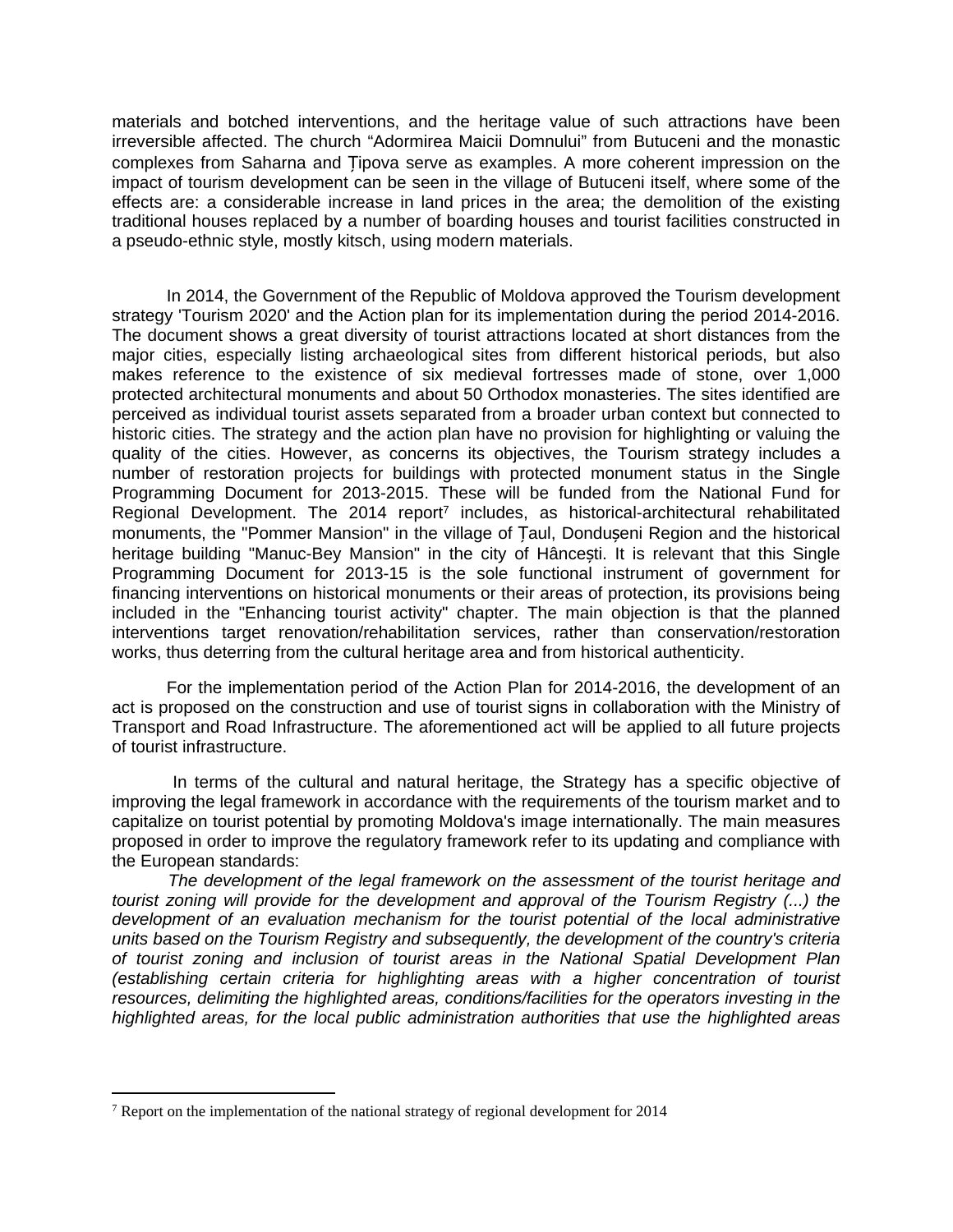materials and botched interventions, and the heritage value of such attractions have been irreversible affected. The church "Adormirea Maicii Domnului" from Butuceni and the monastic complexes from Saharna and Țipova serve as examples. A more coherent impression on the impact of tourism development can be seen in the village of Butuceni itself, where some of the effects are: a considerable increase in land prices in the area; the demolition of the existing traditional houses replaced by a number of boarding houses and tourist facilities constructed in a pseudo-ethnic style, mostly kitsch, using modern materials.

In 2014, the Government of the Republic of Moldova approved the Tourism development strategy 'Tourism 2020' and the Action plan for its implementation during the period 2014-2016. The document shows a great diversity of tourist attractions located at short distances from the major cities, especially listing archaeological sites from different historical periods, but also makes reference to the existence of six medieval fortresses made of stone, over 1,000 protected architectural monuments and about 50 Orthodox monasteries. The sites identified are perceived as individual tourist assets separated from a broader urban context but connected to historic cities. The strategy and the action plan have no provision for highlighting or valuing the quality of the cities. However, as concerns its objectives, the Tourism strategy includes a number of restoration projects for buildings with protected monument status in the Single Programming Document for 2013-2015. These will be funded from the National Fund for Regional Development. The 2014 report<sup>7</sup> includes, as historical-architectural rehabilitated monuments, the "Pommer Mansion" in the village of Țaul, Dondușeni Region and the historical heritage building "Manuc-Bey Mansion" in the city of Hâncesti. It is relevant that this Single Programming Document for 2013-15 is the sole functional instrument of government for financing interventions on historical monuments or their areas of protection, its provisions being included in the "Enhancing tourist activity" chapter. The main objection is that the planned interventions target renovation/rehabilitation services, rather than conservation/restoration works, thus deterring from the cultural heritage area and from historical authenticity.

For the implementation period of the Action Plan for 2014-2016, the development of an act is proposed on the construction and use of tourist signs in collaboration with the Ministry of Transport and Road Infrastructure. The aforementioned act will be applied to all future projects of tourist infrastructure.

 In terms of the cultural and natural heritage, the Strategy has a specific objective of improving the legal framework in accordance with the requirements of the tourism market and to capitalize on tourist potential by promoting Moldova's image internationally. The main measures proposed in order to improve the regulatory framework refer to its updating and compliance with the European standards:

*The development of the legal framework on the assessment of the tourist heritage and tourist zoning will provide for the development and approval of the Tourism Registry (...) the development of an evaluation mechanism for the tourist potential of the local administrative units based on the Tourism Registry and subsequently, the development of the country's criteria of tourist zoning and inclusion of tourist areas in the National Spatial Development Plan (establishing certain criteria for highlighting areas with a higher concentration of tourist resources, delimiting the highlighted areas, conditions/facilities for the operators investing in the highlighted areas, for the local public administration authorities that use the highlighted areas* 

<sup>&</sup>lt;sup>7</sup> Report on the implementation of the national strategy of regional development for 2014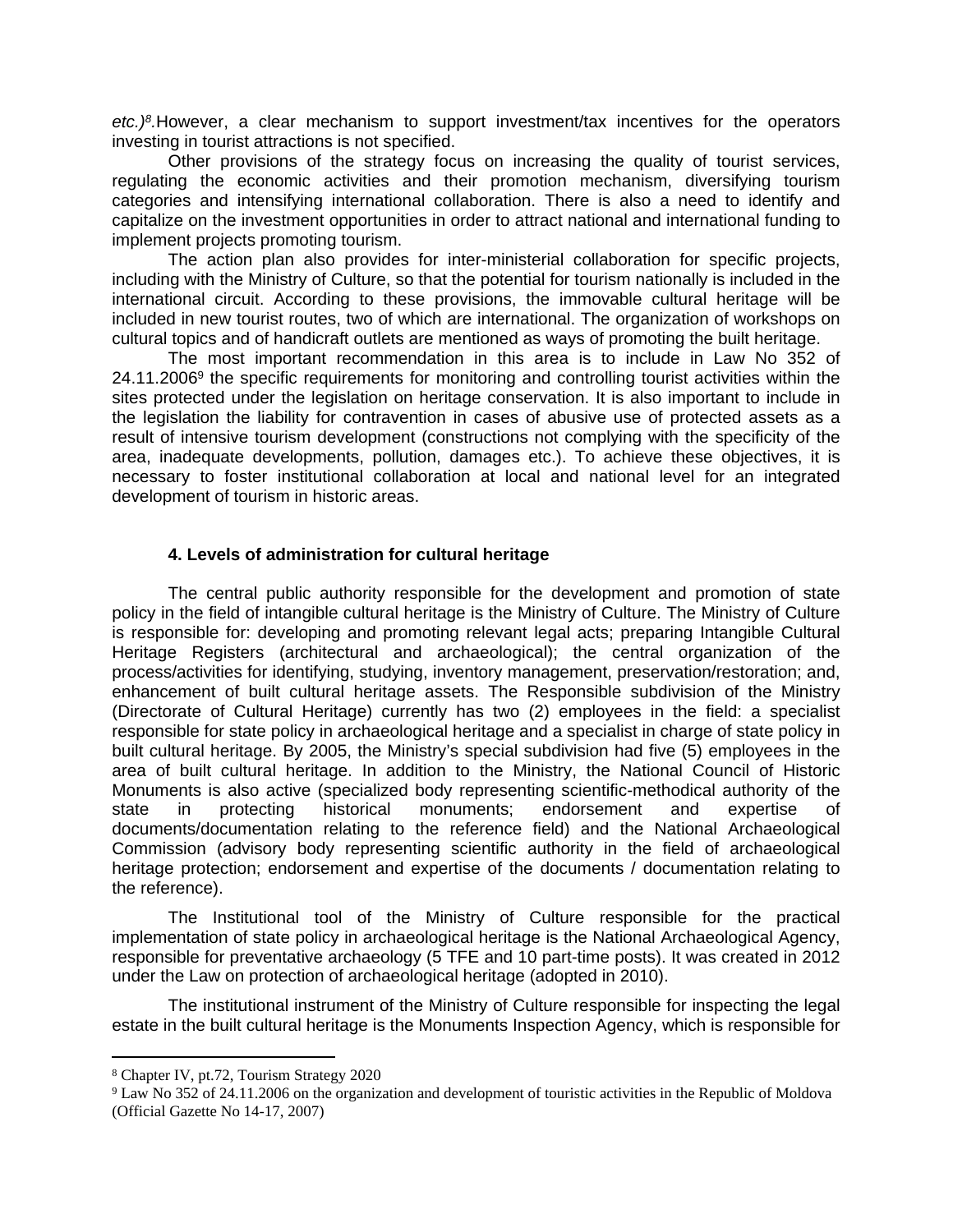*etc.)<sup>8</sup> .*However, a clear mechanism to support investment/tax incentives for the operators investing in tourist attractions is not specified.

Other provisions of the strategy focus on increasing the quality of tourist services, regulating the economic activities and their promotion mechanism, diversifying tourism categories and intensifying international collaboration. There is also a need to identify and capitalize on the investment opportunities in order to attract national and international funding to implement projects promoting tourism.

The action plan also provides for inter-ministerial collaboration for specific projects, including with the Ministry of Culture, so that the potential for tourism nationally is included in the international circuit. According to these provisions, the immovable cultural heritage will be included in new tourist routes, two of which are international. The organization of workshops on cultural topics and of handicraft outlets are mentioned as ways of promoting the built heritage.

The most important recommendation in this area is to include in Law No 352 of 24.11.2006<sup>9</sup> the specific requirements for monitoring and controlling tourist activities within the sites protected under the legislation on heritage conservation. It is also important to include in the legislation the liability for contravention in cases of abusive use of protected assets as a result of intensive tourism development (constructions not complying with the specificity of the area, inadequate developments, pollution, damages etc.). To achieve these objectives, it is necessary to foster institutional collaboration at local and national level for an integrated development of tourism in historic areas.

## **4. Levels of administration for cultural heritage**

The central public authority responsible for the development and promotion of state policy in the field of intangible cultural heritage is the Ministry of Culture. The Ministry of Culture is responsible for: developing and promoting relevant legal acts; preparing Intangible Cultural Heritage Registers (architectural and archaeological); the central organization of the process/activities for identifying, studying, inventory management, preservation/restoration; and, enhancement of built cultural heritage assets. The Responsible subdivision of the Ministry (Directorate of Cultural Heritage) currently has two (2) employees in the field: a specialist responsible for state policy in archaeological heritage and a specialist in charge of state policy in built cultural heritage. By 2005, the Ministry's special subdivision had five (5) employees in the area of built cultural heritage. In addition to the Ministry, the National Council of Historic Monuments is also active (specialized body representing scientific-methodical authority of the state in protecting historical monuments; endorsement and expertise documents/documentation relating to the reference field) and the National Archaeological Commission (advisory body representing scientific authority in the field of archaeological heritage protection; endorsement and expertise of the documents / documentation relating to the reference).

The Institutional tool of the Ministry of Culture responsible for the practical implementation of state policy in archaeological heritage is the National Archaeological Agency, responsible for preventative archaeology (5 TFE and 10 part-time posts). It was created in 2012 under the Law on protection of archaeological heritage (adopted in 2010).

The institutional instrument of the Ministry of Culture responsible for inspecting the legal estate in the built cultural heritage is the Monuments Inspection Agency, which is responsible for

<sup>8</sup> Chapter IV, pt.72, Tourism Strategy 2020

<sup>&</sup>lt;sup>9</sup> Law No 352 of 24.11.2006 on the organization and development of touristic activities in the Republic of Moldova (Official Gazette No 14-17, 2007)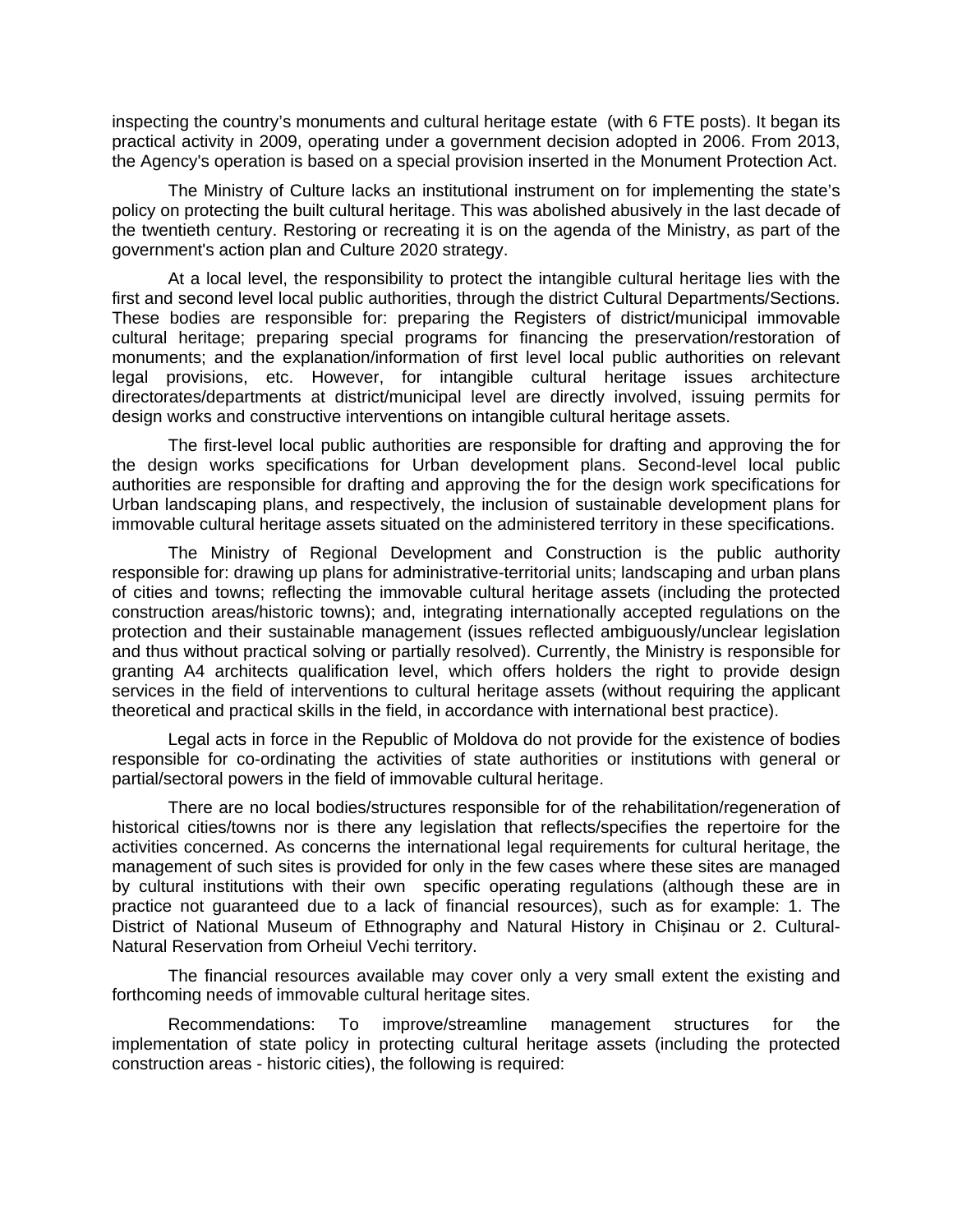inspecting the country's monuments and cultural heritage estate (with 6 FTE posts). It began its practical activity in 2009, operating under a government decision adopted in 2006. From 2013, the Agency's operation is based on a special provision inserted in the Monument Protection Act.

The Ministry of Culture lacks an institutional instrument on for implementing the state's policy on protecting the built cultural heritage. This was abolished abusively in the last decade of the twentieth century. Restoring or recreating it is on the agenda of the Ministry, as part of the government's action plan and Culture 2020 strategy.

At a local level, the responsibility to protect the intangible cultural heritage lies with the first and second level local public authorities, through the district Cultural Departments/Sections. These bodies are responsible for: preparing the Registers of district/municipal immovable cultural heritage; preparing special programs for financing the preservation/restoration of monuments; and the explanation/information of first level local public authorities on relevant legal provisions, etc. However, for intangible cultural heritage issues architecture directorates/departments at district/municipal level are directly involved, issuing permits for design works and constructive interventions on intangible cultural heritage assets.

The first-level local public authorities are responsible for drafting and approving the for the design works specifications for Urban development plans. Second-level local public authorities are responsible for drafting and approving the for the design work specifications for Urban landscaping plans, and respectively, the inclusion of sustainable development plans for immovable cultural heritage assets situated on the administered territory in these specifications.

The Ministry of Regional Development and Construction is the public authority responsible for: drawing up plans for administrative-territorial units; landscaping and urban plans of cities and towns; reflecting the immovable cultural heritage assets (including the protected construction areas/historic towns); and, integrating internationally accepted regulations on the protection and their sustainable management (issues reflected ambiguously/unclear legislation and thus without practical solving or partially resolved). Currently, the Ministry is responsible for granting A4 architects qualification level, which offers holders the right to provide design services in the field of interventions to cultural heritage assets (without requiring the applicant theoretical and practical skills in the field, in accordance with international best practice).

Legal acts in force in the Republic of Moldova do not provide for the existence of bodies responsible for co-ordinating the activities of state authorities or institutions with general or partial/sectoral powers in the field of immovable cultural heritage.

There are no local bodies/structures responsible for of the rehabilitation/regeneration of historical cities/towns nor is there any legislation that reflects/specifies the repertoire for the activities concerned. As concerns the international legal requirements for cultural heritage, the management of such sites is provided for only in the few cases where these sites are managed by cultural institutions with their own specific operating regulations (although these are in practice not guaranteed due to a lack of financial resources), such as for example: 1. The District of National Museum of Ethnography and Natural History in Chișinau or 2. Cultural-Natural Reservation from Orheiul Vechi territory.

The financial resources available may cover only a very small extent the existing and forthcoming needs of immovable cultural heritage sites.

Recommendations: To improve/streamline management structures for the implementation of state policy in protecting cultural heritage assets (including the protected construction areas - historic cities), the following is required: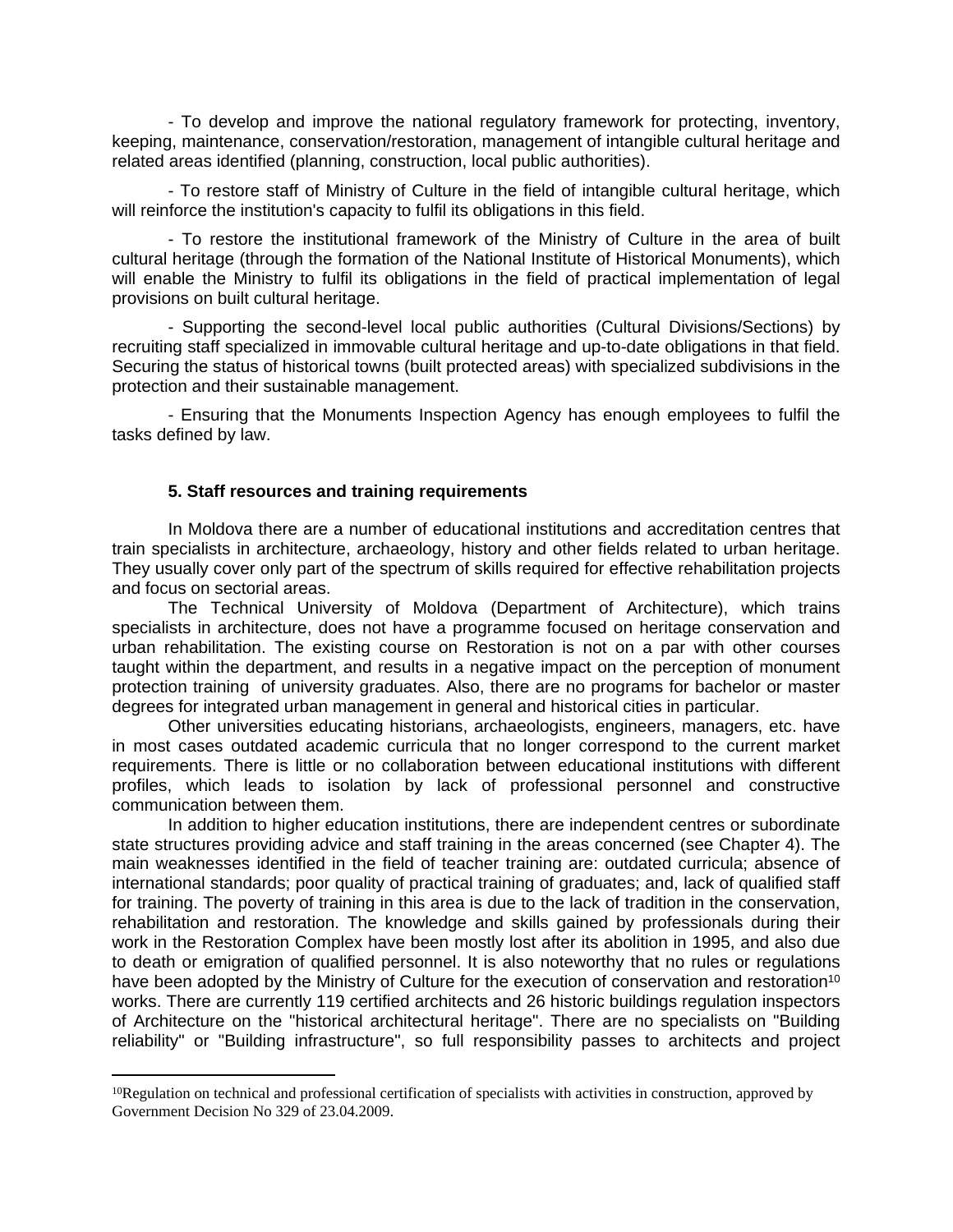- To develop and improve the national regulatory framework for protecting, inventory, keeping, maintenance, conservation/restoration, management of intangible cultural heritage and related areas identified (planning, construction, local public authorities).

- To restore staff of Ministry of Culture in the field of intangible cultural heritage, which will reinforce the institution's capacity to fulfil its obligations in this field.

- To restore the institutional framework of the Ministry of Culture in the area of built cultural heritage (through the formation of the National Institute of Historical Monuments), which will enable the Ministry to fulfil its obligations in the field of practical implementation of legal provisions on built cultural heritage.

- Supporting the second-level local public authorities (Cultural Divisions/Sections) by recruiting staff specialized in immovable cultural heritage and up-to-date obligations in that field. Securing the status of historical towns (built protected areas) with specialized subdivisions in the protection and their sustainable management.

- Ensuring that the Monuments Inspection Agency has enough employees to fulfil the tasks defined by law.

## **5. Staff resources and training requirements**

In Moldova there are a number of educational institutions and accreditation centres that train specialists in architecture, archaeology, history and other fields related to urban heritage. They usually cover only part of the spectrum of skills required for effective rehabilitation projects and focus on sectorial areas.

The Technical University of Moldova (Department of Architecture), which trains specialists in architecture, does not have a programme focused on heritage conservation and urban rehabilitation. The existing course on Restoration is not on a par with other courses taught within the department, and results in a negative impact on the perception of monument protection training of university graduates. Also, there are no programs for bachelor or master degrees for integrated urban management in general and historical cities in particular.

Other universities educating historians, archaeologists, engineers, managers, etc. have in most cases outdated academic curricula that no longer correspond to the current market requirements. There is little or no collaboration between educational institutions with different profiles, which leads to isolation by lack of professional personnel and constructive communication between them.

In addition to higher education institutions, there are independent centres or subordinate state structures providing advice and staff training in the areas concerned (see Chapter 4). The main weaknesses identified in the field of teacher training are: outdated curricula; absence of international standards; poor quality of practical training of graduates; and, lack of qualified staff for training. The poverty of training in this area is due to the lack of tradition in the conservation, rehabilitation and restoration. The knowledge and skills gained by professionals during their work in the Restoration Complex have been mostly lost after its abolition in 1995, and also due to death or emigration of qualified personnel. It is also noteworthy that no rules or regulations have been adopted by the Ministry of Culture for the execution of conservation and restoration<sup>10</sup> works. There are currently 119 certified architects and 26 historic buildings regulation inspectors of Architecture on the "historical architectural heritage". There are no specialists on "Building reliability" or "Building infrastructure", so full responsibility passes to architects and project

 $10$ Regulation on technical and professional certification of specialists with activities in construction, approved by Government Decision No 329 of 23.04.2009.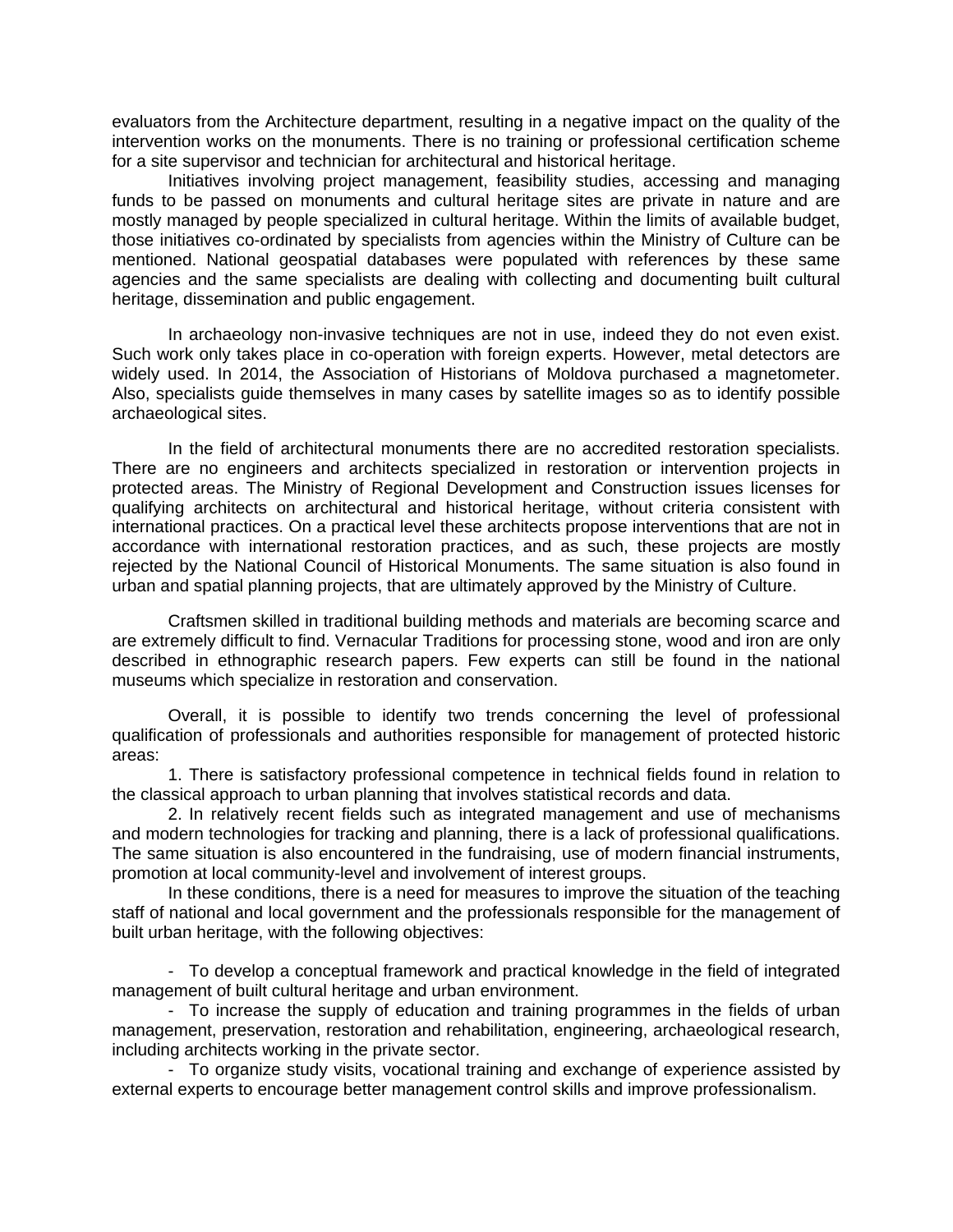evaluators from the Architecture department, resulting in a negative impact on the quality of the intervention works on the monuments. There is no training or professional certification scheme for a site supervisor and technician for architectural and historical heritage.

Initiatives involving project management, feasibility studies, accessing and managing funds to be passed on monuments and cultural heritage sites are private in nature and are mostly managed by people specialized in cultural heritage. Within the limits of available budget, those initiatives co-ordinated by specialists from agencies within the Ministry of Culture can be mentioned. National geospatial databases were populated with references by these same agencies and the same specialists are dealing with collecting and documenting built cultural heritage, dissemination and public engagement.

In archaeology non-invasive techniques are not in use, indeed they do not even exist. Such work only takes place in co-operation with foreign experts. However, metal detectors are widely used. In 2014, the Association of Historians of Moldova purchased a magnetometer. Also, specialists guide themselves in many cases by satellite images so as to identify possible archaeological sites.

In the field of architectural monuments there are no accredited restoration specialists. There are no engineers and architects specialized in restoration or intervention projects in protected areas. The Ministry of Regional Development and Construction issues licenses for qualifying architects on architectural and historical heritage, without criteria consistent with international practices. On a practical level these architects propose interventions that are not in accordance with international restoration practices, and as such, these projects are mostly rejected by the National Council of Historical Monuments. The same situation is also found in urban and spatial planning projects, that are ultimately approved by the Ministry of Culture.

Craftsmen skilled in traditional building methods and materials are becoming scarce and are extremely difficult to find. Vernacular Traditions for processing stone, wood and iron are only described in ethnographic research papers. Few experts can still be found in the national museums which specialize in restoration and conservation.

Overall, it is possible to identify two trends concerning the level of professional qualification of professionals and authorities responsible for management of protected historic areas:

1. There is satisfactory professional competence in technical fields found in relation to the classical approach to urban planning that involves statistical records and data.

2. In relatively recent fields such as integrated management and use of mechanisms and modern technologies for tracking and planning, there is a lack of professional qualifications. The same situation is also encountered in the fundraising, use of modern financial instruments, promotion at local community-level and involvement of interest groups.

In these conditions, there is a need for measures to improve the situation of the teaching staff of national and local government and the professionals responsible for the management of built urban heritage, with the following objectives:

- To develop a conceptual framework and practical knowledge in the field of integrated management of built cultural heritage and urban environment.

- To increase the supply of education and training programmes in the fields of urban management, preservation, restoration and rehabilitation, engineering, archaeological research, including architects working in the private sector.

- To organize study visits, vocational training and exchange of experience assisted by external experts to encourage better management control skills and improve professionalism.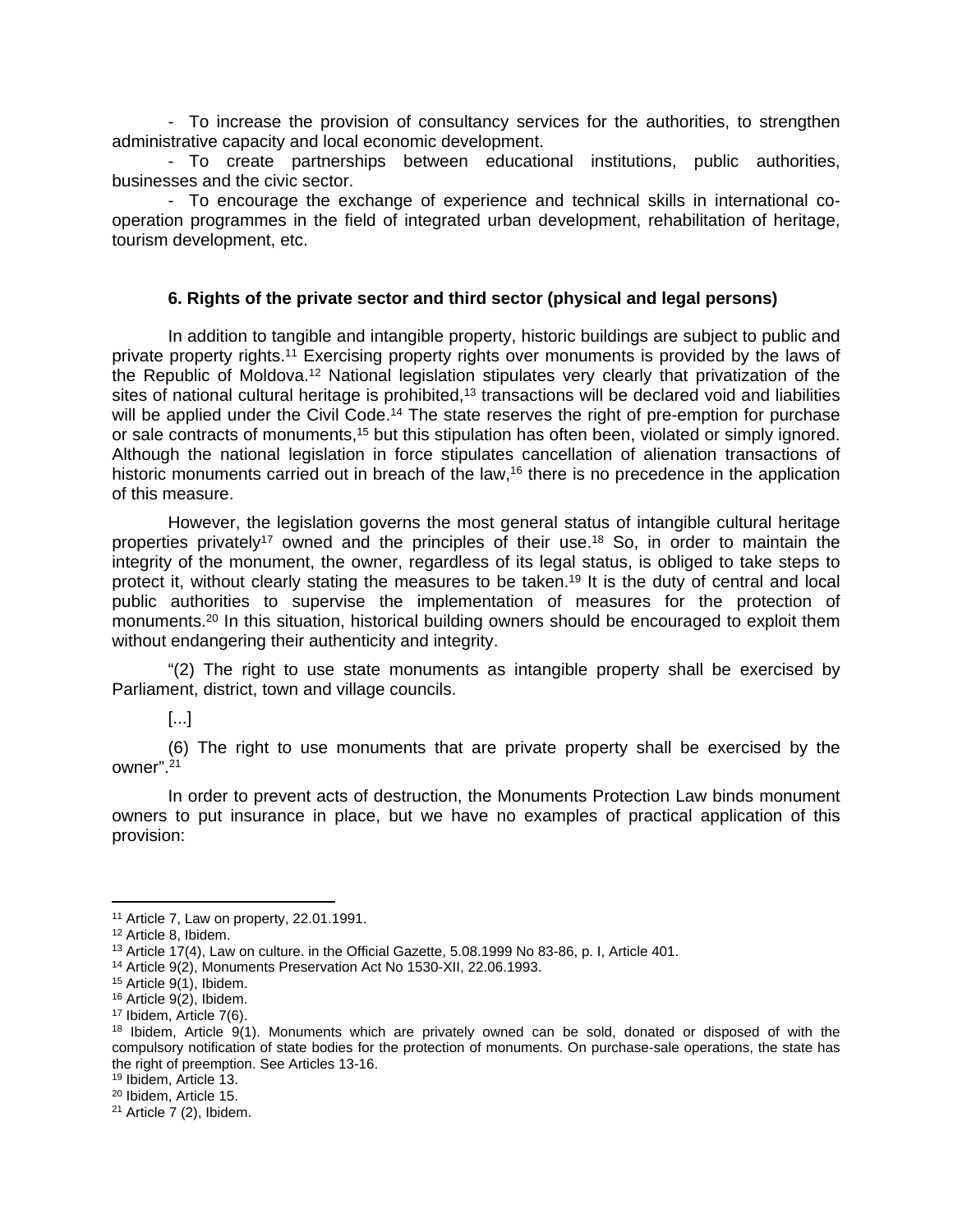- To increase the provision of consultancy services for the authorities, to strengthen administrative capacity and local economic development.

- To create partnerships between educational institutions, public authorities, businesses and the civic sector.

- To encourage the exchange of experience and technical skills in international cooperation programmes in the field of integrated urban development, rehabilitation of heritage, tourism development, etc.

#### **6. Rights of the private sector and third sector (physical and legal persons)**

In addition to tangible and intangible property, historic buildings are subject to public and private property rights.<sup>11</sup> Exercising property rights over monuments is provided by the laws of the Republic of Moldova.<sup>12</sup> National legislation stipulates very clearly that privatization of the sites of national cultural heritage is prohibited,<sup>13</sup> transactions will be declared void and liabilities will be applied under the Civil Code.<sup>14</sup> The state reserves the right of pre-emption for purchase or sale contracts of monuments,<sup>15</sup> but this stipulation has often been, violated or simply ignored. Although the national legislation in force stipulates cancellation of alienation transactions of historic monuments carried out in breach of the law,<sup>16</sup> there is no precedence in the application of this measure.

However, the legislation governs the most general status of intangible cultural heritage properties privately<sup>17</sup> owned and the principles of their use.<sup>18</sup> So, in order to maintain the integrity of the monument, the owner, regardless of its legal status, is obliged to take steps to protect it, without clearly stating the measures to be taken.<sup>19</sup> It is the duty of central and local public authorities to supervise the implementation of measures for the protection of monuments.<sup>20</sup> In this situation, historical building owners should be encouraged to exploit them without endangering their authenticity and integrity.

"(2) The right to use state monuments as intangible property shall be exercised by Parliament, district, town and village councils.

# [...]

(6) The right to use monuments that are private property shall be exercised by the owner".<sup>21</sup>

In order to prevent acts of destruction, the Monuments Protection Law binds monument owners to put insurance in place, but we have no examples of practical application of this provision:

<sup>11</sup> Article 7, Law on property, 22.01.1991.

<sup>12</sup> Article 8, Ibidem.

<sup>13</sup> Article 17(4), Law on culture. in the Official Gazette, 5.08.1999 No 83-86, p. I, Article 401.

<sup>14</sup> Article 9(2), Monuments Preservation Act No 1530-XII, 22.06.1993.

 $15$  Article 9(1), Ibidem.

<sup>16</sup> Article 9(2), Ibidem.

<sup>17</sup> Ibidem, Article 7(6).

<sup>18</sup> Ibidem, Article 9(1). Monuments which are privately owned can be sold, donated or disposed of with the compulsory notification of state bodies for the protection of monuments. On purchase-sale operations, the state has the right of preemption. See Articles 13-16.

<sup>19</sup> Ibidem, Article 13.

<sup>20</sup> Ibidem, Article 15.

 $21$  Article 7 (2), Ibidem.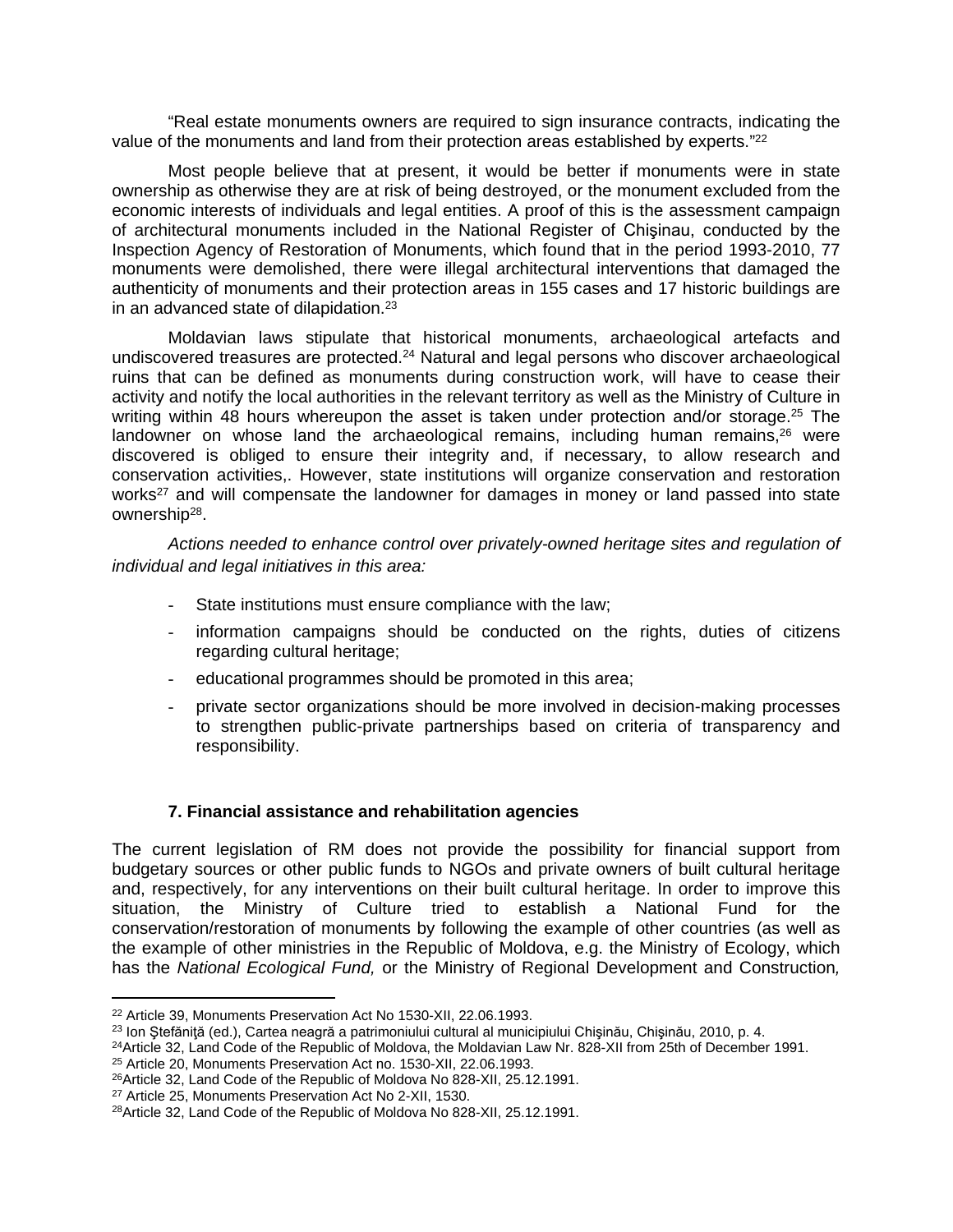"Real estate monuments owners are required to sign insurance contracts, indicating the value of the monuments and land from their protection areas established by experts."<sup>22</sup>

Most people believe that at present, it would be better if monuments were in state ownership as otherwise they are at risk of being destroyed, or the monument excluded from the economic interests of individuals and legal entities. A proof of this is the assessment campaign of architectural monuments included in the National Register of Chişinau, conducted by the Inspection Agency of Restoration of Monuments, which found that in the period 1993-2010, 77 monuments were demolished, there were illegal architectural interventions that damaged the authenticity of monuments and their protection areas in 155 cases and 17 historic buildings are in an advanced state of dilapidation.<sup>23</sup>

Moldavian laws stipulate that historical monuments, archaeological artefacts and undiscovered treasures are protected.<sup>24</sup> Natural and legal persons who discover archaeological ruins that can be defined as monuments during construction work, will have to cease their activity and notify the local authorities in the relevant territory as well as the Ministry of Culture in writing within 48 hours whereupon the asset is taken under protection and/or storage.<sup>25</sup> The landowner on whose land the archaeological remains, including human remains,<sup>26</sup> were discovered is obliged to ensure their integrity and, if necessary, to allow research and conservation activities,. However, state institutions will organize conservation and restoration works<sup>27</sup> and will compensate the landowner for damages in money or land passed into state ownership<sup>28</sup>.

*Actions needed to enhance control over privately-owned heritage sites and regulation of individual and legal initiatives in this area:*

- State institutions must ensure compliance with the law;
- information campaigns should be conducted on the rights, duties of citizens regarding cultural heritage;
- educational programmes should be promoted in this area;
- private sector organizations should be more involved in decision-making processes to strengthen public-private partnerships based on criteria of transparency and responsibility.

## **7. Financial assistance and rehabilitation agencies**

The current legislation of RM does not provide the possibility for financial support from budgetary sources or other public funds to NGOs and private owners of built cultural heritage and, respectively, for any interventions on their built cultural heritage. In order to improve this situation, the Ministry of Culture tried to establish a National Fund for the conservation/restoration of monuments by following the example of other countries (as well as the example of other ministries in the Republic of Moldova, e.g. the Ministry of Ecology, which has the *National Ecological Fund,* or the Ministry of Regional Development and Construction*,* 

<sup>22</sup> Article 39, Monuments Preservation Act No 1530-XII, 22.06.1993.

<sup>23</sup> Ion Ştefăniţă (ed.), Cartea neagră a patrimoniului cultural al municipiului Chişinău, Chişinău, 2010, p. 4.

<sup>&</sup>lt;sup>24</sup>Article 32, Land Code of the Republic of Moldova, the Moldavian Law Nr. 828-XII from 25th of December 1991. <sup>25</sup> Article 20, Monuments Preservation Act no. 1530-XII, 22.06.1993.

<sup>&</sup>lt;sup>26</sup>Article 32, Land Code of the Republic of Moldova No 828-XII, 25.12.1991.

<sup>27</sup> Article 25, Monuments Preservation Act No 2-XII, 1530.

<sup>28</sup>Article 32, Land Code of the Republic of Moldova No 828-XII, 25.12.1991.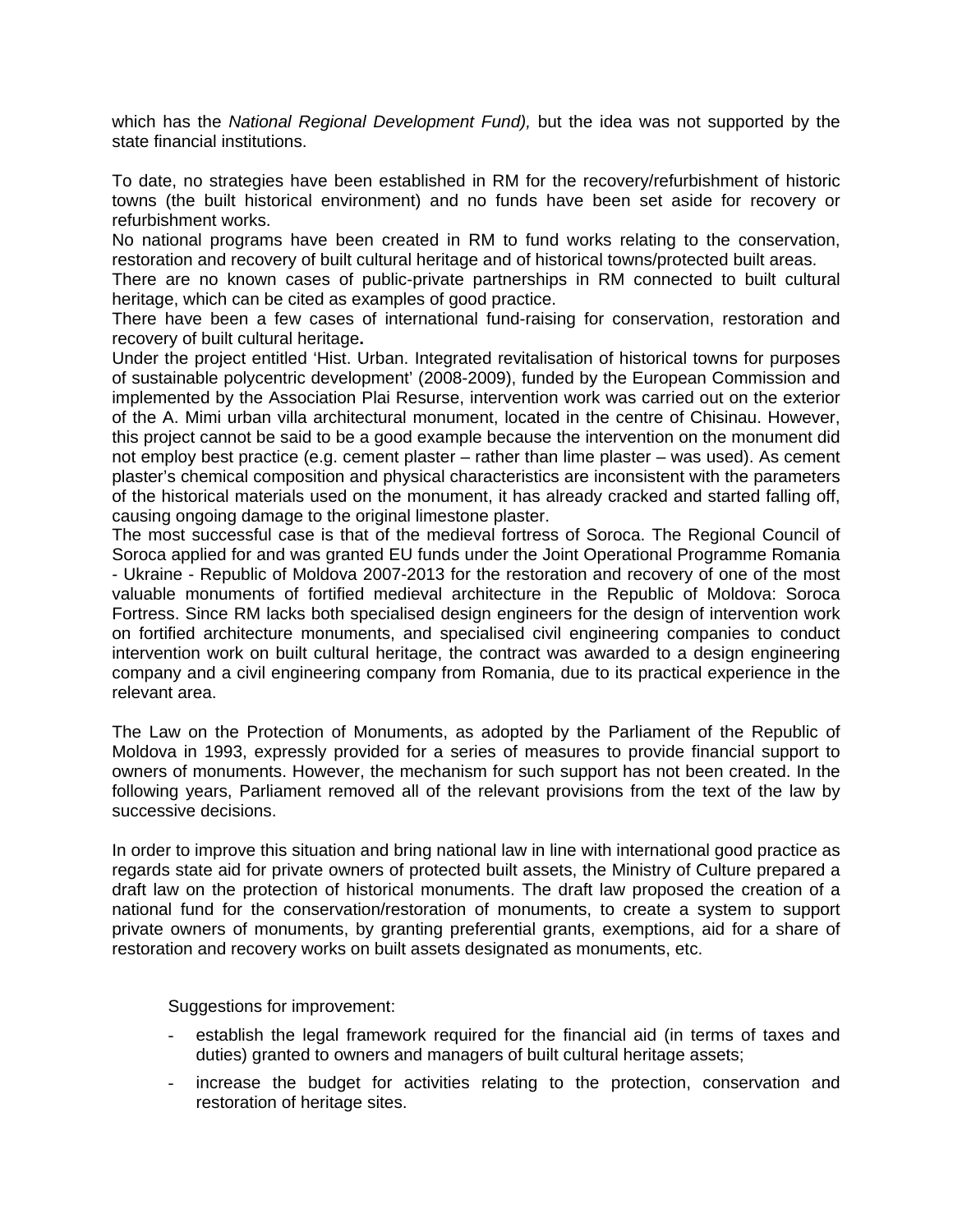which has the *National Regional Development Fund),* but the idea was not supported by the state financial institutions.

To date, no strategies have been established in RM for the recovery/refurbishment of historic towns (the built historical environment) and no funds have been set aside for recovery or refurbishment works.

No national programs have been created in RM to fund works relating to the conservation, restoration and recovery of built cultural heritage and of historical towns/protected built areas.

There are no known cases of public-private partnerships in RM connected to built cultural heritage, which can be cited as examples of good practice.

There have been a few cases of international fund-raising for conservation, restoration and recovery of built cultural heritage**.**

Under the project entitled 'Hist. Urban. Integrated revitalisation of historical towns for purposes of sustainable polycentric development' (2008-2009), funded by the European Commission and implemented by the Association Plai Resurse, intervention work was carried out on the exterior of the A. Mimi urban villa architectural monument, located in the centre of Chisinau. However, this project cannot be said to be a good example because the intervention on the monument did not employ best practice (e.g. cement plaster – rather than lime plaster – was used). As cement plaster's chemical composition and physical characteristics are inconsistent with the parameters of the historical materials used on the monument, it has already cracked and started falling off, causing ongoing damage to the original limestone plaster.

The most successful case is that of the medieval fortress of Soroca. The Regional Council of Soroca applied for and was granted EU funds under the Joint Operational Programme Romania - Ukraine - Republic of Moldova 2007-2013 for the restoration and recovery of one of the most valuable monuments of fortified medieval architecture in the Republic of Moldova: Soroca Fortress. Since RM lacks both specialised design engineers for the design of intervention work on fortified architecture monuments, and specialised civil engineering companies to conduct intervention work on built cultural heritage, the contract was awarded to a design engineering company and a civil engineering company from Romania, due to its practical experience in the relevant area.

The Law on the Protection of Monuments, as adopted by the Parliament of the Republic of Moldova in 1993, expressly provided for a series of measures to provide financial support to owners of monuments. However, the mechanism for such support has not been created. In the following years, Parliament removed all of the relevant provisions from the text of the law by successive decisions.

In order to improve this situation and bring national law in line with international good practice as regards state aid for private owners of protected built assets, the Ministry of Culture prepared a draft law on the protection of historical monuments. The draft law proposed the creation of a national fund for the conservation/restoration of monuments, to create a system to support private owners of monuments, by granting preferential grants, exemptions, aid for a share of restoration and recovery works on built assets designated as monuments, etc.

Suggestions for improvement:

- establish the legal framework required for the financial aid (in terms of taxes and duties) granted to owners and managers of built cultural heritage assets;
- increase the budget for activities relating to the protection, conservation and restoration of heritage sites.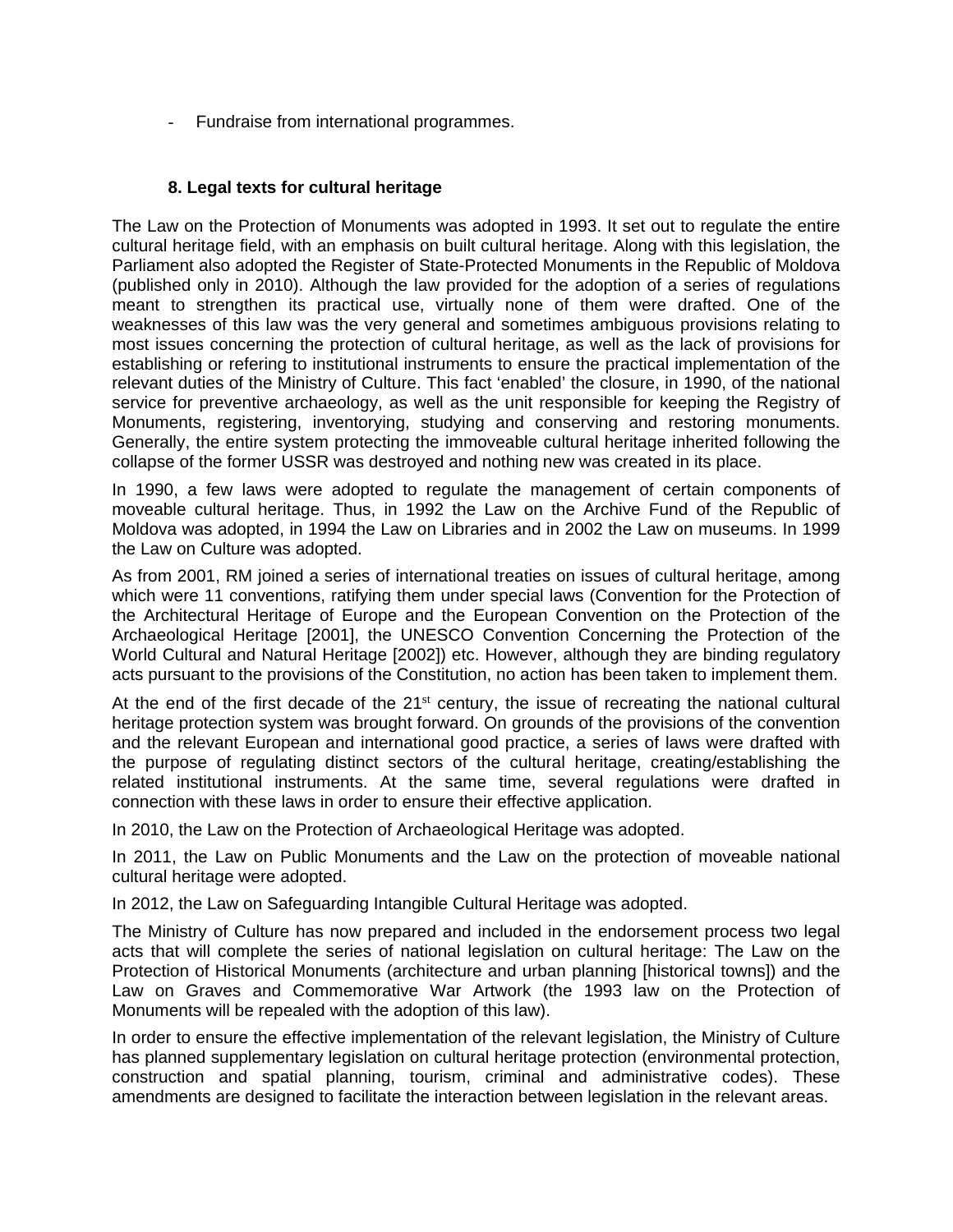- Fundraise from international programmes.

## **8. Legal texts for cultural heritage**

The Law on the Protection of Monuments was adopted in 1993. It set out to regulate the entire cultural heritage field, with an emphasis on built cultural heritage. Along with this legislation, the Parliament also adopted the Register of State-Protected Monuments in the Republic of Moldova (published only in 2010). Although the law provided for the adoption of a series of regulations meant to strengthen its practical use, virtually none of them were drafted. One of the weaknesses of this law was the very general and sometimes ambiguous provisions relating to most issues concerning the protection of cultural heritage, as well as the lack of provisions for establishing or refering to institutional instruments to ensure the practical implementation of the relevant duties of the Ministry of Culture. This fact 'enabled' the closure, in 1990, of the national service for preventive archaeology, as well as the unit responsible for keeping the Registry of Monuments, registering, inventorying, studying and conserving and restoring monuments. Generally, the entire system protecting the immoveable cultural heritage inherited following the collapse of the former USSR was destroyed and nothing new was created in its place.

In 1990, a few laws were adopted to regulate the management of certain components of moveable cultural heritage. Thus, in 1992 the Law on the Archive Fund of the Republic of Moldova was adopted, in 1994 the Law on Libraries and in 2002 the Law on museums. In 1999 the Law on Culture was adopted.

As from 2001, RM joined a series of international treaties on issues of cultural heritage, among which were 11 conventions, ratifying them under special laws (Convention for the Protection of the Architectural Heritage of Europe and the European Convention on the Protection of the Archaeological Heritage [2001], the UNESCO Convention Concerning the Protection of the World Cultural and Natural Heritage [2002]) etc. However, although they are binding regulatory acts pursuant to the provisions of the Constitution, no action has been taken to implement them.

At the end of the first decade of the  $21<sup>st</sup>$  century, the issue of recreating the national cultural heritage protection system was brought forward. On grounds of the provisions of the convention and the relevant European and international good practice, a series of laws were drafted with the purpose of regulating distinct sectors of the cultural heritage, creating/establishing the related institutional instruments. At the same time, several regulations were drafted in connection with these laws in order to ensure their effective application.

In 2010, the Law on the Protection of Archaeological Heritage was adopted.

In 2011, the Law on Public Monuments and the Law on the protection of moveable national cultural heritage were adopted.

In 2012, the Law on Safeguarding Intangible Cultural Heritage was adopted.

The Ministry of Culture has now prepared and included in the endorsement process two legal acts that will complete the series of national legislation on cultural heritage: The Law on the Protection of Historical Monuments (architecture and urban planning [historical towns]) and the Law on Graves and Commemorative War Artwork (the 1993 law on the Protection of Monuments will be repealed with the adoption of this law).

In order to ensure the effective implementation of the relevant legislation, the Ministry of Culture has planned supplementary legislation on cultural heritage protection (environmental protection, construction and spatial planning, tourism, criminal and administrative codes). These amendments are designed to facilitate the interaction between legislation in the relevant areas.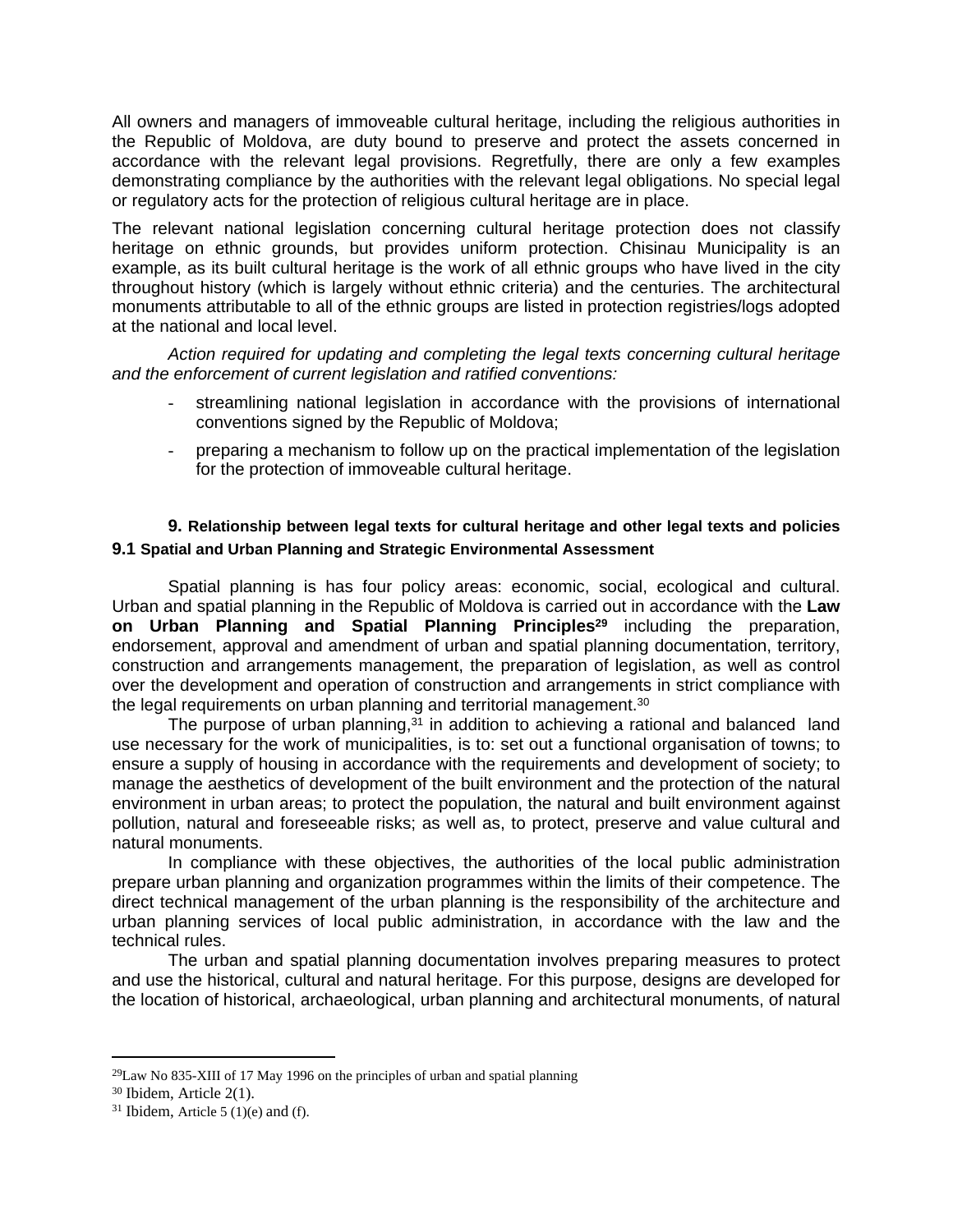All owners and managers of immoveable cultural heritage, including the religious authorities in the Republic of Moldova, are duty bound to preserve and protect the assets concerned in accordance with the relevant legal provisions. Regretfully, there are only a few examples demonstrating compliance by the authorities with the relevant legal obligations. No special legal or regulatory acts for the protection of religious cultural heritage are in place.

The relevant national legislation concerning cultural heritage protection does not classify heritage on ethnic grounds, but provides uniform protection. Chisinau Municipality is an example, as its built cultural heritage is the work of all ethnic groups who have lived in the city throughout history (which is largely without ethnic criteria) and the centuries. The architectural monuments attributable to all of the ethnic groups are listed in protection registries/logs adopted at the national and local level.

*Action required for updating and completing the legal texts concerning cultural heritage and the enforcement of current legislation and ratified conventions:*

- streamlining national legislation in accordance with the provisions of international conventions signed by the Republic of Moldova;
- preparing a mechanism to follow up on the practical implementation of the legislation for the protection of immoveable cultural heritage.

# **9. Relationship between legal texts for cultural heritage and other legal texts and policies 9.1 Spatial and Urban Planning and Strategic Environmental Assessment**

Spatial planning is has four policy areas: economic, social, ecological and cultural. Urban and spatial planning in the Republic of Moldova is carried out in accordance with the **Law on Urban Planning and Spatial Planning Principles<sup>29</sup>** including the preparation, endorsement, approval and amendment of urban and spatial planning documentation, territory, construction and arrangements management, the preparation of legislation, as well as control over the development and operation of construction and arrangements in strict compliance with the legal requirements on urban planning and territorial management.<sup>30</sup>

The purpose of urban planning, $31$  in addition to achieving a rational and balanced land use necessary for the work of municipalities, is to: set out a functional organisation of towns; to ensure a supply of housing in accordance with the requirements and development of society; to manage the aesthetics of development of the built environment and the protection of the natural environment in urban areas; to protect the population, the natural and built environment against pollution, natural and foreseeable risks; as well as, to protect, preserve and value cultural and natural monuments.

In compliance with these objectives, the authorities of the local public administration prepare urban planning and organization programmes within the limits of their competence. The direct technical management of the urban planning is the responsibility of the architecture and urban planning services of local public administration, in accordance with the law and the technical rules.

The urban and spatial planning documentation involves preparing measures to protect and use the historical, cultural and natural heritage. For this purpose, designs are developed for the location of historical, archaeological, urban planning and architectural monuments, of natural

 $^{29}$ Law No 835-XIII of 17 May 1996 on the principles of urban and spatial planning

<sup>30</sup> Ibidem, Article 2(1).

 $31$  Ibidem, Article 5 (1)(e) and (f).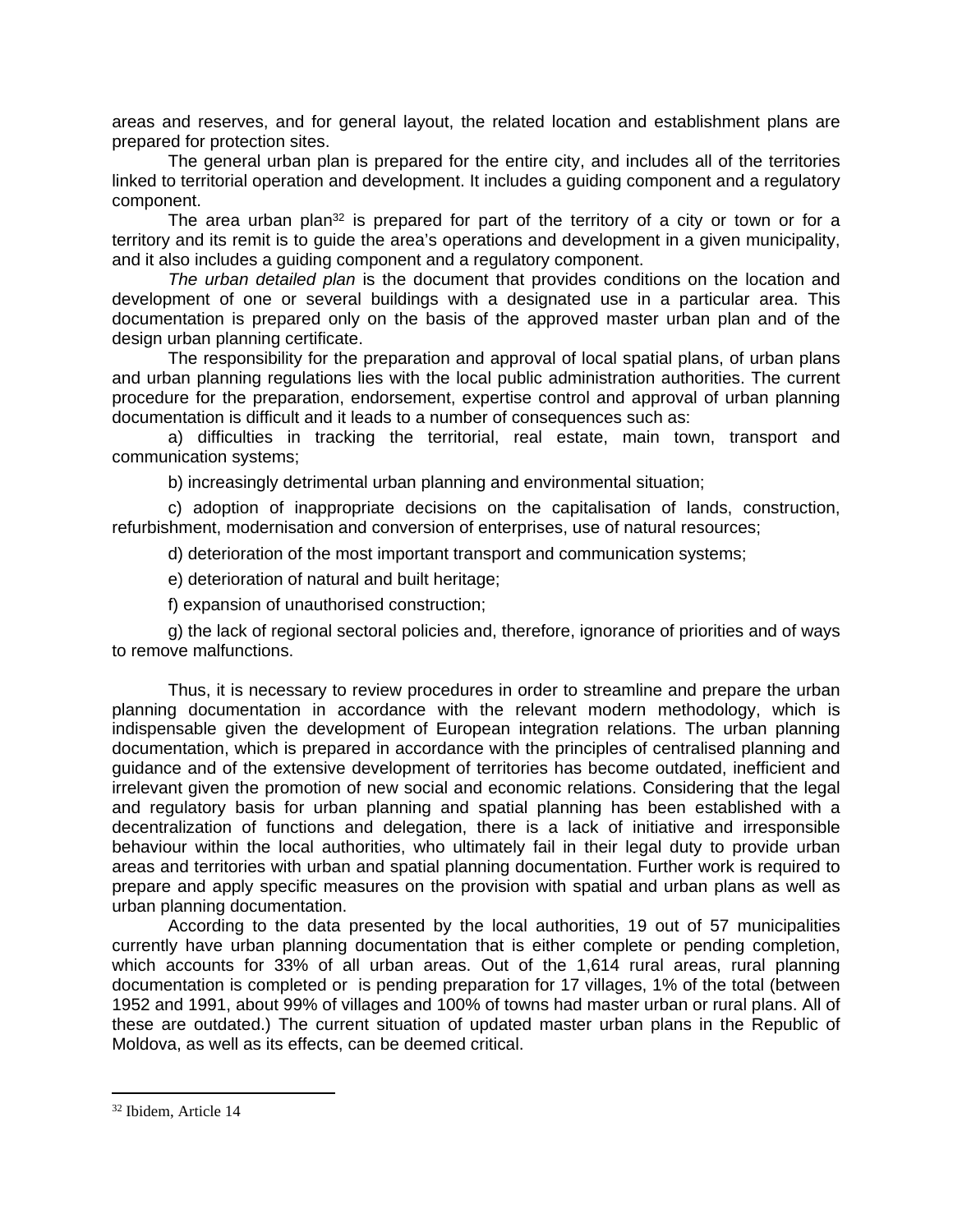areas and reserves, and for general layout, the related location and establishment plans are prepared for protection sites.

The general urban plan is prepared for the entire city, and includes all of the territories linked to territorial operation and development. It includes a guiding component and a regulatory component.

The area urban plan<sup>32</sup> is prepared for part of the territory of a city or town or for a territory and its remit is to guide the area's operations and development in a given municipality, and it also includes a guiding component and a regulatory component.

*The urban detailed plan* is the document that provides conditions on the location and development of one or several buildings with a designated use in a particular area. This documentation is prepared only on the basis of the approved master urban plan and of the design urban planning certificate.

The responsibility for the preparation and approval of local spatial plans, of urban plans and urban planning regulations lies with the local public administration authorities. The current procedure for the preparation, endorsement, expertise control and approval of urban planning documentation is difficult and it leads to a number of consequences such as:

a) difficulties in tracking the territorial, real estate, main town, transport and communication systems;

b) increasingly detrimental urban planning and environmental situation;

c) adoption of inappropriate decisions on the capitalisation of lands, construction, refurbishment, modernisation and conversion of enterprises, use of natural resources;

d) deterioration of the most important transport and communication systems;

e) deterioration of natural and built heritage;

f) expansion of unauthorised construction;

g) the lack of regional sectoral policies and, therefore, ignorance of priorities and of ways to remove malfunctions.

Thus, it is necessary to review procedures in order to streamline and prepare the urban planning documentation in accordance with the relevant modern methodology, which is indispensable given the development of European integration relations. The urban planning documentation, which is prepared in accordance with the principles of centralised planning and guidance and of the extensive development of territories has become outdated, inefficient and irrelevant given the promotion of new social and economic relations. Considering that the legal and regulatory basis for urban planning and spatial planning has been established with a decentralization of functions and delegation, there is a lack of initiative and irresponsible behaviour within the local authorities, who ultimately fail in their legal duty to provide urban areas and territories with urban and spatial planning documentation. Further work is required to prepare and apply specific measures on the provision with spatial and urban plans as well as urban planning documentation.

According to the data presented by the local authorities, 19 out of 57 municipalities currently have urban planning documentation that is either complete or pending completion, which accounts for 33% of all urban areas. Out of the 1,614 rural areas, rural planning documentation is completed or is pending preparation for 17 villages, 1% of the total (between 1952 and 1991, about 99% of villages and 100% of towns had master urban or rural plans. All of these are outdated.) The current situation of updated master urban plans in the Republic of Moldova, as well as its effects, can be deemed critical.

<sup>32</sup> Ibidem, Article 14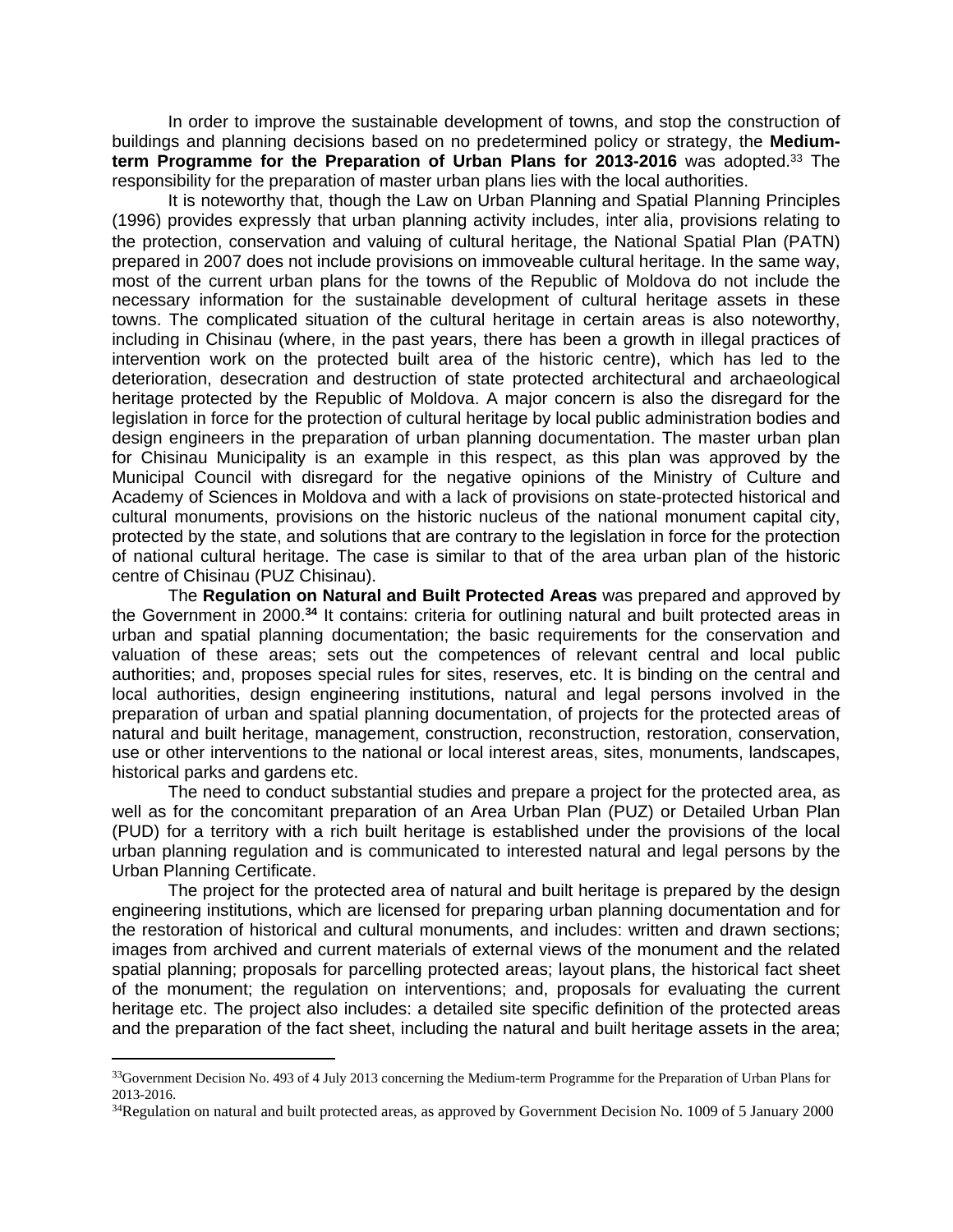In order to improve the sustainable development of towns, and stop the construction of buildings and planning decisions based on no predetermined policy or strategy, the **Mediumterm Programme for the Preparation of Urban Plans for 2013-2016** was adopted.<sup>33</sup> The responsibility for the preparation of master urban plans lies with the local authorities.

It is noteworthy that, though the Law on Urban Planning and Spatial Planning Principles (1996) provides expressly that urban planning activity includes, *inter alia*, provisions relating to the protection, conservation and valuing of cultural heritage, the National Spatial Plan (PATN) prepared in 2007 does not include provisions on immoveable cultural heritage. In the same way, most of the current urban plans for the towns of the Republic of Moldova do not include the necessary information for the sustainable development of cultural heritage assets in these towns. The complicated situation of the cultural heritage in certain areas is also noteworthy, including in Chisinau (where, in the past years, there has been a growth in illegal practices of intervention work on the protected built area of the historic centre), which has led to the deterioration, desecration and destruction of state protected architectural and archaeological heritage protected by the Republic of Moldova. A major concern is also the disregard for the legislation in force for the protection of cultural heritage by local public administration bodies and design engineers in the preparation of urban planning documentation. The master urban plan for Chisinau Municipality is an example in this respect, as this plan was approved by the Municipal Council with disregard for the negative opinions of the Ministry of Culture and Academy of Sciences in Moldova and with a lack of provisions on state-protected historical and cultural monuments, provisions on the historic nucleus of the national monument capital city, protected by the state, and solutions that are contrary to the legislation in force for the protection of national cultural heritage. The case is similar to that of the area urban plan of the historic centre of Chisinau (PUZ Chisinau).

The **Regulation on Natural and Built Protected Areas** was prepared and approved by the Government in 2000.**<sup>34</sup>** It contains: criteria for outlining natural and built protected areas in urban and spatial planning documentation; the basic requirements for the conservation and valuation of these areas; sets out the competences of relevant central and local public authorities; and, proposes special rules for sites, reserves, etc. It is binding on the central and local authorities, design engineering institutions, natural and legal persons involved in the preparation of urban and spatial planning documentation, of projects for the protected areas of natural and built heritage, management, construction, reconstruction, restoration, conservation, use or other interventions to the national or local interest areas, sites, monuments, landscapes, historical parks and gardens etc.

The need to conduct substantial studies and prepare a project for the protected area, as well as for the concomitant preparation of an Area Urban Plan (PUZ) or Detailed Urban Plan (PUD) for a territory with a rich built heritage is established under the provisions of the local urban planning regulation and is communicated to interested natural and legal persons by the Urban Planning Certificate.

The project for the protected area of natural and built heritage is prepared by the design engineering institutions, which are licensed for preparing urban planning documentation and for the restoration of historical and cultural monuments, and includes: written and drawn sections; images from archived and current materials of external views of the monument and the related spatial planning; proposals for parcelling protected areas; layout plans, the historical fact sheet of the monument; the regulation on interventions; and, proposals for evaluating the current heritage etc. The project also includes: a detailed site specific definition of the protected areas and the preparation of the fact sheet, including the natural and built heritage assets in the area;

<sup>&</sup>lt;sup>33</sup>Government Decision No. 493 of 4 July 2013 concerning the Medium-term Programme for the Preparation of Urban Plans for 2013-2016.

<sup>&</sup>lt;sup>34</sup>Regulation on natural and built protected areas, as approved by Government Decision No. 1009 of 5 January 2000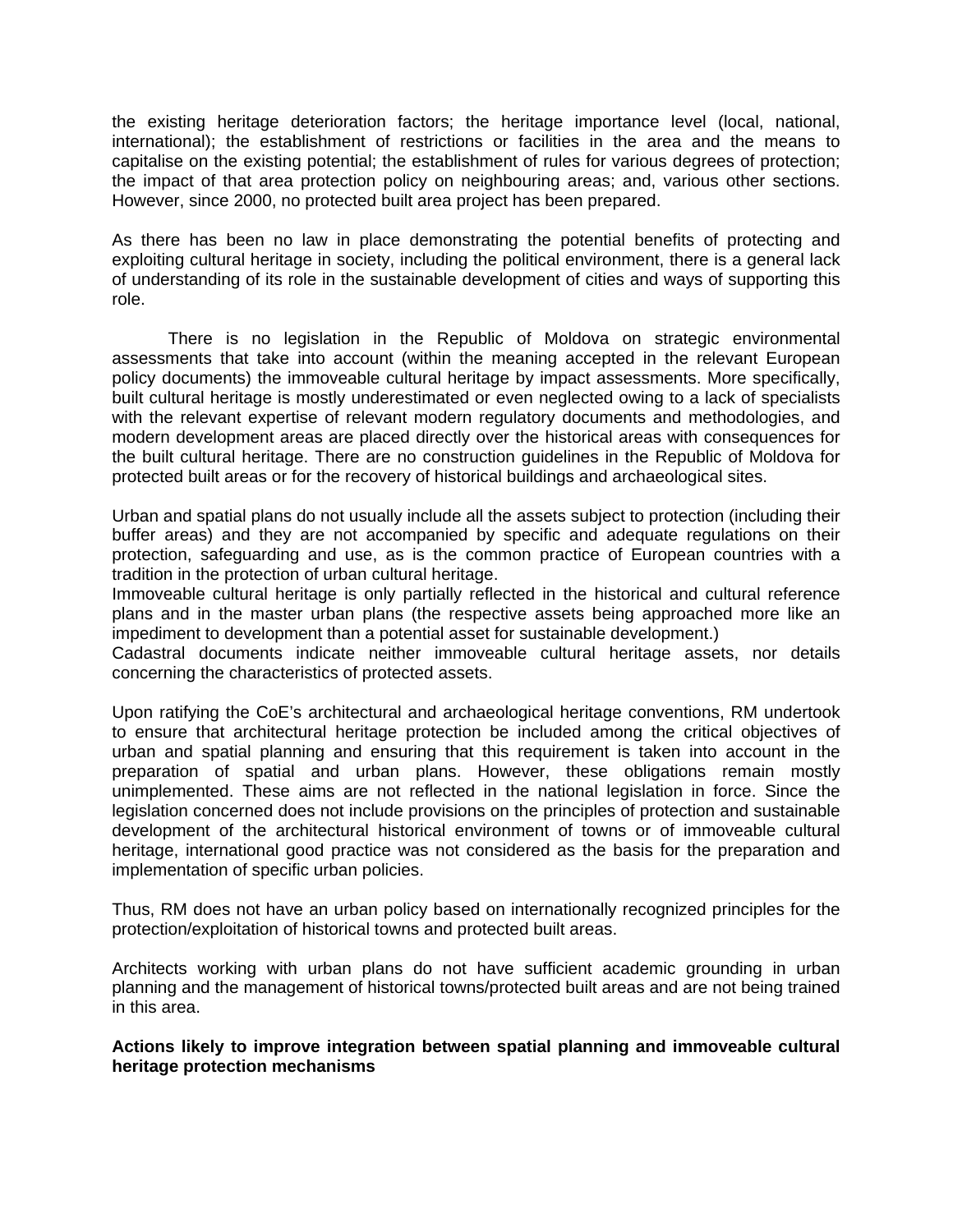the existing heritage deterioration factors; the heritage importance level (local, national, international); the establishment of restrictions or facilities in the area and the means to capitalise on the existing potential; the establishment of rules for various degrees of protection; the impact of that area protection policy on neighbouring areas; and, various other sections. However, since 2000, no protected built area project has been prepared.

As there has been no law in place demonstrating the potential benefits of protecting and exploiting cultural heritage in society, including the political environment, there is a general lack of understanding of its role in the sustainable development of cities and ways of supporting this role.

There is no legislation in the Republic of Moldova on strategic environmental assessments that take into account (within the meaning accepted in the relevant European policy documents) the immoveable cultural heritage by impact assessments. More specifically, built cultural heritage is mostly underestimated or even neglected owing to a lack of specialists with the relevant expertise of relevant modern regulatory documents and methodologies, and modern development areas are placed directly over the historical areas with consequences for the built cultural heritage. There are no construction guidelines in the Republic of Moldova for protected built areas or for the recovery of historical buildings and archaeological sites.

Urban and spatial plans do not usually include all the assets subject to protection (including their buffer areas) and they are not accompanied by specific and adequate regulations on their protection, safeguarding and use, as is the common practice of European countries with a tradition in the protection of urban cultural heritage.

Immoveable cultural heritage is only partially reflected in the historical and cultural reference plans and in the master urban plans (the respective assets being approached more like an impediment to development than a potential asset for sustainable development.)

Cadastral documents indicate neither immoveable cultural heritage assets, nor details concerning the characteristics of protected assets.

Upon ratifying the CoE's architectural and archaeological heritage conventions, RM undertook to ensure that architectural heritage protection be included among the critical objectives of urban and spatial planning and ensuring that this requirement is taken into account in the preparation of spatial and urban plans. However, these obligations remain mostly unimplemented. These aims are not reflected in the national legislation in force. Since the legislation concerned does not include provisions on the principles of protection and sustainable development of the architectural historical environment of towns or of immoveable cultural heritage, international good practice was not considered as the basis for the preparation and implementation of specific urban policies.

Thus, RM does not have an urban policy based on internationally recognized principles for the protection/exploitation of historical towns and protected built areas.

Architects working with urban plans do not have sufficient academic grounding in urban planning and the management of historical towns/protected built areas and are not being trained in this area.

**Actions likely to improve integration between spatial planning and immoveable cultural heritage protection mechanisms**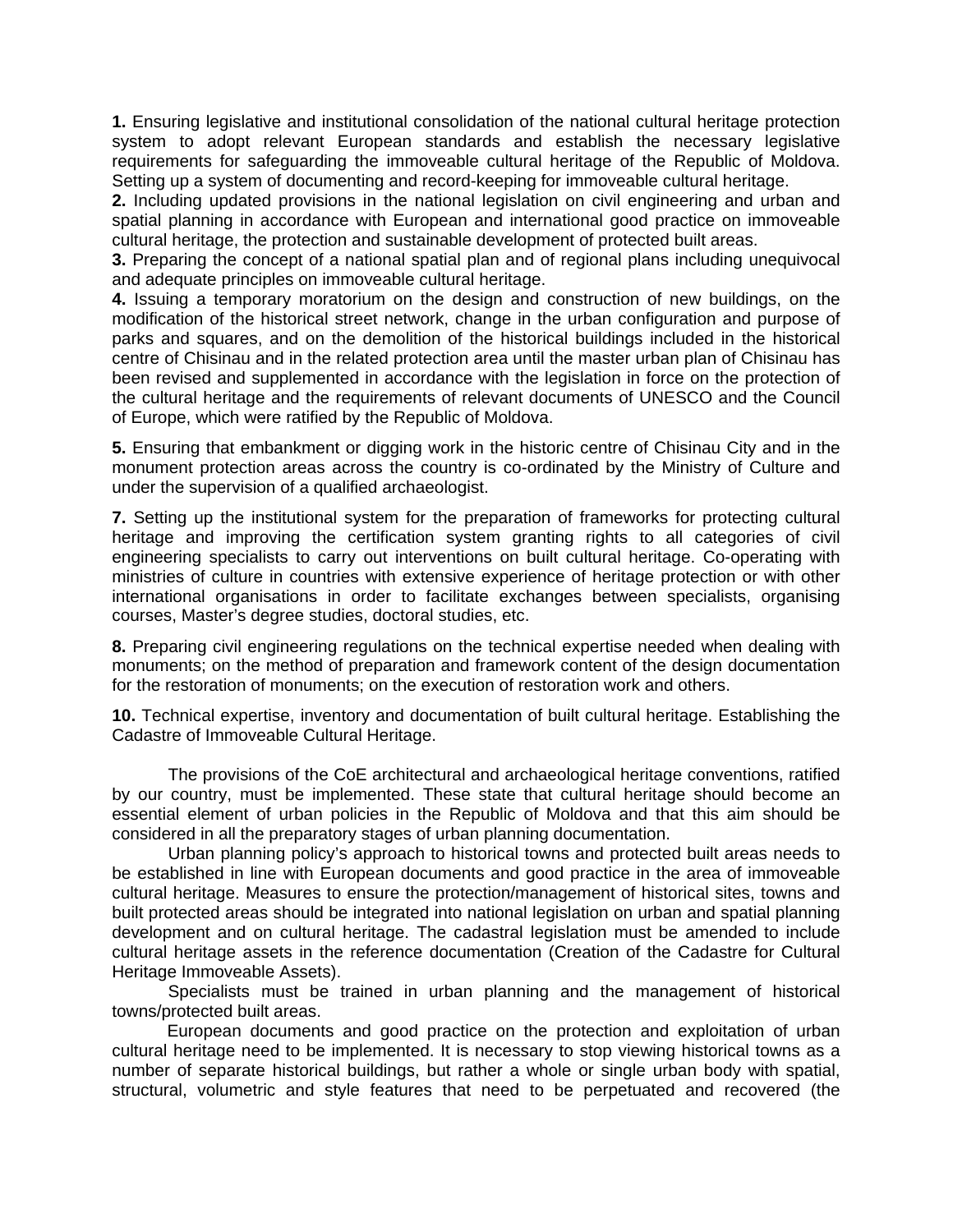**1.** Ensuring legislative and institutional consolidation of the national cultural heritage protection system to adopt relevant European standards and establish the necessary legislative requirements for safeguarding the immoveable cultural heritage of the Republic of Moldova. Setting up a system of documenting and record-keeping for immoveable cultural heritage.

**2.** Including updated provisions in the national legislation on civil engineering and urban and spatial planning in accordance with European and international good practice on immoveable cultural heritage, the protection and sustainable development of protected built areas.

**3.** Preparing the concept of a national spatial plan and of regional plans including unequivocal and adequate principles on immoveable cultural heritage.

**4.** Issuing a temporary moratorium on the design and construction of new buildings, on the modification of the historical street network, change in the urban configuration and purpose of parks and squares, and on the demolition of the historical buildings included in the historical centre of Chisinau and in the related protection area until the master urban plan of Chisinau has been revised and supplemented in accordance with the legislation in force on the protection of the cultural heritage and the requirements of relevant documents of UNESCO and the Council of Europe, which were ratified by the Republic of Moldova.

**5.** Ensuring that embankment or digging work in the historic centre of Chisinau City and in the monument protection areas across the country is co-ordinated by the Ministry of Culture and under the supervision of a qualified archaeologist.

**7.** Setting up the institutional system for the preparation of frameworks for protecting cultural heritage and improving the certification system granting rights to all categories of civil engineering specialists to carry out interventions on built cultural heritage. Co-operating with ministries of culture in countries with extensive experience of heritage protection or with other international organisations in order to facilitate exchanges between specialists, organising courses, Master's degree studies, doctoral studies, etc.

**8.** Preparing civil engineering regulations on the technical expertise needed when dealing with monuments; on the method of preparation and framework content of the design documentation for the restoration of monuments; on the execution of restoration work and others.

**10.** Technical expertise, inventory and documentation of built cultural heritage. Establishing the Cadastre of Immoveable Cultural Heritage.

The provisions of the CoE architectural and archaeological heritage conventions, ratified by our country, must be implemented. These state that cultural heritage should become an essential element of urban policies in the Republic of Moldova and that this aim should be considered in all the preparatory stages of urban planning documentation.

Urban planning policy's approach to historical towns and protected built areas needs to be established in line with European documents and good practice in the area of immoveable cultural heritage. Measures to ensure the protection/management of historical sites, towns and built protected areas should be integrated into national legislation on urban and spatial planning development and on cultural heritage. The cadastral legislation must be amended to include cultural heritage assets in the reference documentation (Creation of the Cadastre for Cultural Heritage Immoveable Assets).

Specialists must be trained in urban planning and the management of historical towns/protected built areas.

European documents and good practice on the protection and exploitation of urban cultural heritage need to be implemented. It is necessary to stop viewing historical towns as a number of separate historical buildings, but rather a whole or single urban body with spatial, structural, volumetric and style features that need to be perpetuated and recovered (the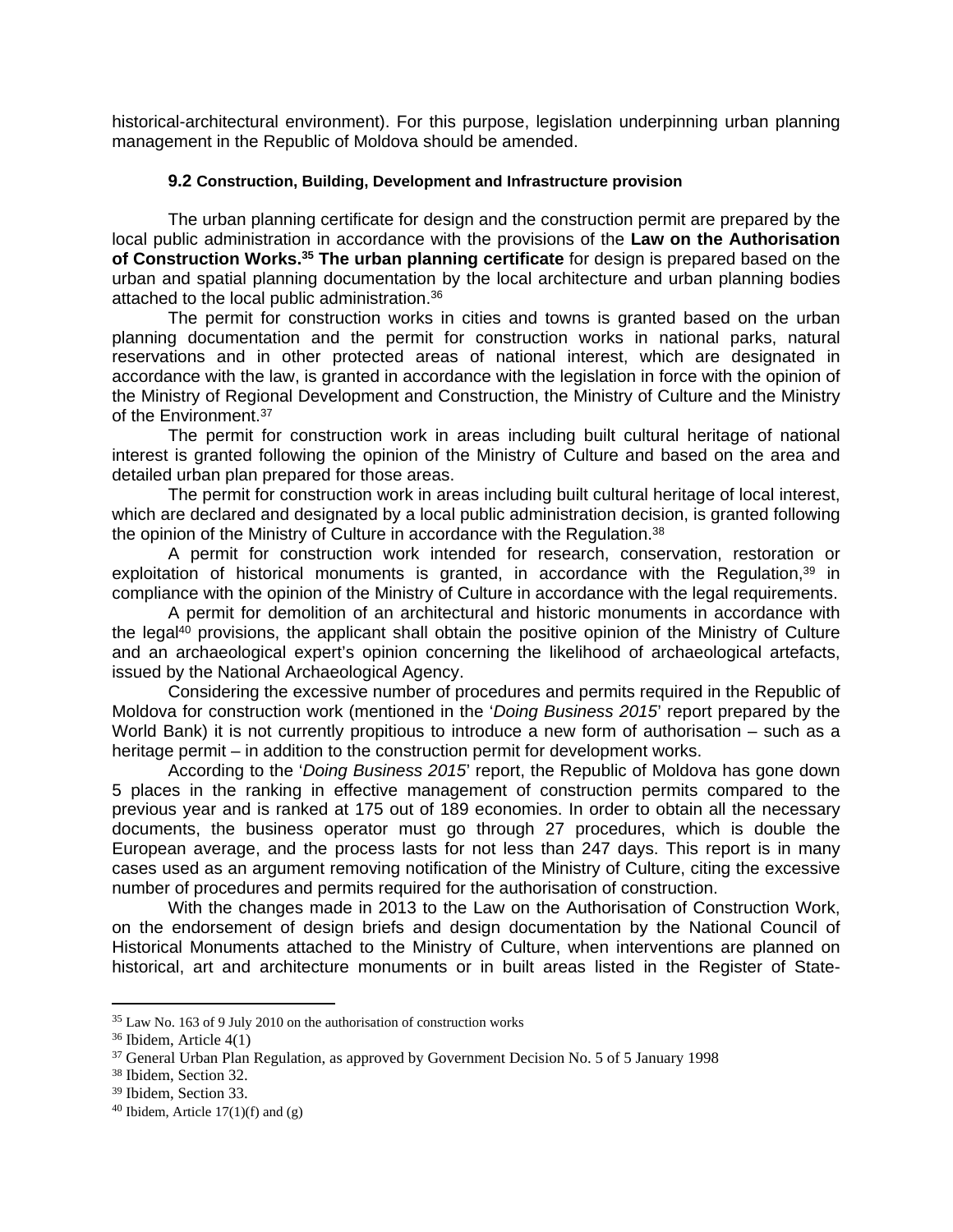historical-architectural environment). For this purpose, legislation underpinning urban planning management in the Republic of Moldova should be amended.

## **9.2 Construction, Building, Development and Infrastructure provision**

The urban planning certificate for design and the construction permit are prepared by the local public administration in accordance with the provisions of the **Law on the Authorisation of Construction Works.<sup>35</sup> The urban planning certificate** for design is prepared based on the urban and spatial planning documentation by the local architecture and urban planning bodies attached to the local public administration.<sup>36</sup>

The permit for construction works in cities and towns is granted based on the urban planning documentation and the permit for construction works in national parks, natural reservations and in other protected areas of national interest, which are designated in accordance with the law, is granted in accordance with the legislation in force with the opinion of the Ministry of Regional Development and Construction, the Ministry of Culture and the Ministry of the Environment.<sup>37</sup>

The permit for construction work in areas including built cultural heritage of national interest is granted following the opinion of the Ministry of Culture and based on the area and detailed urban plan prepared for those areas.

The permit for construction work in areas including built cultural heritage of local interest, which are declared and designated by a local public administration decision, is granted following the opinion of the Ministry of Culture in accordance with the Regulation.<sup>38</sup>

A permit for construction work intended for research, conservation, restoration or exploitation of historical monuments is granted, in accordance with the Regulation,<sup>39</sup> in compliance with the opinion of the Ministry of Culture in accordance with the legal requirements.

A permit for demolition of an architectural and historic monuments in accordance with the legal<sup>40</sup> provisions, the applicant shall obtain the positive opinion of the Ministry of Culture and an archaeological expert's opinion concerning the likelihood of archaeological artefacts, issued by the National Archaeological Agency.

Considering the excessive number of procedures and permits required in the Republic of Moldova for construction work (mentioned in the '*Doing Business 2015*' report prepared by the World Bank) it is not currently propitious to introduce a new form of authorisation – such as a heritage permit – in addition to the construction permit for development works.

According to the '*Doing Business 2015*' report, the Republic of Moldova has gone down 5 places in the ranking in effective management of construction permits compared to the previous year and is ranked at 175 out of 189 economies. In order to obtain all the necessary documents, the business operator must go through 27 procedures, which is double the European average, and the process lasts for not less than 247 days. This report is in many cases used as an argument removing notification of the Ministry of Culture, citing the excessive number of procedures and permits required for the authorisation of construction.

With the changes made in 2013 to the Law on the Authorisation of Construction Work, on the endorsement of design briefs and design documentation by the National Council of Historical Monuments attached to the Ministry of Culture, when interventions are planned on historical, art and architecture monuments or in built areas listed in the Register of State-

<sup>35</sup> Law No. 163 of 9 July 2010 on the authorisation of construction works

<sup>36</sup> Ibidem, Article 4(1)

<sup>&</sup>lt;sup>37</sup> General Urban Plan Regulation, as approved by Government Decision No. 5 of 5 January 1998

<sup>38</sup> Ibidem, Section 32.

<sup>39</sup> Ibidem, Section 33.

 $40$  Ibidem, Article 17(1)(f) and (g)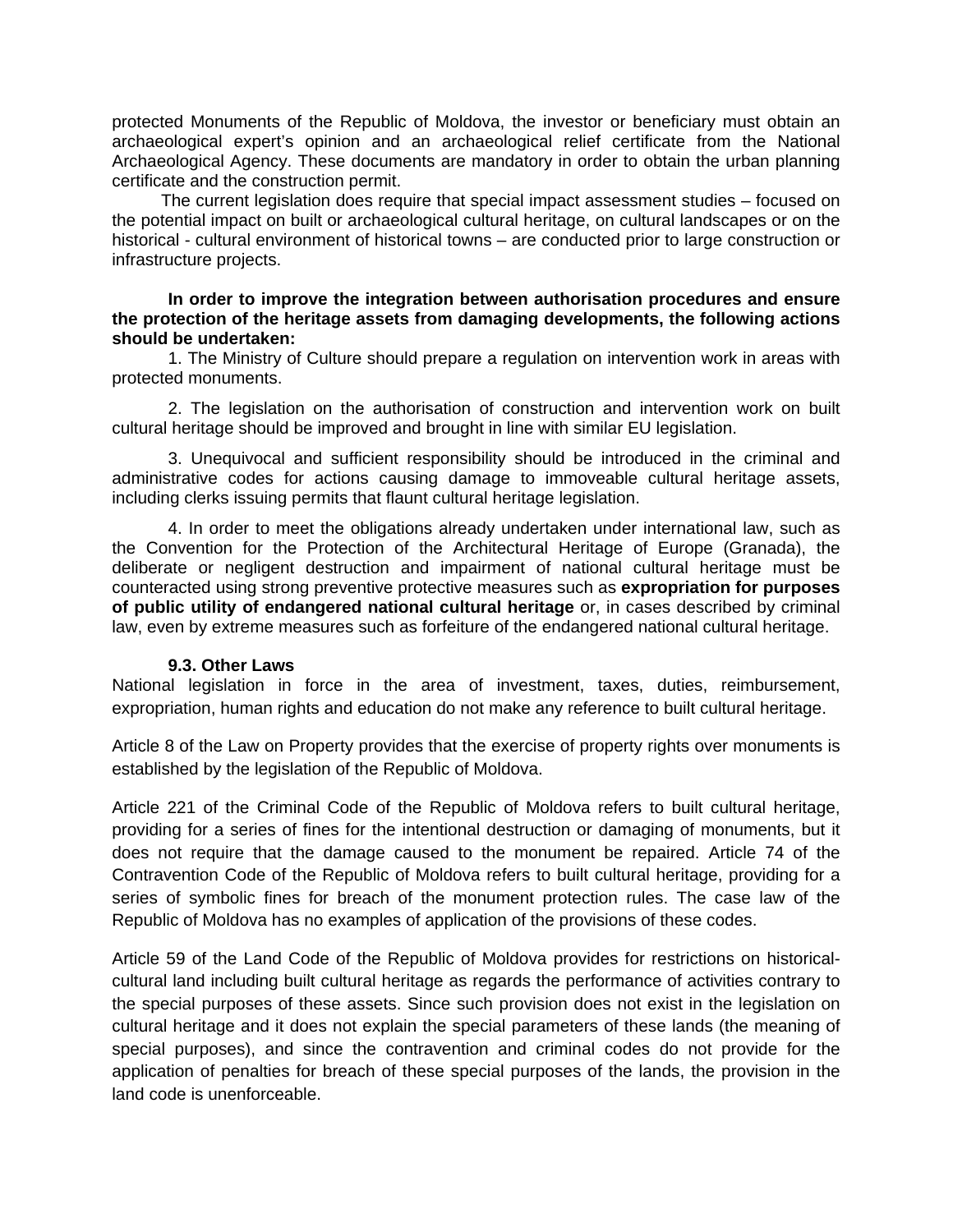protected Monuments of the Republic of Moldova, the investor or beneficiary must obtain an archaeological expert's opinion and an archaeological relief certificate from the National Archaeological Agency. These documents are mandatory in order to obtain the urban planning certificate and the construction permit.

The current legislation does require that special impact assessment studies – focused on the potential impact on built or archaeological cultural heritage, on cultural landscapes or on the historical - cultural environment of historical towns – are conducted prior to large construction or infrastructure projects.

#### **In order to improve the integration between authorisation procedures and ensure the protection of the heritage assets from damaging developments, the following actions should be undertaken:**

1. The Ministry of Culture should prepare a regulation on intervention work in areas with protected monuments.

2. The legislation on the authorisation of construction and intervention work on built cultural heritage should be improved and brought in line with similar EU legislation.

3. Unequivocal and sufficient responsibility should be introduced in the criminal and administrative codes for actions causing damage to immoveable cultural heritage assets, including clerks issuing permits that flaunt cultural heritage legislation.

4. In order to meet the obligations already undertaken under international law, such as the Convention for the Protection of the Architectural Heritage of Europe (Granada), the deliberate or negligent destruction and impairment of national cultural heritage must be counteracted using strong preventive protective measures such as **expropriation for purposes of public utility of endangered national cultural heritage** or, in cases described by criminal law, even by extreme measures such as forfeiture of the endangered national cultural heritage.

#### **9.3. Other Laws**

National legislation in force in the area of investment, taxes, duties, reimbursement, expropriation, human rights and education do not make any reference to built cultural heritage.

Article 8 of the Law on Property provides that the exercise of property rights over monuments is established by the legislation of the Republic of Moldova.

Article 221 of the Criminal Code of the Republic of Moldova refers to built cultural heritage, providing for a series of fines for the intentional destruction or damaging of monuments, but it does not require that the damage caused to the monument be repaired. Article 74 of the Contravention Code of the Republic of Moldova refers to built cultural heritage, providing for a series of symbolic fines for breach of the monument protection rules. The case law of the Republic of Moldova has no examples of application of the provisions of these codes.

Article 59 of the Land Code of the Republic of Moldova provides for restrictions on historicalcultural land including built cultural heritage as regards the performance of activities contrary to the special purposes of these assets. Since such provision does not exist in the legislation on cultural heritage and it does not explain the special parameters of these lands (the meaning of special purposes), and since the contravention and criminal codes do not provide for the application of penalties for breach of these special purposes of the lands, the provision in the land code is unenforceable.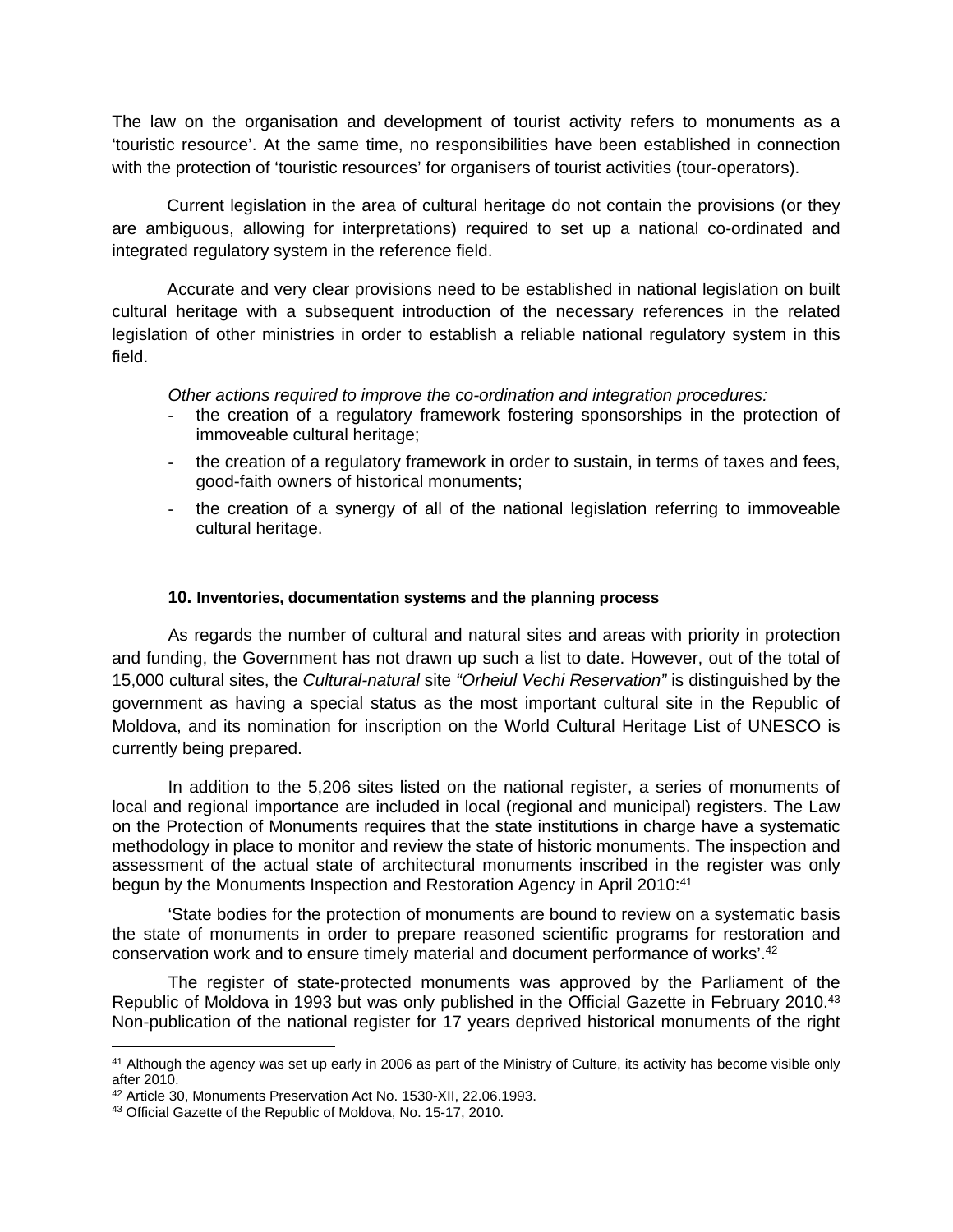The law on the organisation and development of tourist activity refers to monuments as a 'touristic resource'. At the same time, no responsibilities have been established in connection with the protection of 'touristic resources' for organisers of tourist activities (tour-operators).

Current legislation in the area of cultural heritage do not contain the provisions (or they are ambiguous, allowing for interpretations) required to set up a national co-ordinated and integrated regulatory system in the reference field.

Accurate and very clear provisions need to be established in national legislation on built cultural heritage with a subsequent introduction of the necessary references in the related legislation of other ministries in order to establish a reliable national regulatory system in this field.

*Other actions required to improve the co-ordination and integration procedures:*

- the creation of a regulatory framework fostering sponsorships in the protection of immoveable cultural heritage;
- the creation of a regulatory framework in order to sustain, in terms of taxes and fees, good-faith owners of historical monuments;
- the creation of a synergy of all of the national legislation referring to immoveable cultural heritage.

## **10. Inventories, documentation systems and the planning process**

As regards the number of cultural and natural sites and areas with priority in protection and funding, the Government has not drawn up such a list to date. However, out of the total of 15,000 cultural sites, the *Cultural-natural* site *"Orheiul Vechi Reservation"* is distinguished by the government as having a special status as the most important cultural site in the Republic of Moldova, and its nomination for inscription on the World Cultural Heritage List of UNESCO is currently being prepared.

In addition to the 5,206 sites listed on the national register, a series of monuments of local and regional importance are included in local (regional and municipal) registers. The Law on the Protection of Monuments requires that the state institutions in charge have a systematic methodology in place to monitor and review the state of historic monuments. The inspection and assessment of the actual state of architectural monuments inscribed in the register was only begun by the Monuments Inspection and Restoration Agency in April 2010:<sup>41</sup>

'State bodies for the protection of monuments are bound to review on a systematic basis the state of monuments in order to prepare reasoned scientific programs for restoration and conservation work and to ensure timely material and document performance of works'.<sup>42</sup>

The register of state-protected monuments was approved by the Parliament of the Republic of Moldova in 1993 but was only published in the Official Gazette in February 2010.<sup>43</sup> Non-publication of the national register for 17 years deprived historical monuments of the right

<sup>41</sup> Although the agency was set up early in 2006 as part of the Ministry of Culture, its activity has become visible only after 2010.

<sup>42</sup> Article 30, Monuments Preservation Act No. 1530-XII, 22.06.1993.

<sup>43</sup> Official Gazette of the Republic of Moldova, No. 15-17, 2010.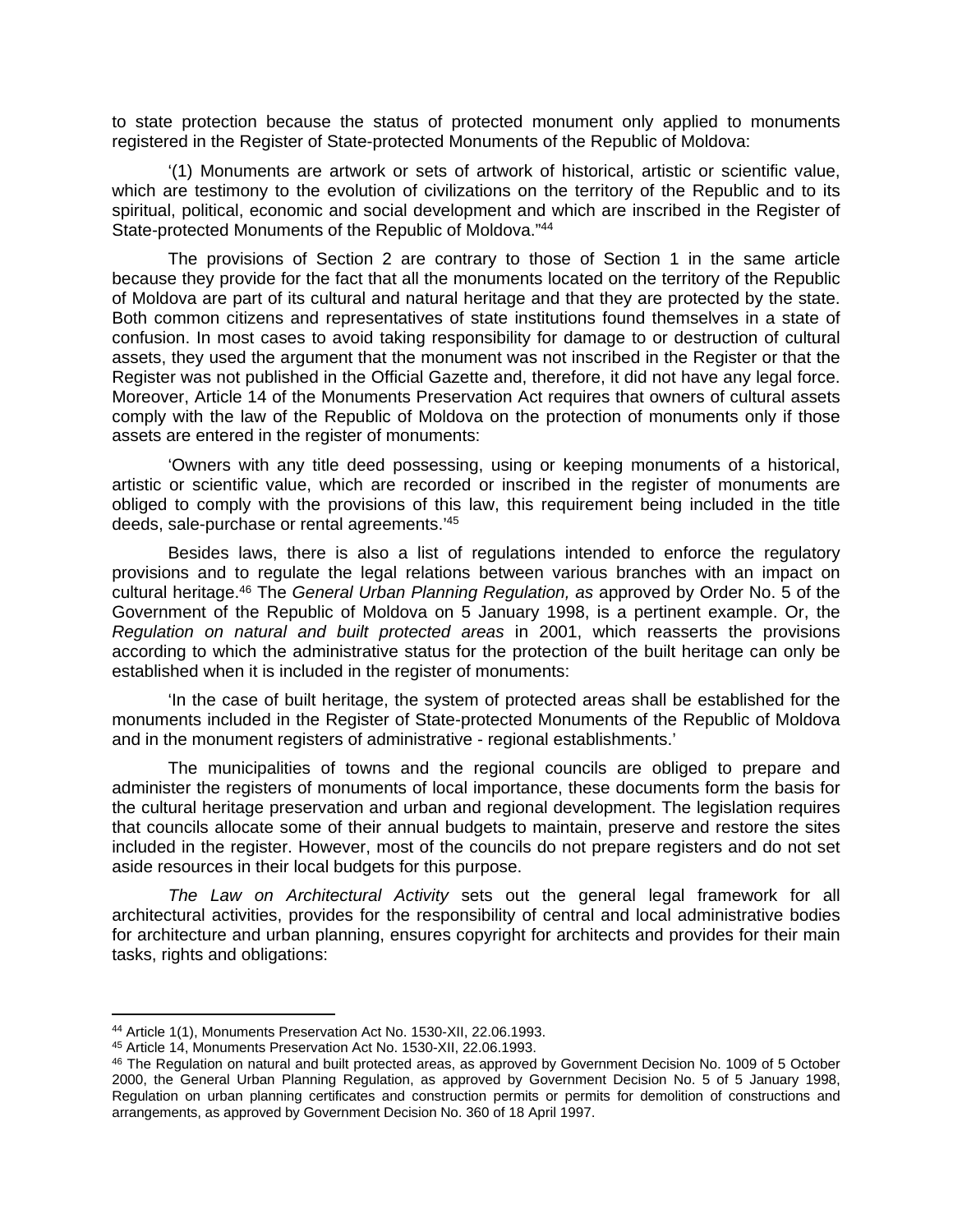to state protection because the status of protected monument only applied to monuments registered in the Register of State-protected Monuments of the Republic of Moldova:

'(1) Monuments are artwork or sets of artwork of historical, artistic or scientific value, which are testimony to the evolution of civilizations on the territory of the Republic and to its spiritual, political, economic and social development and which are inscribed in the Register of State-protected Monuments of the Republic of Moldova."<sup>44</sup>

The provisions of Section 2 are contrary to those of Section 1 in the same article because they provide for the fact that all the monuments located on the territory of the Republic of Moldova are part of its cultural and natural heritage and that they are protected by the state. Both common citizens and representatives of state institutions found themselves in a state of confusion. In most cases to avoid taking responsibility for damage to or destruction of cultural assets, they used the argument that the monument was not inscribed in the Register or that the Register was not published in the Official Gazette and, therefore, it did not have any legal force. Moreover, Article 14 of the Monuments Preservation Act requires that owners of cultural assets comply with the law of the Republic of Moldova on the protection of monuments only if those assets are entered in the register of monuments:

'Owners with any title deed possessing, using or keeping monuments of a historical, artistic or scientific value, which are recorded or inscribed in the register of monuments are obliged to comply with the provisions of this law, this requirement being included in the title deeds, sale-purchase or rental agreements.'<sup>45</sup>

Besides laws, there is also a list of regulations intended to enforce the regulatory provisions and to regulate the legal relations between various branches with an impact on cultural heritage.<sup>46</sup> The *General Urban Planning Regulation, as* approved by Order No. 5 of the Government of the Republic of Moldova on 5 January 1998, is a pertinent example. Or, the *Regulation on natural and built protected areas* in 2001, which reasserts the provisions according to which the administrative status for the protection of the built heritage can only be established when it is included in the register of monuments:

'In the case of built heritage, the system of protected areas shall be established for the monuments included in the Register of State-protected Monuments of the Republic of Moldova and in the monument registers of administrative - regional establishments.'

The municipalities of towns and the regional councils are obliged to prepare and administer the registers of monuments of local importance, these documents form the basis for the cultural heritage preservation and urban and regional development. The legislation requires that councils allocate some of their annual budgets to maintain, preserve and restore the sites included in the register. However, most of the councils do not prepare registers and do not set aside resources in their local budgets for this purpose.

*The Law on Architectural Activity* sets out the general legal framework for all architectural activities, provides for the responsibility of central and local administrative bodies for architecture and urban planning, ensures copyright for architects and provides for their main tasks, rights and obligations:

<sup>44</sup> Article 1(1), Monuments Preservation Act No. 1530-XII, 22.06.1993.

<sup>45</sup> Article 14, Monuments Preservation Act No. 1530-XII, 22.06.1993.

<sup>46</sup> The Regulation on natural and built protected areas, as approved by Government Decision No. 1009 of 5 October 2000, the General Urban Planning Regulation, as approved by Government Decision No. 5 of 5 January 1998, Regulation on urban planning certificates and construction permits or permits for demolition of constructions and arrangements, as approved by Government Decision No. 360 of 18 April 1997.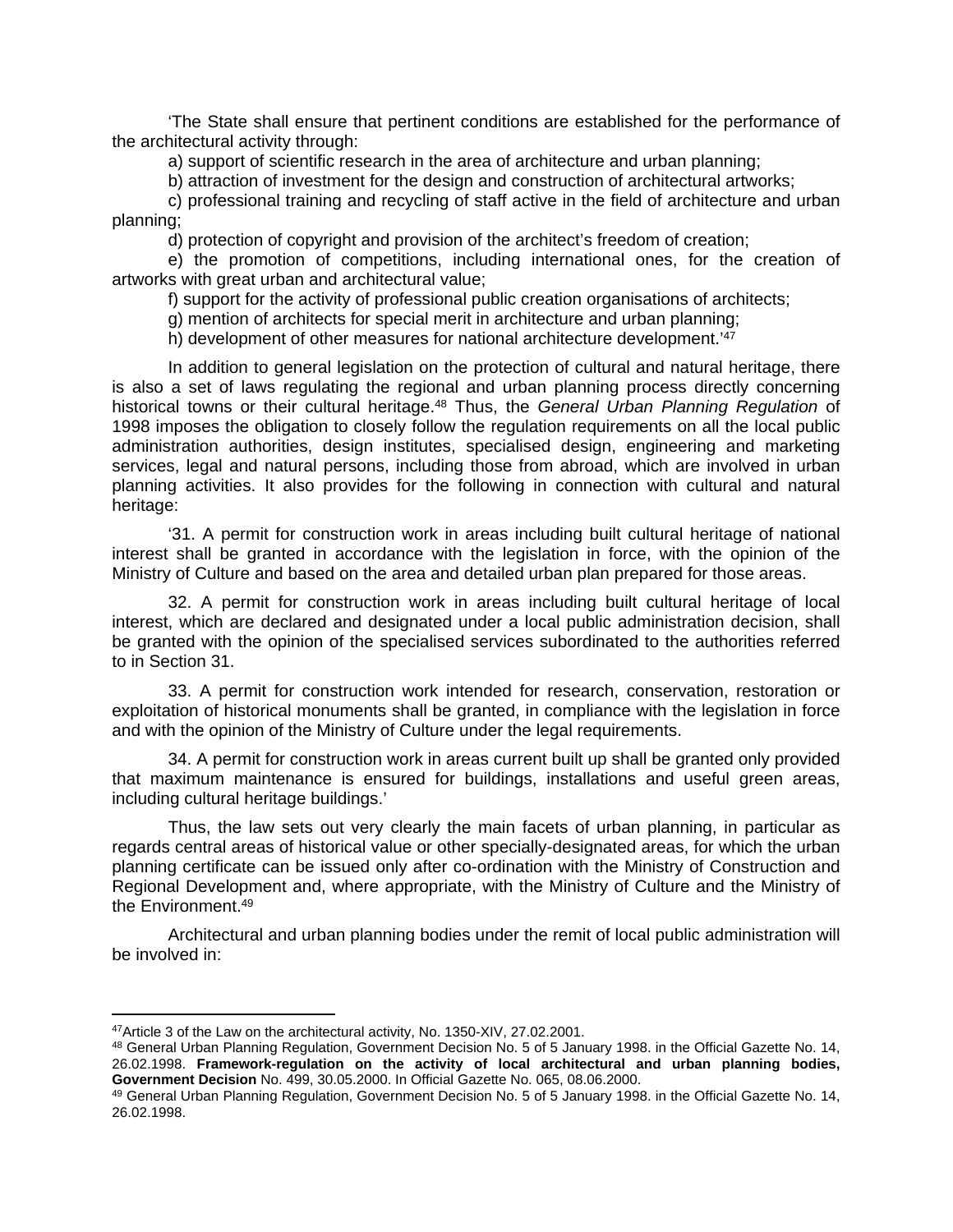'The State shall ensure that pertinent conditions are established for the performance of the architectural activity through:

a) support of scientific research in the area of architecture and urban planning;

b) attraction of investment for the design and construction of architectural artworks;

c) professional training and recycling of staff active in the field of architecture and urban planning;

d) protection of copyright and provision of the architect's freedom of creation;

e) the promotion of competitions, including international ones, for the creation of artworks with great urban and architectural value;

f) support for the activity of professional public creation organisations of architects;

g) mention of architects for special merit in architecture and urban planning;

h) development of other measures for national architecture development.<sup>147</sup>

In addition to general legislation on the protection of cultural and natural heritage, there is also a set of laws regulating the regional and urban planning process directly concerning historical towns or their cultural heritage.<sup>48</sup> Thus, the *General Urban Planning Regulation* of 1998 imposes the obligation to closely follow the regulation requirements on all the local public administration authorities, design institutes, specialised design, engineering and marketing services, legal and natural persons, including those from abroad, which are involved in urban planning activities. It also provides for the following in connection with cultural and natural heritage:

'31. A permit for construction work in areas including built cultural heritage of national interest shall be granted in accordance with the legislation in force, with the opinion of the Ministry of Culture and based on the area and detailed urban plan prepared for those areas.

32. A permit for construction work in areas including built cultural heritage of local interest, which are declared and designated under a local public administration decision, shall be granted with the opinion of the specialised services subordinated to the authorities referred to in Section 31.

33. A permit for construction work intended for research, conservation, restoration or exploitation of historical monuments shall be granted, in compliance with the legislation in force and with the opinion of the Ministry of Culture under the legal requirements.

34. A permit for construction work in areas current built up shall be granted only provided that maximum maintenance is ensured for buildings, installations and useful green areas, including cultural heritage buildings.'

Thus, the law sets out very clearly the main facets of urban planning, in particular as regards central areas of historical value or other specially-designated areas, for which the urban planning certificate can be issued only after co-ordination with the Ministry of Construction and Regional Development and, where appropriate, with the Ministry of Culture and the Ministry of the Environment.<sup>49</sup>

Architectural and urban planning bodies under the remit of local public administration will be involved in:

<sup>47</sup>Article 3 of the Law on the architectural activity, No. 1350-XIV, 27.02.2001.

<sup>48</sup> General Urban Planning Regulation, Government Decision No. 5 of 5 January 1998. in the Official Gazette No. 14, 26.02.1998. **Framework-regulation on the activity of local architectural and urban planning bodies, Government Decision** No. 499, 30.05.2000. In Official Gazette No. 065, 08.06.2000.

<sup>49</sup> General Urban Planning Regulation, Government Decision No. 5 of 5 January 1998. in the Official Gazette No. 14, 26.02.1998.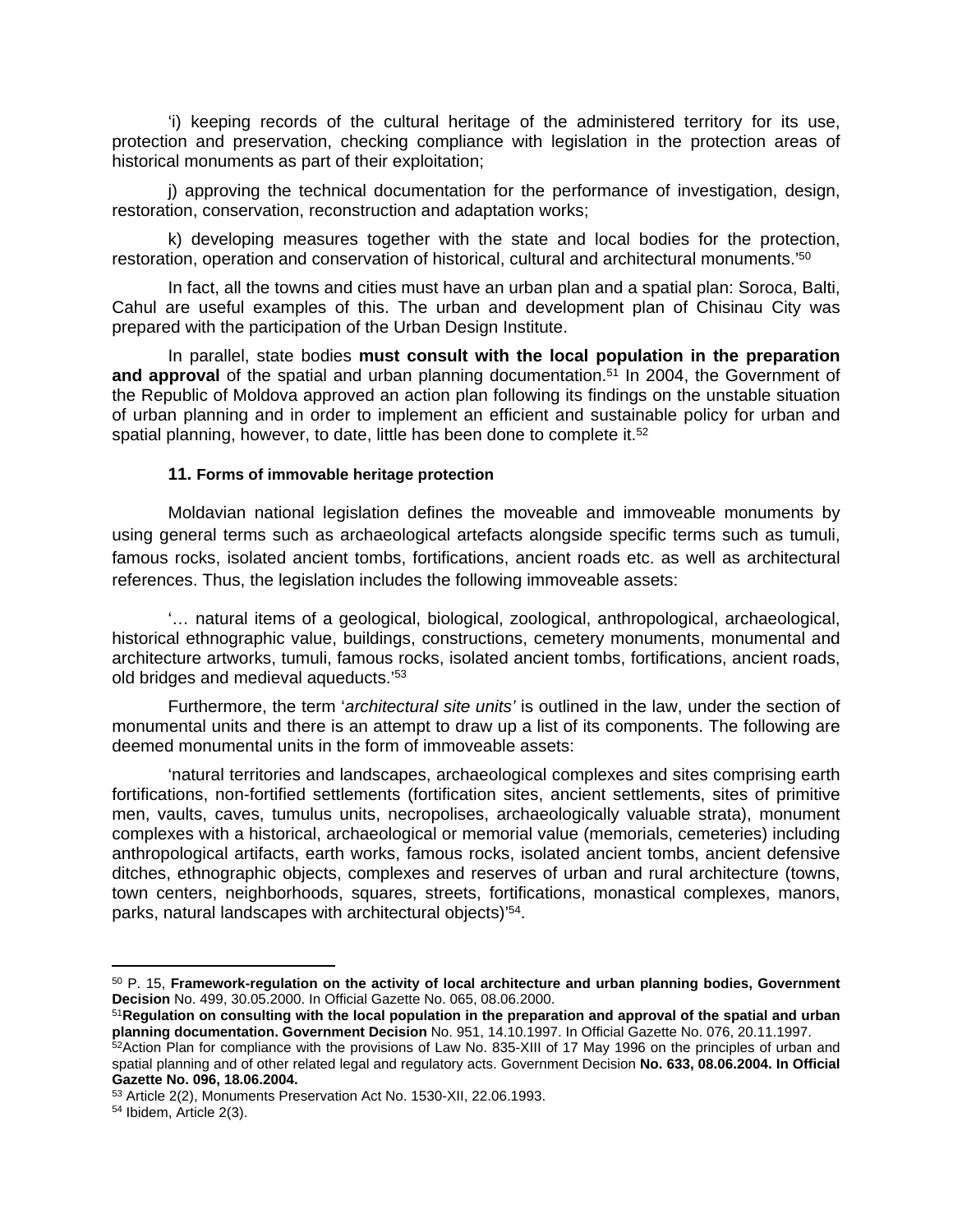'i) keeping records of the cultural heritage of the administered territory for its use, protection and preservation, checking compliance with legislation in the protection areas of historical monuments as part of their exploitation;

j) approving the technical documentation for the performance of investigation, design, restoration, conservation, reconstruction and adaptation works;

k) developing measures together with the state and local bodies for the protection, restoration, operation and conservation of historical, cultural and architectural monuments.'<sup>50</sup>

In fact, all the towns and cities must have an urban plan and a spatial plan: Soroca, Balti, Cahul are useful examples of this. The urban and development plan of Chisinau City was prepared with the participation of the Urban Design Institute.

In parallel, state bodies **must consult with the local population in the preparation**  and approval of the spatial and urban planning documentation.<sup>51</sup> In 2004, the Government of the Republic of Moldova approved an action plan following its findings on the unstable situation of urban planning and in order to implement an efficient and sustainable policy for urban and spatial planning, however, to date, little has been done to complete it.<sup>52</sup>

#### **11. Forms of immovable heritage protection**

Moldavian national legislation defines the moveable and immoveable monuments by using general terms such as archaeological artefacts alongside specific terms such as tumuli, famous rocks, isolated ancient tombs, fortifications, ancient roads etc. as well as architectural references. Thus, the legislation includes the following immoveable assets:

'… natural items of a geological, biological, zoological, anthropological, archaeological, historical ethnographic value, buildings, constructions, cemetery monuments, monumental and architecture artworks, tumuli, famous rocks, isolated ancient tombs, fortifications, ancient roads, old bridges and medieval aqueducts.'<sup>53</sup>

Furthermore, the term '*architectural site units'* is outlined in the law, under the section of monumental units and there is an attempt to draw up a list of its components. The following are deemed monumental units in the form of immoveable assets:

'natural territories and landscapes, archaeological complexes and sites comprising earth fortifications, non-fortified settlements (fortification sites, ancient settlements, sites of primitive men, vaults, caves, tumulus units, necropolises, archaeologically valuable strata), monument complexes with a historical, archaeological or memorial value (memorials, cemeteries) including anthropological artifacts, earth works, famous rocks, isolated ancient tombs, ancient defensive ditches, ethnographic objects, complexes and reserves of urban and rural architecture (towns, town centers, neighborhoods, squares, streets, fortifications, monastical complexes, manors, parks, natural landscapes with architectural objects)'<sup>54</sup> .

<sup>50</sup> P. 15, **Framework-regulation on the activity of local architecture and urban planning bodies, Government Decision** No. 499, 30.05.2000. In Official Gazette No. 065, 08.06.2000.

<sup>51</sup>**Regulation on consulting with the local population in the preparation and approval of the spatial and urban planning documentation. Government Decision** No. 951, 14.10.1997. In Official Gazette No. 076, 20.11.1997.

<sup>52</sup>Action Plan for compliance with the provisions of Law No. 835-XIII of 17 May 1996 on the principles of urban and spatial planning and of other related legal and regulatory acts. Government Decision **No. 633, 08.06.2004. In Official Gazette No. 096, 18.06.2004.**

<sup>53</sup> Article 2(2), Monuments Preservation Act No. 1530-XII, 22.06.1993.

<sup>54</sup> Ibidem, Article 2(3).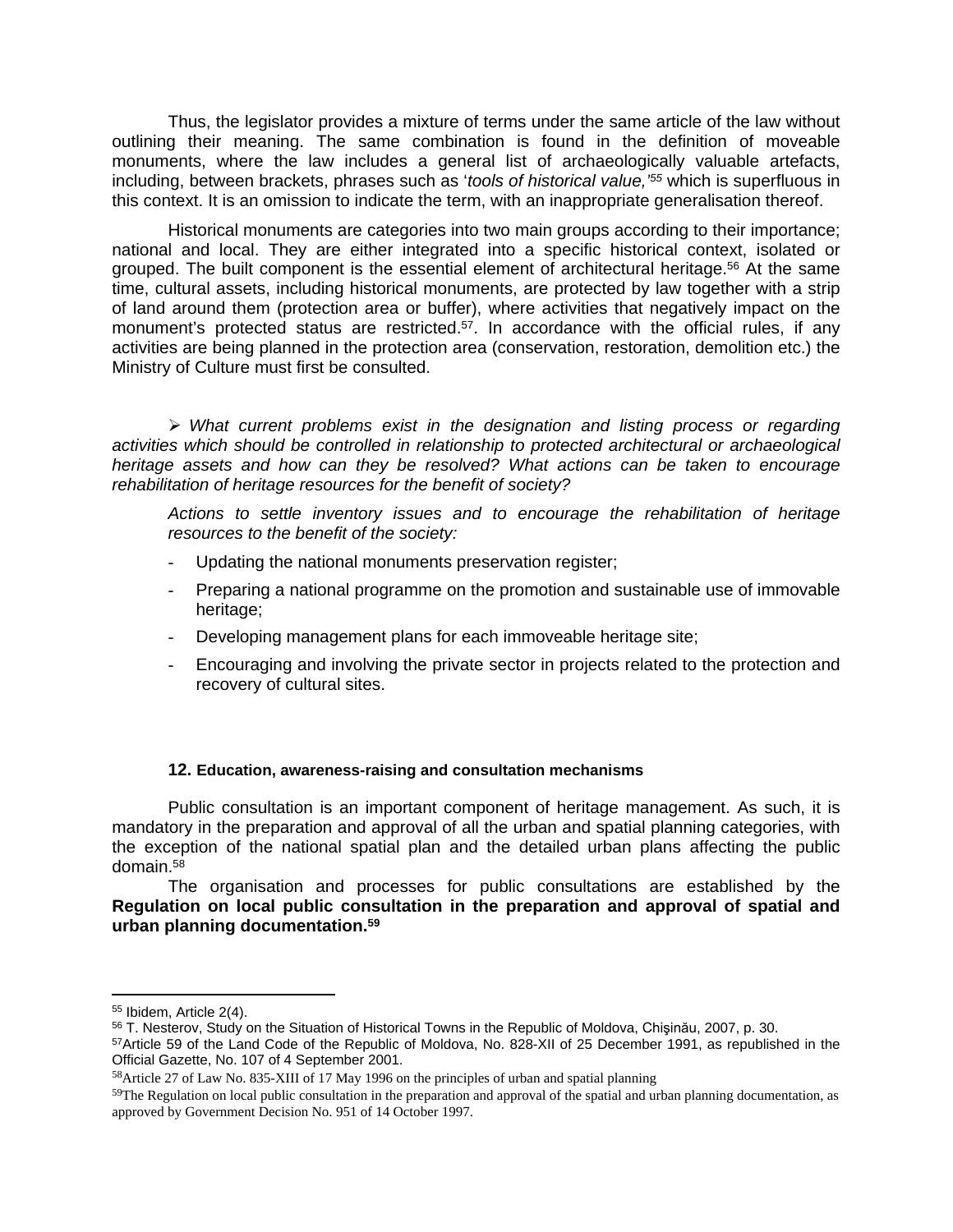Thus, the legislator provides a mixture of terms under the same article of the law without outlining their meaning. The same combination is found in the definition of moveable monuments, where the law includes a general list of archaeologically valuable artefacts, including, between brackets, phrases such as '*tools of historical value,'<sup>55</sup>* which is superfluous in this context. It is an omission to indicate the term, with an inappropriate generalisation thereof.

Historical monuments are categories into two main groups according to their importance; national and local. They are either integrated into a specific historical context, isolated or grouped. The built component is the essential element of architectural heritage.<sup>56</sup> At the same time, cultural assets, including historical monuments, are protected by law together with a strip of land around them (protection area or buffer), where activities that negatively impact on the monument's protected status are restricted.<sup>57</sup>. In accordance with the official rules, if any activities are being planned in the protection area (conservation, restoration, demolition etc.) the Ministry of Culture must first be consulted.

 *What current problems exist in the designation and listing process or regarding activities which should be controlled in relationship to protected architectural or archaeological heritage assets and how can they be resolved? What actions can be taken to encourage rehabilitation of heritage resources for the benefit of society?* 

*Actions to settle inventory issues and to encourage the rehabilitation of heritage resources to the benefit of the society:*

- Updating the national monuments preservation register;
- Preparing a national programme on the promotion and sustainable use of immovable heritage;
- Developing management plans for each immoveable heritage site;
- Encouraging and involving the private sector in projects related to the protection and recovery of cultural sites.

### **12. Education, awareness-raising and consultation mechanisms**

Public consultation is an important component of heritage management. As such, it is mandatory in the preparation and approval of all the urban and spatial planning categories, with the exception of the national spatial plan and the detailed urban plans affecting the public domain.<sup>58</sup>

The organisation and processes for public consultations are established by the **Regulation on local public consultation in the preparation and approval of spatial and urban planning documentation.<sup>59</sup>**

<sup>55</sup> Ibidem, Article 2(4).

<sup>56</sup> T. Nesterov, Study on the Situation of Historical Towns in the Republic of Moldova, Chişinău, 2007, p. 30.

<sup>57</sup>Article 59 of the Land Code of the Republic of Moldova, No. 828-XII of 25 December 1991, as republished in the Official Gazette, No. 107 of 4 September 2001.

<sup>58</sup>Article 27 of Law No. 835-XIII of 17 May 1996 on the principles of urban and spatial planning

 $59$ The Regulation on local public consultation in the preparation and approval of the spatial and urban planning documentation, as approved by Government Decision No. 951 of 14 October 1997.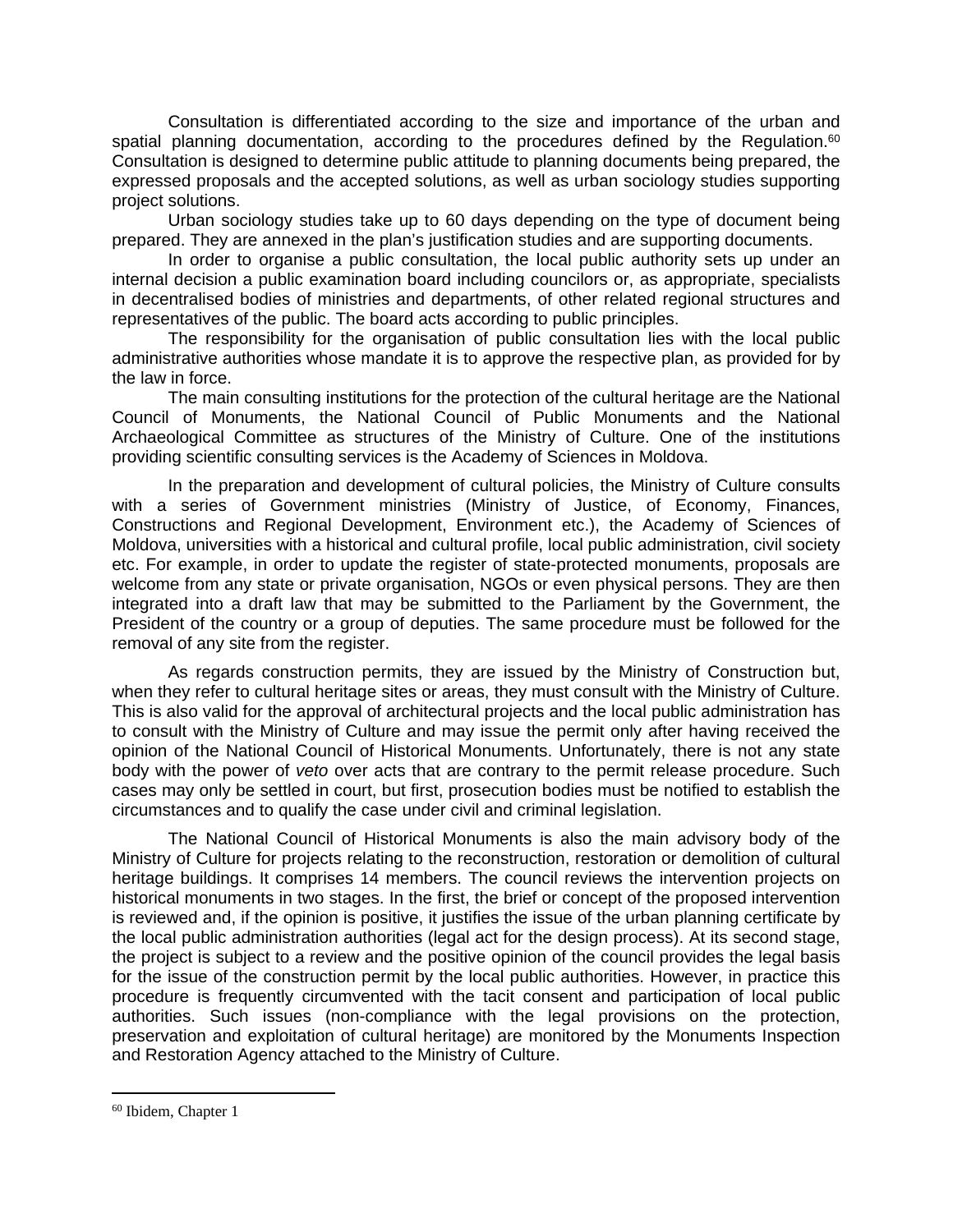Consultation is differentiated according to the size and importance of the urban and spatial planning documentation, according to the procedures defined by the Regulation.<sup>60</sup> Consultation is designed to determine public attitude to planning documents being prepared, the expressed proposals and the accepted solutions, as well as urban sociology studies supporting project solutions.

Urban sociology studies take up to 60 days depending on the type of document being prepared. They are annexed in the plan's justification studies and are supporting documents.

In order to organise a public consultation, the local public authority sets up under an internal decision a public examination board including councilors or, as appropriate, specialists in decentralised bodies of ministries and departments, of other related regional structures and representatives of the public. The board acts according to public principles.

The responsibility for the organisation of public consultation lies with the local public administrative authorities whose mandate it is to approve the respective plan, as provided for by the law in force.

The main consulting institutions for the protection of the cultural heritage are the National Council of Monuments, the National Council of Public Monuments and the National Archaeological Committee as structures of the Ministry of Culture. One of the institutions providing scientific consulting services is the Academy of Sciences in Moldova.

In the preparation and development of cultural policies, the Ministry of Culture consults with a series of Government ministries (Ministry of Justice, of Economy, Finances, Constructions and Regional Development, Environment etc.), the Academy of Sciences of Moldova, universities with a historical and cultural profile, local public administration, civil society etc. For example, in order to update the register of state-protected monuments, proposals are welcome from any state or private organisation, NGOs or even physical persons. They are then integrated into a draft law that may be submitted to the Parliament by the Government, the President of the country or a group of deputies. The same procedure must be followed for the removal of any site from the register.

As regards construction permits, they are issued by the Ministry of Construction but, when they refer to cultural heritage sites or areas, they must consult with the Ministry of Culture. This is also valid for the approval of architectural projects and the local public administration has to consult with the Ministry of Culture and may issue the permit only after having received the opinion of the National Council of Historical Monuments. Unfortunately, there is not any state body with the power of *veto* over acts that are contrary to the permit release procedure. Such cases may only be settled in court, but first, prosecution bodies must be notified to establish the circumstances and to qualify the case under civil and criminal legislation.

The National Council of Historical Monuments is also the main advisory body of the Ministry of Culture for projects relating to the reconstruction, restoration or demolition of cultural heritage buildings. It comprises 14 members. The council reviews the intervention projects on historical monuments in two stages. In the first, the brief or concept of the proposed intervention is reviewed and, if the opinion is positive, it justifies the issue of the urban planning certificate by the local public administration authorities (legal act for the design process). At its second stage, the project is subject to a review and the positive opinion of the council provides the legal basis for the issue of the construction permit by the local public authorities. However, in practice this procedure is frequently circumvented with the tacit consent and participation of local public authorities. Such issues (non-compliance with the legal provisions on the protection, preservation and exploitation of cultural heritage) are monitored by the Monuments Inspection and Restoration Agency attached to the Ministry of Culture.

<sup>60</sup> Ibidem, Chapter 1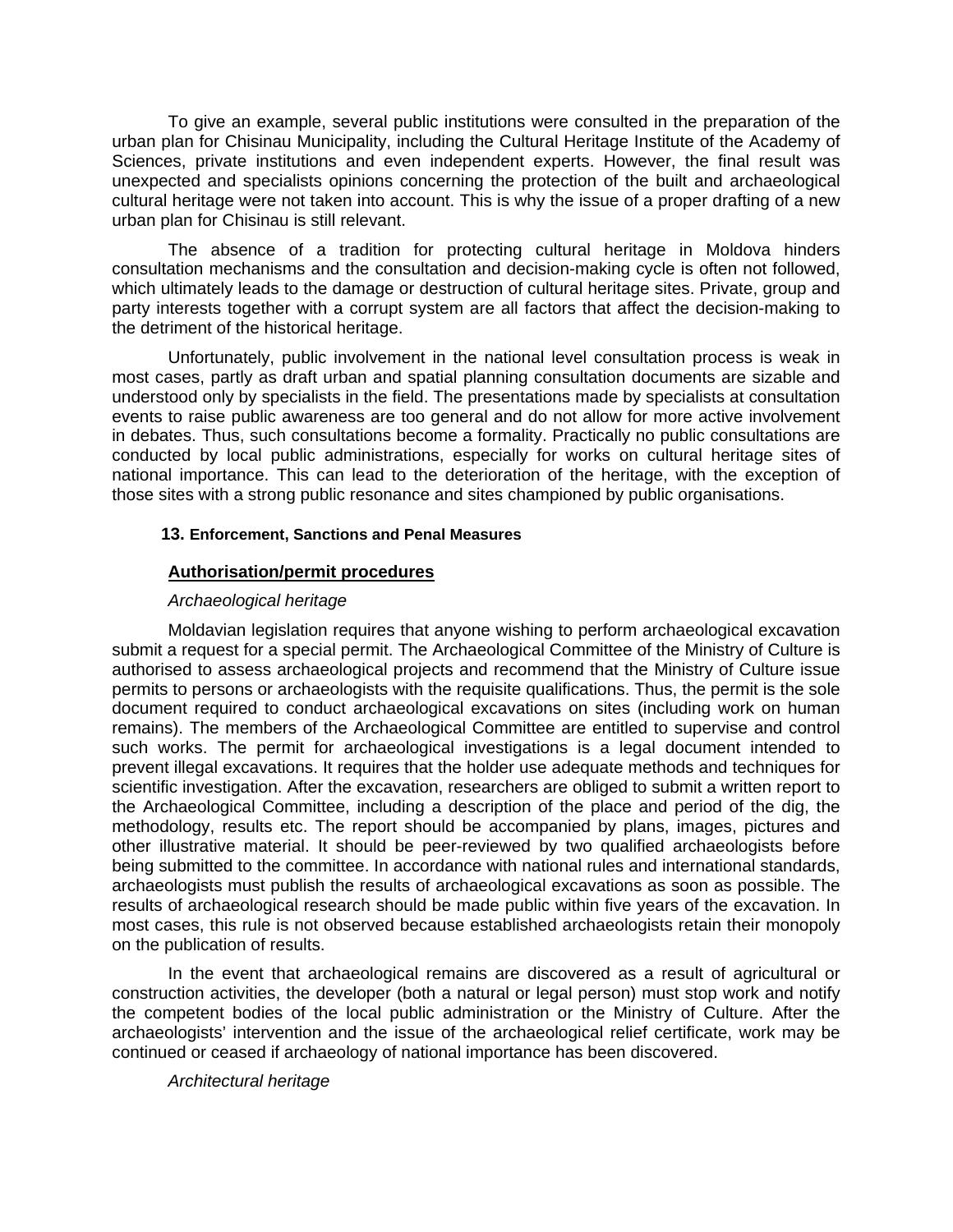To give an example, several public institutions were consulted in the preparation of the urban plan for Chisinau Municipality, including the Cultural Heritage Institute of the Academy of Sciences, private institutions and even independent experts. However, the final result was unexpected and specialists opinions concerning the protection of the built and archaeological cultural heritage were not taken into account. This is why the issue of a proper drafting of a new urban plan for Chisinau is still relevant.

The absence of a tradition for protecting cultural heritage in Moldova hinders consultation mechanisms and the consultation and decision-making cycle is often not followed, which ultimately leads to the damage or destruction of cultural heritage sites. Private, group and party interests together with a corrupt system are all factors that affect the decision-making to the detriment of the historical heritage.

Unfortunately, public involvement in the national level consultation process is weak in most cases, partly as draft urban and spatial planning consultation documents are sizable and understood only by specialists in the field. The presentations made by specialists at consultation events to raise public awareness are too general and do not allow for more active involvement in debates. Thus, such consultations become a formality. Practically no public consultations are conducted by local public administrations, especially for works on cultural heritage sites of national importance. This can lead to the deterioration of the heritage, with the exception of those sites with a strong public resonance and sites championed by public organisations.

## **13. Enforcement, Sanctions and Penal Measures**

## **Authorisation/permit procedures**

## *Archaeological heritage*

Moldavian legislation requires that anyone wishing to perform archaeological excavation submit a request for a special permit. The Archaeological Committee of the Ministry of Culture is authorised to assess archaeological projects and recommend that the Ministry of Culture issue permits to persons or archaeologists with the requisite qualifications. Thus, the permit is the sole document required to conduct archaeological excavations on sites (including work on human remains). The members of the Archaeological Committee are entitled to supervise and control such works. The permit for archaeological investigations is a legal document intended to prevent illegal excavations. It requires that the holder use adequate methods and techniques for scientific investigation. After the excavation, researchers are obliged to submit a written report to the Archaeological Committee, including a description of the place and period of the dig, the methodology, results etc. The report should be accompanied by plans, images, pictures and other illustrative material. It should be peer-reviewed by two qualified archaeologists before being submitted to the committee. In accordance with national rules and international standards, archaeologists must publish the results of archaeological excavations as soon as possible. The results of archaeological research should be made public within five years of the excavation. In most cases, this rule is not observed because established archaeologists retain their monopoly on the publication of results.

In the event that archaeological remains are discovered as a result of agricultural or construction activities, the developer (both a natural or legal person) must stop work and notify the competent bodies of the local public administration or the Ministry of Culture. After the archaeologists' intervention and the issue of the archaeological relief certificate, work may be continued or ceased if archaeology of national importance has been discovered.

## *Architectural heritage*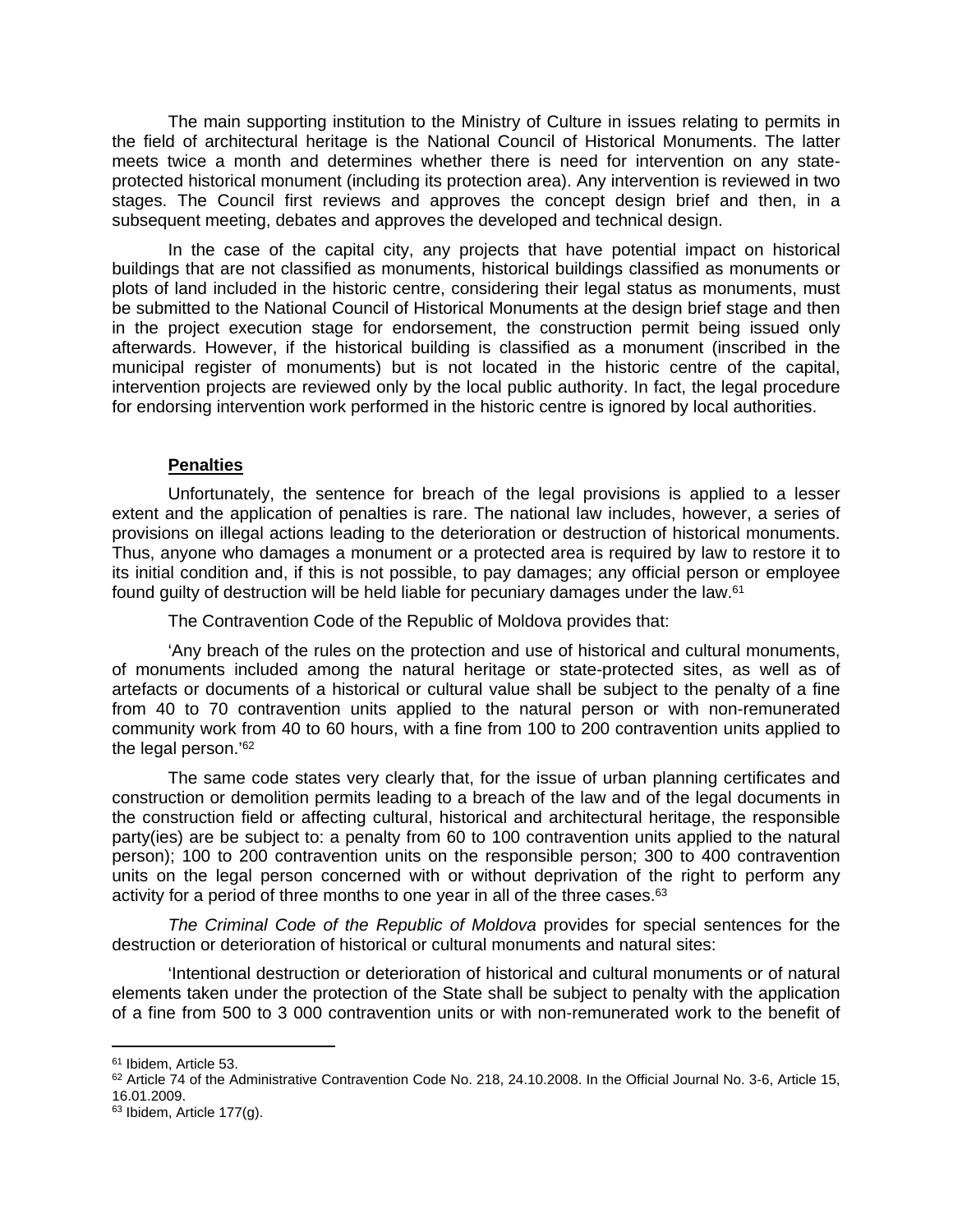The main supporting institution to the Ministry of Culture in issues relating to permits in the field of architectural heritage is the National Council of Historical Monuments. The latter meets twice a month and determines whether there is need for intervention on any stateprotected historical monument (including its protection area). Any intervention is reviewed in two stages. The Council first reviews and approves the concept design brief and then, in a subsequent meeting, debates and approves the developed and technical design.

In the case of the capital city, any projects that have potential impact on historical buildings that are not classified as monuments, historical buildings classified as monuments or plots of land included in the historic centre, considering their legal status as monuments, must be submitted to the National Council of Historical Monuments at the design brief stage and then in the project execution stage for endorsement, the construction permit being issued only afterwards. However, if the historical building is classified as a monument (inscribed in the municipal register of monuments) but is not located in the historic centre of the capital, intervention projects are reviewed only by the local public authority. In fact, the legal procedure for endorsing intervention work performed in the historic centre is ignored by local authorities.

## **Penalties**

Unfortunately, the sentence for breach of the legal provisions is applied to a lesser extent and the application of penalties is rare. The national law includes, however, a series of provisions on illegal actions leading to the deterioration or destruction of historical monuments. Thus, anyone who damages a monument or a protected area is required by law to restore it to its initial condition and, if this is not possible, to pay damages; any official person or employee found guilty of destruction will be held liable for pecuniary damages under the law.<sup>61</sup>

The Contravention Code of the Republic of Moldova provides that:

'Any breach of the rules on the protection and use of historical and cultural monuments, of monuments included among the natural heritage or state-protected sites, as well as of artefacts or documents of a historical or cultural value shall be subject to the penalty of a fine from 40 to 70 contravention units applied to the natural person or with non-remunerated community work from 40 to 60 hours, with a fine from 100 to 200 contravention units applied to the legal person.'<sup>62</sup>

The same code states very clearly that, for the issue of urban planning certificates and construction or demolition permits leading to a breach of the law and of the legal documents in the construction field or affecting cultural, historical and architectural heritage, the responsible party(ies) are be subject to: a penalty from 60 to 100 contravention units applied to the natural person); 100 to 200 contravention units on the responsible person; 300 to 400 contravention units on the legal person concerned with or without deprivation of the right to perform any activity for a period of three months to one year in all of the three cases.<sup>63</sup>

*The Criminal Code of the Republic of Moldova* provides for special sentences for the destruction or deterioration of historical or cultural monuments and natural sites:

'Intentional destruction or deterioration of historical and cultural monuments or of natural elements taken under the protection of the State shall be subject to penalty with the application of a fine from 500 to 3 000 contravention units or with non-remunerated work to the benefit of

<sup>61</sup> Ibidem, Article 53.

<sup>62</sup> Article 74 of the Administrative Contravention Code No. 218, 24.10.2008. In the Official Journal No. 3-6, Article 15, 16.01.2009.

<sup>63</sup> Ibidem, Article 177(g).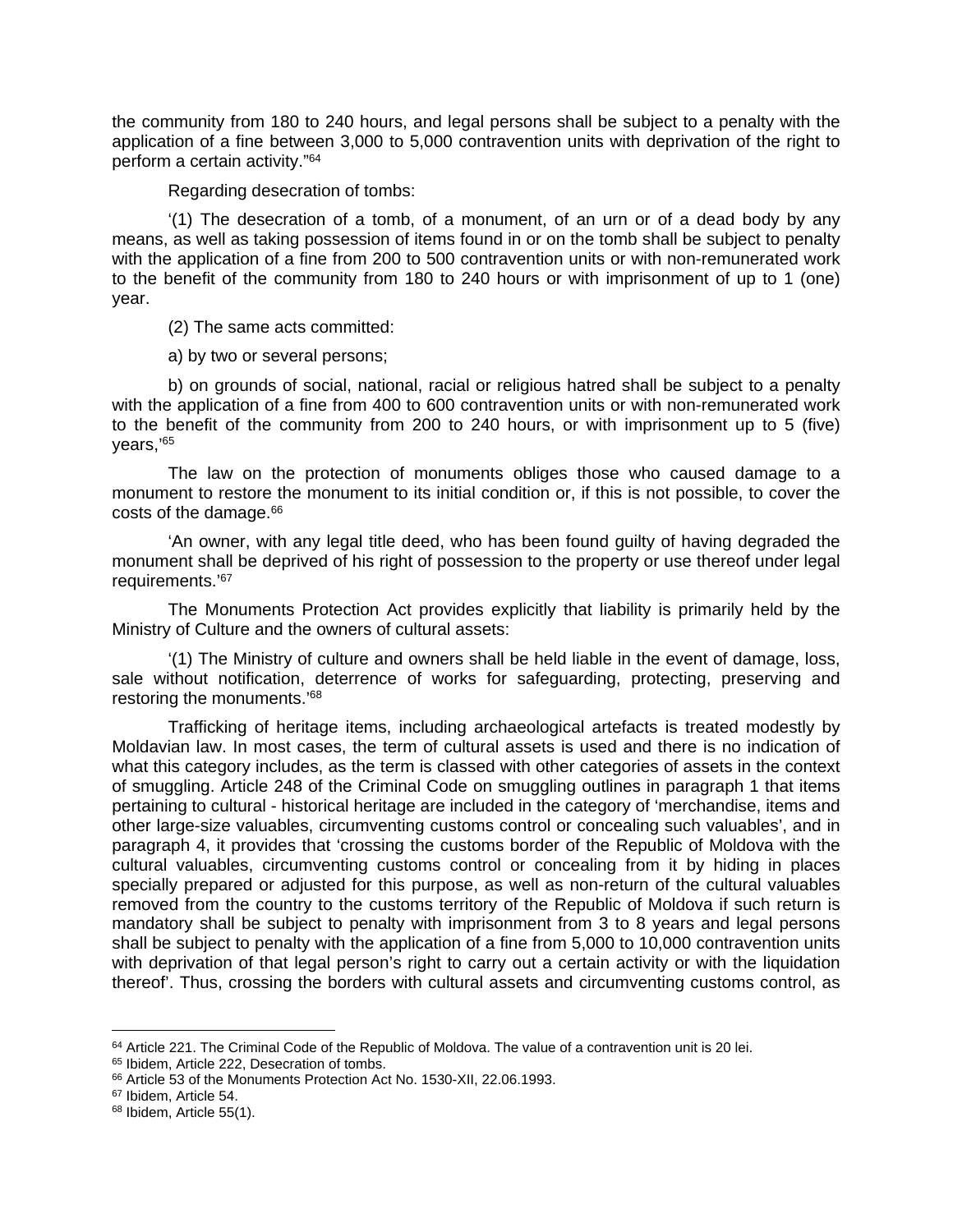the community from 180 to 240 hours, and legal persons shall be subject to a penalty with the application of a fine between 3,000 to 5,000 contravention units with deprivation of the right to perform a certain activity."<sup>64</sup>

Regarding desecration of tombs:

'(1) The desecration of a tomb, of a monument, of an urn or of a dead body by any means, as well as taking possession of items found in or on the tomb shall be subject to penalty with the application of a fine from 200 to 500 contravention units or with non-remunerated work to the benefit of the community from 180 to 240 hours or with imprisonment of up to 1 (one) year.

(2) The same acts committed:

a) by two or several persons;

b) on grounds of social, national, racial or religious hatred shall be subject to a penalty with the application of a fine from 400 to 600 contravention units or with non-remunerated work to the benefit of the community from 200 to 240 hours, or with imprisonment up to 5 (five) years,'<sup>65</sup>

The law on the protection of monuments obliges those who caused damage to a monument to restore the monument to its initial condition or, if this is not possible, to cover the costs of the damage.<sup>66</sup>

'An owner, with any legal title deed, who has been found guilty of having degraded the monument shall be deprived of his right of possession to the property or use thereof under legal requirements.'<sup>67</sup>

The Monuments Protection Act provides explicitly that liability is primarily held by the Ministry of Culture and the owners of cultural assets:

'(1) The Ministry of culture and owners shall be held liable in the event of damage, loss, sale without notification, deterrence of works for safeguarding, protecting, preserving and restoring the monuments.'<sup>68</sup>

Trafficking of heritage items, including archaeological artefacts is treated modestly by Moldavian law. In most cases, the term of cultural assets is used and there is no indication of what this category includes, as the term is classed with other categories of assets in the context of smuggling. Article 248 of the Criminal Code on smuggling outlines in paragraph 1 that items pertaining to cultural - historical heritage are included in the category of 'merchandise, items and other large-size valuables, circumventing customs control or concealing such valuables', and in paragraph 4, it provides that 'crossing the customs border of the Republic of Moldova with the cultural valuables, circumventing customs control or concealing from it by hiding in places specially prepared or adjusted for this purpose, as well as non-return of the cultural valuables removed from the country to the customs territory of the Republic of Moldova if such return is mandatory shall be subject to penalty with imprisonment from 3 to 8 years and legal persons shall be subject to penalty with the application of a fine from 5,000 to 10,000 contravention units with deprivation of that legal person's right to carry out a certain activity or with the liquidation thereof'. Thus, crossing the borders with cultural assets and circumventing customs control, as

 $64$  Article 221. The Criminal Code of the Republic of Moldova. The value of a contravention unit is 20 lei.

<sup>65</sup> Ibidem, Article 222, Desecration of tombs.

<sup>66</sup> Article 53 of the Monuments Protection Act No. 1530-XII, 22.06.1993.

<sup>67</sup> Ibidem, Article 54.

<sup>68</sup> Ibidem, Article 55(1).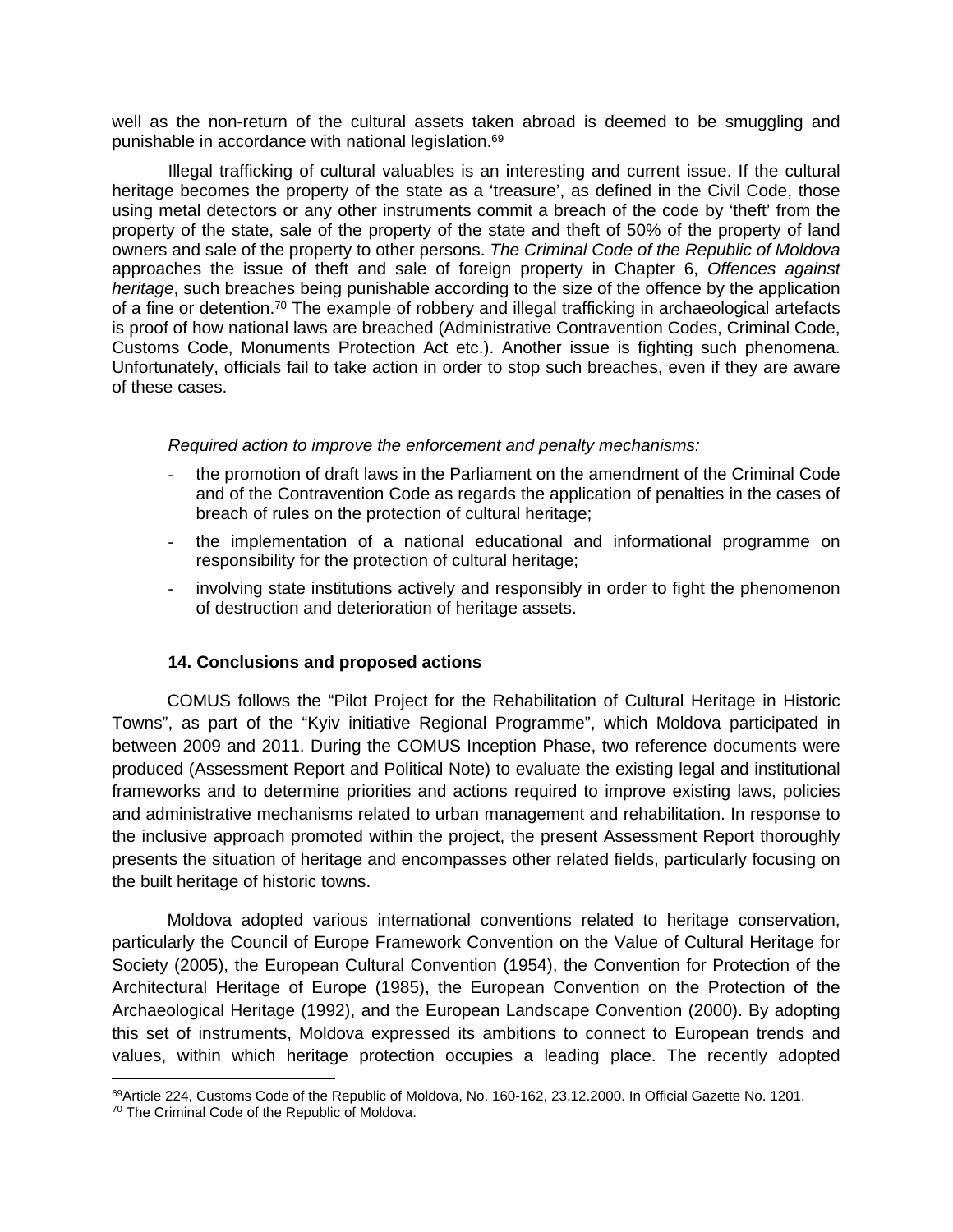well as the non-return of the cultural assets taken abroad is deemed to be smuggling and punishable in accordance with national legislation.<sup>69</sup>

Illegal trafficking of cultural valuables is an interesting and current issue. If the cultural heritage becomes the property of the state as a 'treasure', as defined in the Civil Code, those using metal detectors or any other instruments commit a breach of the code by 'theft' from the property of the state, sale of the property of the state and theft of 50% of the property of land owners and sale of the property to other persons. *The Criminal Code of the Republic of Moldova* approaches the issue of theft and sale of foreign property in Chapter 6, *Offences against heritage*, such breaches being punishable according to the size of the offence by the application of a fine or detention.<sup>70</sup> The example of robbery and illegal trafficking in archaeological artefacts is proof of how national laws are breached (Administrative Contravention Codes, Criminal Code, Customs Code, Monuments Protection Act etc.). Another issue is fighting such phenomena. Unfortunately, officials fail to take action in order to stop such breaches, even if they are aware of these cases.

*Required action to improve the enforcement and penalty mechanisms:*

- the promotion of draft laws in the Parliament on the amendment of the Criminal Code and of the Contravention Code as regards the application of penalties in the cases of breach of rules on the protection of cultural heritage;
- the implementation of a national educational and informational programme on responsibility for the protection of cultural heritage;
- involving state institutions actively and responsibly in order to fight the phenomenon of destruction and deterioration of heritage assets.

## **14. Conclusions and proposed actions**

COMUS follows the "Pilot Project for the Rehabilitation of Cultural Heritage in Historic Towns", as part of the "Kyiv initiative Regional Programme", which Moldova participated in between 2009 and 2011. During the COMUS Inception Phase, two reference documents were produced (Assessment Report and Political Note) to evaluate the existing legal and institutional frameworks and to determine priorities and actions required to improve existing laws, policies and administrative mechanisms related to urban management and rehabilitation. In response to the inclusive approach promoted within the project, the present Assessment Report thoroughly presents the situation of heritage and encompasses other related fields, particularly focusing on the built heritage of historic towns.

Moldova adopted various international conventions related to heritage conservation, particularly the Council of Europe Framework Convention on the Value of Cultural Heritage for Society (2005), the European Cultural Convention (1954), the Convention for Protection of the Architectural Heritage of Europe (1985), the European Convention on the Protection of the Archaeological Heritage (1992), and the European Landscape Convention (2000). By adopting this set of instruments, Moldova expressed its ambitions to connect to European trends and values, within which heritage protection occupies a leading place. The recently adopted

<sup>69</sup>Article 224, Customs Code of the Republic of Moldova, No. 160-162, 23.12.2000. In Official Gazette No. 1201.

<sup>70</sup> The Criminal Code of the Republic of Moldova.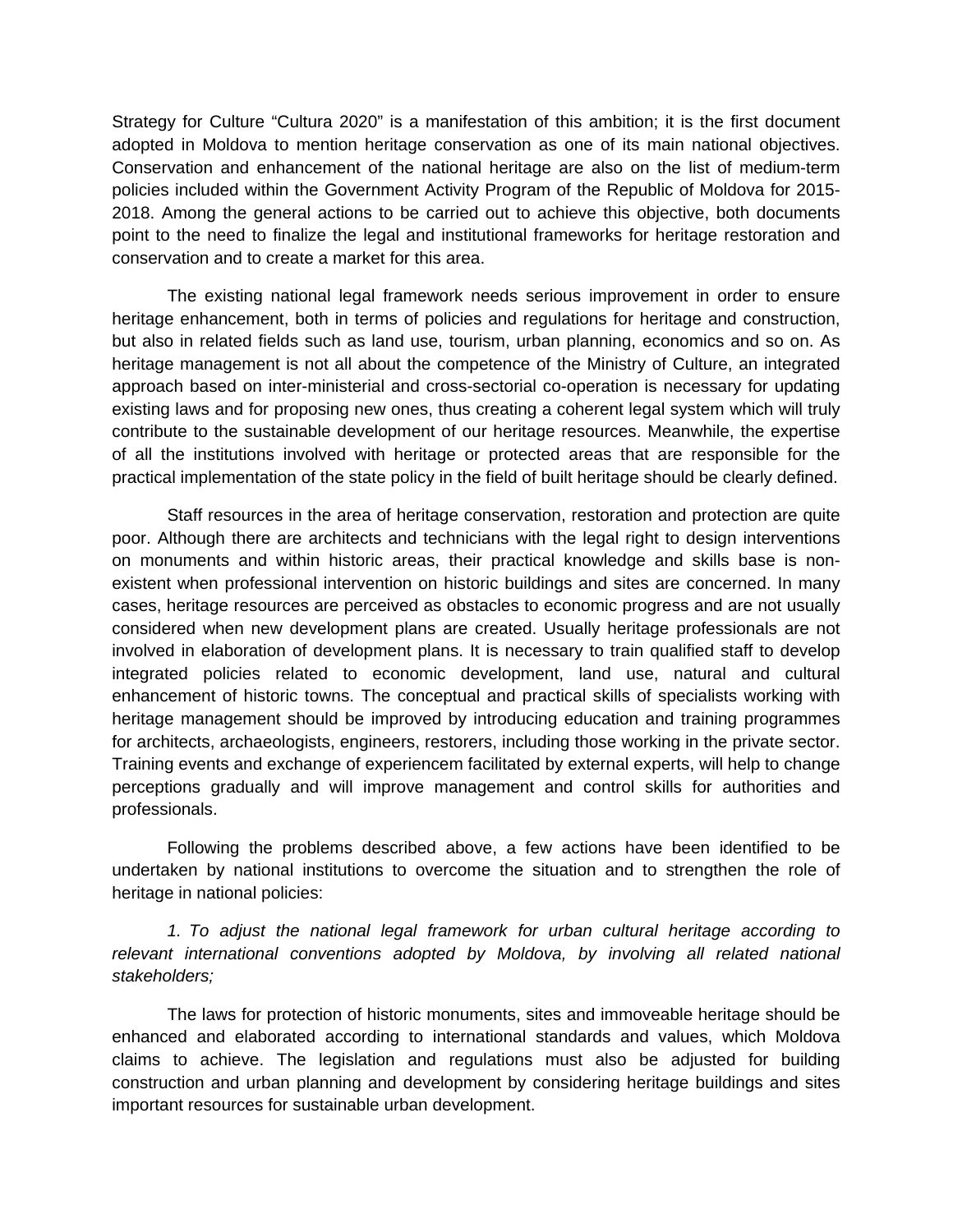Strategy for Culture "Cultura 2020" is a manifestation of this ambition; it is the first document adopted in Moldova to mention heritage conservation as one of its main national objectives. Conservation and enhancement of the national heritage are also on the list of medium-term policies included within the Government Activity Program of the Republic of Moldova for 2015- 2018. Among the general actions to be carried out to achieve this objective, both documents point to the need to finalize the legal and institutional frameworks for heritage restoration and conservation and to create a market for this area.

The existing national legal framework needs serious improvement in order to ensure heritage enhancement, both in terms of policies and regulations for heritage and construction, but also in related fields such as land use, tourism, urban planning, economics and so on. As heritage management is not all about the competence of the Ministry of Culture, an integrated approach based on inter-ministerial and cross-sectorial co-operation is necessary for updating existing laws and for proposing new ones, thus creating a coherent legal system which will truly contribute to the sustainable development of our heritage resources. Meanwhile, the expertise of all the institutions involved with heritage or protected areas that are responsible for the practical implementation of the state policy in the field of built heritage should be clearly defined.

Staff resources in the area of heritage conservation, restoration and protection are quite poor. Although there are architects and technicians with the legal right to design interventions on monuments and within historic areas, their practical knowledge and skills base is nonexistent when professional intervention on historic buildings and sites are concerned. In many cases, heritage resources are perceived as obstacles to economic progress and are not usually considered when new development plans are created. Usually heritage professionals are not involved in elaboration of development plans. It is necessary to train qualified staff to develop integrated policies related to economic development, land use, natural and cultural enhancement of historic towns. The conceptual and practical skills of specialists working with heritage management should be improved by introducing education and training programmes for architects, archaeologists, engineers, restorers, including those working in the private sector. Training events and exchange of experiencem facilitated by external experts, will help to change perceptions gradually and will improve management and control skills for authorities and professionals.

Following the problems described above, a few actions have been identified to be undertaken by national institutions to overcome the situation and to strengthen the role of heritage in national policies:

*1. To adjust the national legal framework for urban cultural heritage according to relevant international conventions adopted by Moldova, by involving all related national stakeholders;*

The laws for protection of historic monuments, sites and immoveable heritage should be enhanced and elaborated according to international standards and values, which Moldova claims to achieve. The legislation and regulations must also be adjusted for building construction and urban planning and development by considering heritage buildings and sites important resources for sustainable urban development.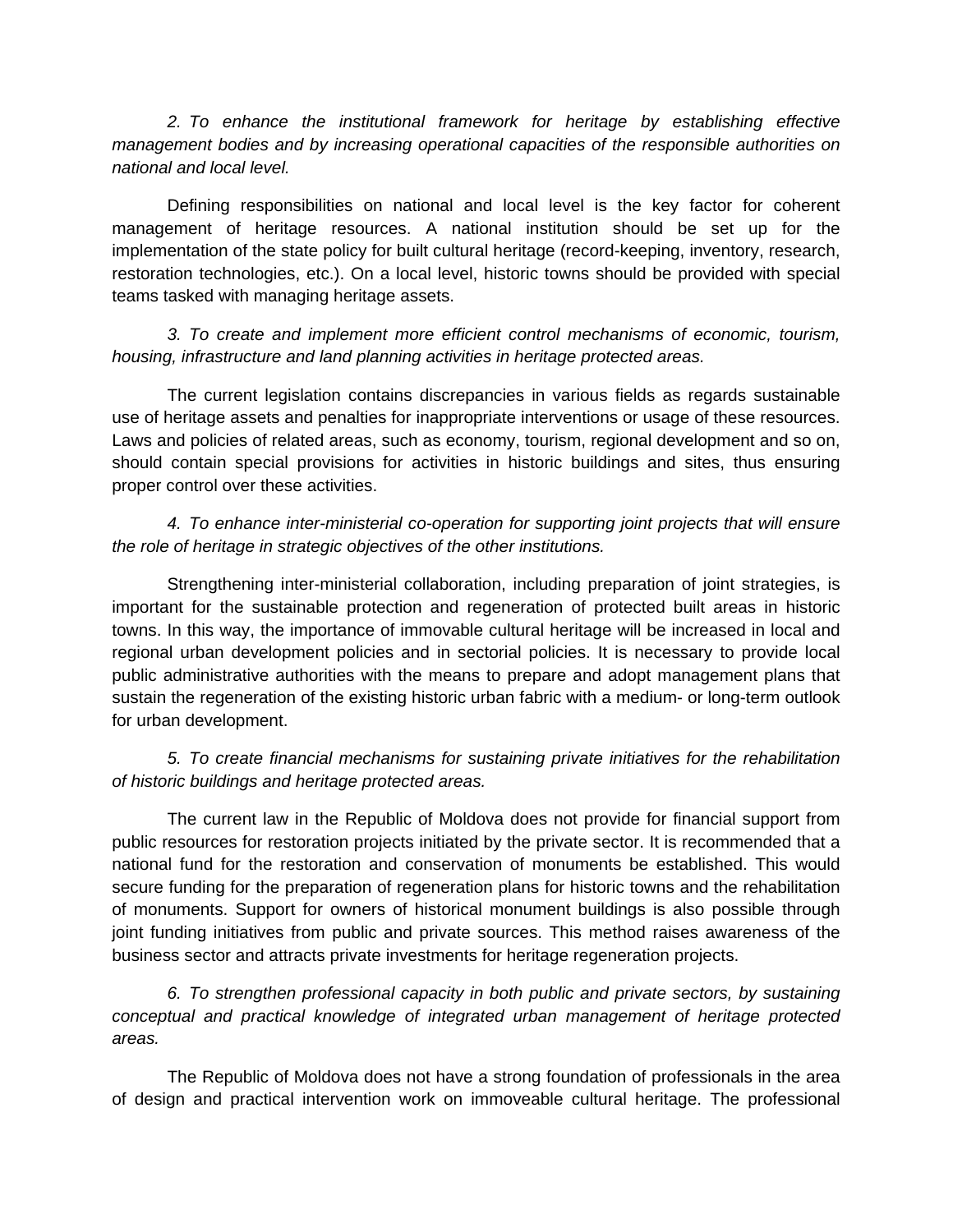*2. To enhance the institutional framework for heritage by establishing effective management bodies and by increasing operational capacities of the responsible authorities on national and local level.*

Defining responsibilities on national and local level is the key factor for coherent management of heritage resources. A national institution should be set up for the implementation of the state policy for built cultural heritage (record-keeping, inventory, research, restoration technologies, etc.). On a local level, historic towns should be provided with special teams tasked with managing heritage assets.

*3. To create and implement more efficient control mechanisms of economic, tourism, housing, infrastructure and land planning activities in heritage protected areas.* 

The current legislation contains discrepancies in various fields as regards sustainable use of heritage assets and penalties for inappropriate interventions or usage of these resources. Laws and policies of related areas, such as economy, tourism, regional development and so on, should contain special provisions for activities in historic buildings and sites, thus ensuring proper control over these activities.

*4. To enhance inter-ministerial co-operation for supporting joint projects that will ensure the role of heritage in strategic objectives of the other institutions.* 

Strengthening inter-ministerial collaboration, including preparation of joint strategies, is important for the sustainable protection and regeneration of protected built areas in historic towns. In this way, the importance of immovable cultural heritage will be increased in local and regional urban development policies and in sectorial policies. It is necessary to provide local public administrative authorities with the means to prepare and adopt management plans that sustain the regeneration of the existing historic urban fabric with a medium- or long-term outlook for urban development.

*5. To create financial mechanisms for sustaining private initiatives for the rehabilitation of historic buildings and heritage protected areas.* 

The current law in the Republic of Moldova does not provide for financial support from public resources for restoration projects initiated by the private sector. It is recommended that a national fund for the restoration and conservation of monuments be established. This would secure funding for the preparation of regeneration plans for historic towns and the rehabilitation of monuments. Support for owners of historical monument buildings is also possible through joint funding initiatives from public and private sources. This method raises awareness of the business sector and attracts private investments for heritage regeneration projects.

*6. To strengthen professional capacity in both public and private sectors, by sustaining conceptual and practical knowledge of integrated urban management of heritage protected areas.*

The Republic of Moldova does not have a strong foundation of professionals in the area of design and practical intervention work on immoveable cultural heritage. The professional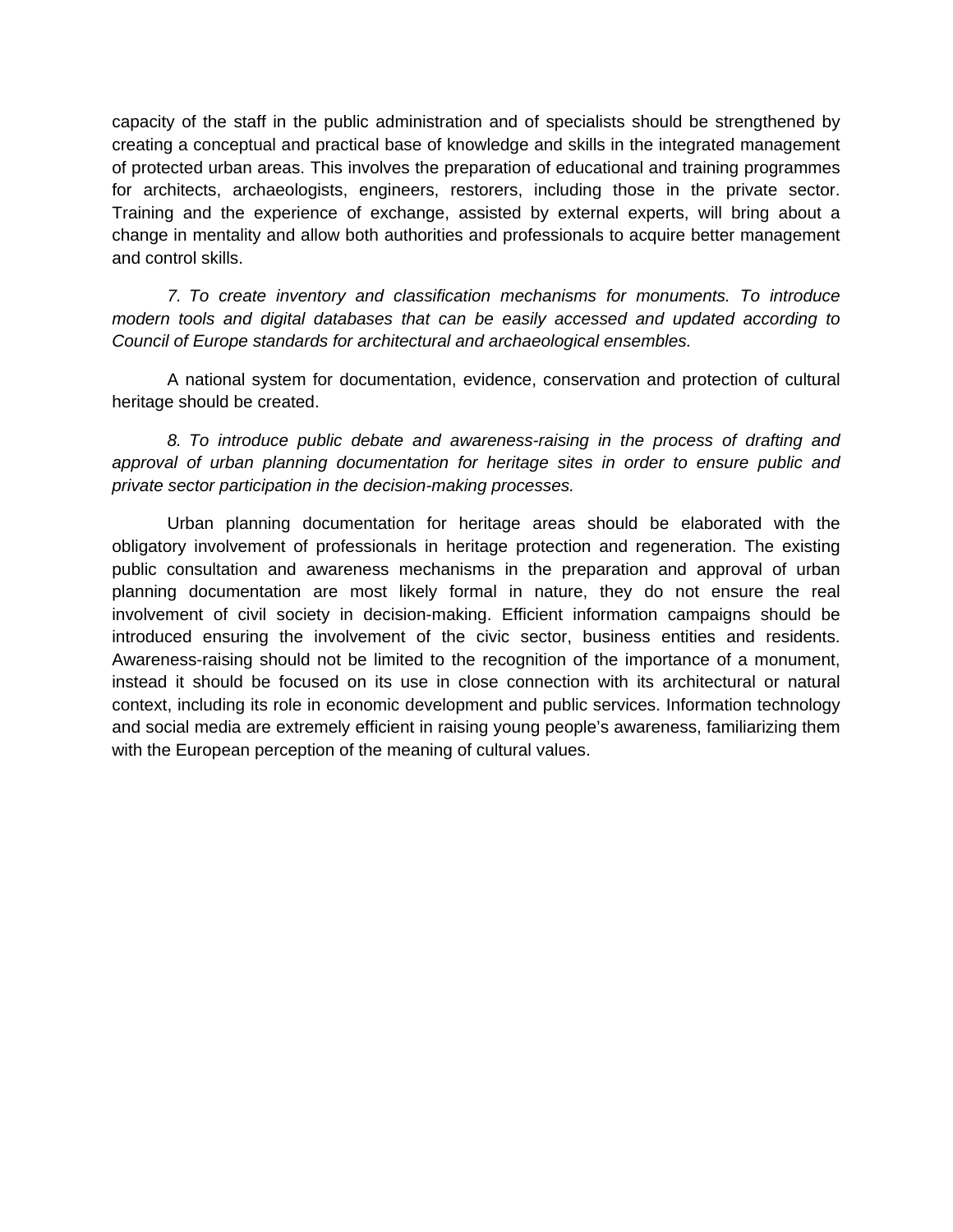capacity of the staff in the public administration and of specialists should be strengthened by creating a conceptual and practical base of knowledge and skills in the integrated management of protected urban areas. This involves the preparation of educational and training programmes for architects, archaeologists, engineers, restorers, including those in the private sector. Training and the experience of exchange, assisted by external experts, will bring about a change in mentality and allow both authorities and professionals to acquire better management and control skills.

*7. To create inventory and classification mechanisms for monuments. To introduce modern tools and digital databases that can be easily accessed and updated according to Council of Europe standards for architectural and archaeological ensembles.*

A national system for documentation, evidence, conservation and protection of cultural heritage should be created.

*8. To introduce public debate and awareness-raising in the process of drafting and approval of urban planning documentation for heritage sites in order to ensure public and private sector participation in the decision-making processes.*

Urban planning documentation for heritage areas should be elaborated with the obligatory involvement of professionals in heritage protection and regeneration. The existing public consultation and awareness mechanisms in the preparation and approval of urban planning documentation are most likely formal in nature, they do not ensure the real involvement of civil society in decision-making. Efficient information campaigns should be introduced ensuring the involvement of the civic sector, business entities and residents. Awareness-raising should not be limited to the recognition of the importance of a monument, instead it should be focused on its use in close connection with its architectural or natural context, including its role in economic development and public services. Information technology and social media are extremely efficient in raising young people's awareness, familiarizing them with the European perception of the meaning of cultural values.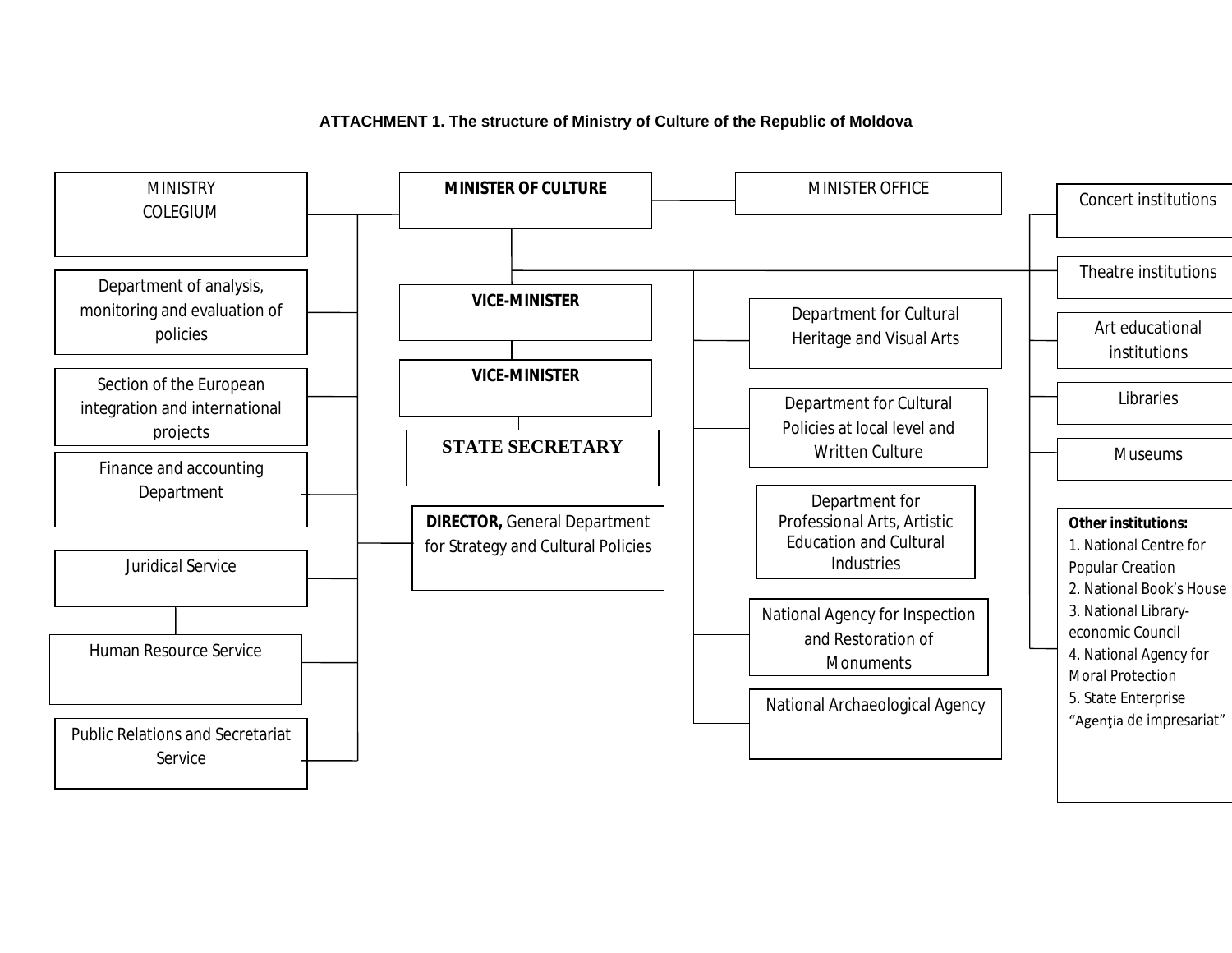

## **ATTACHMENT 1. The structure of Ministry of Culture of the Republic of Moldova**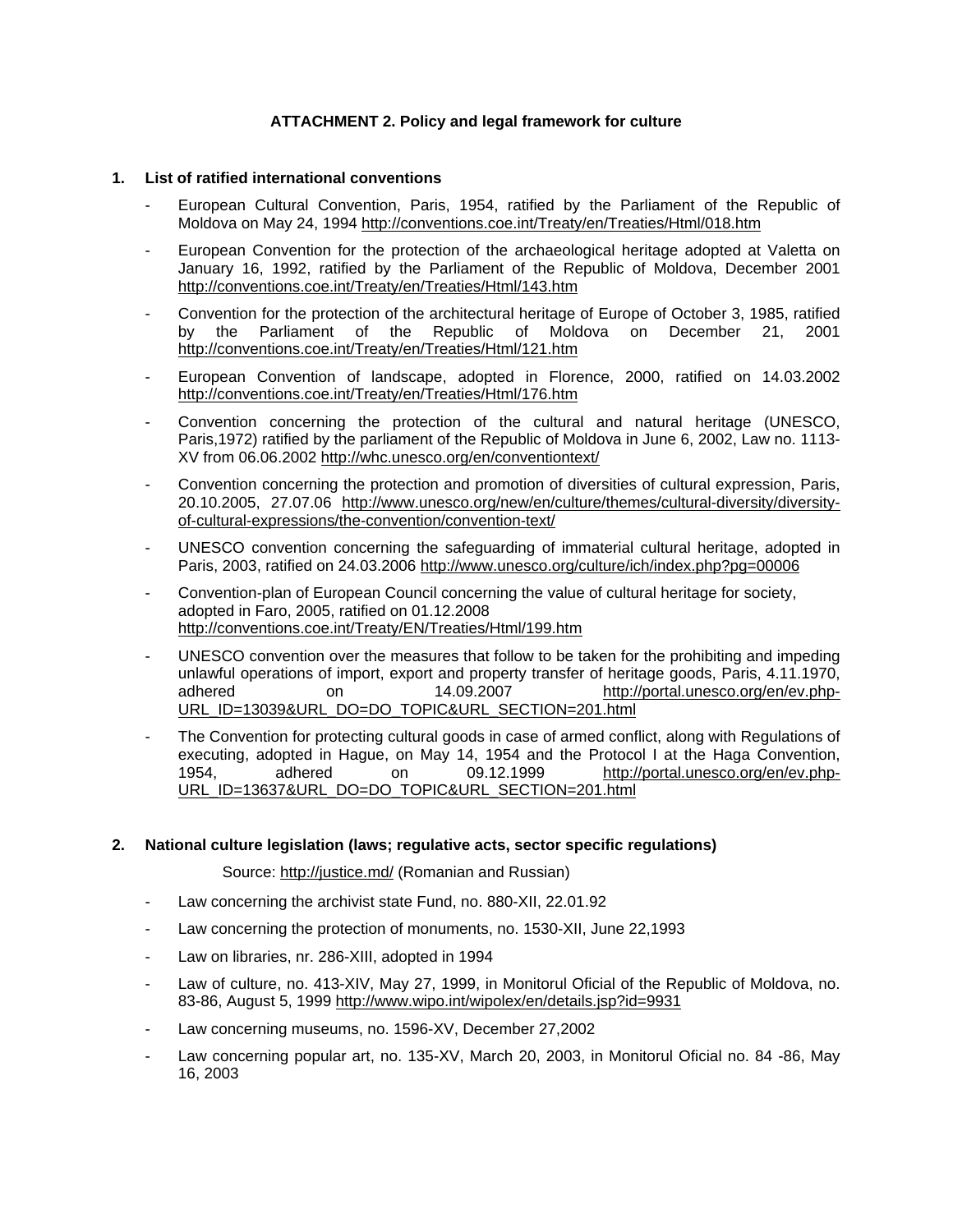### **ATTACHMENT 2. Policy and legal framework for culture**

#### **1. List of ratified international conventions**

- European Cultural Convention, Paris, 1954, ratified by the Parliament of the Republic of Moldova on May 24, 1994<http://conventions.coe.int/Treaty/en/Treaties/Html/018.htm>
- European Convention for the protection of the archaeological heritage adopted at Valetta on January 16, 1992, ratified by the Parliament of the Republic of Moldova, December 2001 <http://conventions.coe.int/Treaty/en/Treaties/Html/143.htm>
- Convention for the protection of the architectural heritage of Europe of October 3, 1985, ratified by the Parliament of the Republic of Moldova on December 21, 2001 <http://conventions.coe.int/Treaty/en/Treaties/Html/121.htm>
- European Convention of landscape, adopted in Florence, 2000, ratified on 14.03.2002 <http://conventions.coe.int/Treaty/en/Treaties/Html/176.htm>
- Convention concerning the protection of the cultural and natural heritage (UNESCO, Paris,1972) ratified by the parliament of the Republic of Moldova in June 6, 2002, Law no. 1113- XV from 06.06.2002<http://whc.unesco.org/en/conventiontext/>
- Convention concerning the protection and promotion of diversities of cultural expression, Paris, 20.10.2005, 27.07.06 [http://www.unesco.org/new/en/culture/themes/cultural-diversity/diversity](http://www.unesco.org/new/en/culture/themes/cultural-diversity/diversity-of-cultural-expressions/the-convention/convention-text/)[of-cultural-expressions/the-convention/convention-text/](http://www.unesco.org/new/en/culture/themes/cultural-diversity/diversity-of-cultural-expressions/the-convention/convention-text/)
- UNESCO convention concerning the safeguarding of immaterial cultural heritage, adopted in Paris, 2003, ratified on 24.03.2006<http://www.unesco.org/culture/ich/index.php?pg=00006>
- Convention-plan of European Council concerning the value of cultural heritage for society, adopted in Faro, 2005, ratified on 01.12.2008 <http://conventions.coe.int/Treaty/EN/Treaties/Html/199.htm>
- UNESCO convention over the measures that follow to be taken for the prohibiting and impeding unlawful operations of import, export and property transfer of heritage goods, Paris, 4.11.1970, adhered on 14.09.2007 [http://portal.unesco.org/en/ev.php-](http://portal.unesco.org/en/ev.php-URL_ID=13039&URL_DO=DO_TOPIC&URL_SECTION=201.html)[URL\\_ID=13039&URL\\_DO=DO\\_TOPIC&URL\\_SECTION=201.html](http://portal.unesco.org/en/ev.php-URL_ID=13039&URL_DO=DO_TOPIC&URL_SECTION=201.html)
- The Convention for protecting cultural goods in case of armed conflict, along with Regulations of executing, adopted in Hague, on May 14, 1954 and the Protocol I at the Haga Convention, 1954, adhered on 09.12.1999 [http://portal.unesco.org/en/ev.php-](http://portal.unesco.org/en/ev.php-URL_ID=13637&URL_DO=DO_TOPIC&URL_SECTION=201.html)[URL\\_ID=13637&URL\\_DO=DO\\_TOPIC&URL\\_SECTION=201.html](http://portal.unesco.org/en/ev.php-URL_ID=13637&URL_DO=DO_TOPIC&URL_SECTION=201.html)

#### **2. National culture legislation (laws; regulative acts, sector specific regulations)**

Source:<http://justice.md/>(Romanian and Russian)

- Law concerning the archivist state Fund, no. 880-XII, 22.01.92
- Law concerning the protection of monuments, no. 1530-XII, June 22,1993
- Law on libraries, nr. 286-XIII, adopted in 1994
- Law of culture, no. 413-XIV, May 27, 1999, in Monitorul Oficial of the Republic of Moldova, no. 83-86, August 5, 1999 <http://www.wipo.int/wipolex/en/details.jsp?id=9931>
- Law concerning museums, no. 1596-XV, December 27,2002
- Law concerning popular art, no. 135-XV, March 20, 2003, in Monitorul Oficial no. 84 -86, May 16, 2003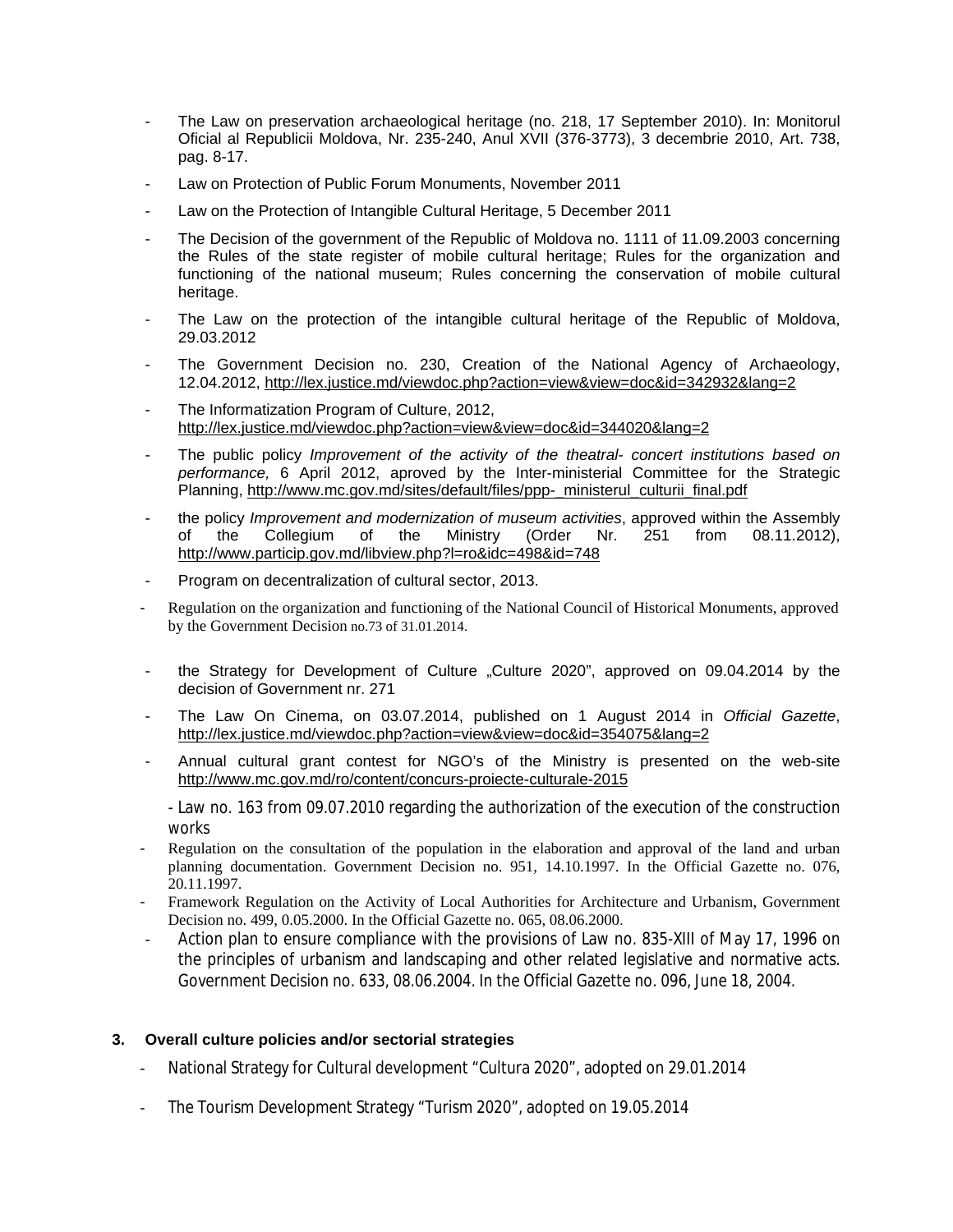- The Law on preservation archaeological heritage (no. 218, 17 September 2010). In: Monitorul Oficial al Republicii Moldova, Nr. 235-240, Anul XVII (376-3773), 3 decembrie 2010, Art. 738, pag. 8-17.
- Law on Protection of Public Forum Monuments, November 2011
- Law on the Protection of Intangible Cultural Heritage, 5 December 2011
- The Decision of the government of the Republic of Moldova no. 1111 of 11.09.2003 concerning the Rules of the state register of mobile cultural heritage; Rules for the organization and functioning of the national museum; Rules concerning the conservation of mobile cultural heritage.
- The Law on the protection of the intangible cultural heritage of the Republic of Moldova, 29.03.2012
- The Government Decision no. 230, Creation of the National Agency of Archaeology, 12.04.2012,<http://lex.justice.md/viewdoc.php?action=view&view=doc&id=342932&lang=2>
- The Informatization Program of Culture, 2012, <http://lex.justice.md/viewdoc.php?action=view&view=doc&id=344020&lang=2>
- The public policy *Improvement of the activity of the theatral- concert institutions based on performance,* 6 April 2012, aproved by the Inter-ministerial Committee for the Strategic Planning, [http://www.mc.gov.md/sites/default/files/ppp-\\_ministerul\\_culturii\\_final.pdf](http://www.mc.gov.md/sites/default/files/ppp-_ministerul_culturii_final.pdf)
- the policy *Improvement and modernization of museum activities*, approved within the Assembly of the Collegium of the Ministry (Order Nr. 251 from 08.11.2012). of the Collegium of the Ministry (Order Nr. 251 from 08.11.2012), <http://www.particip.gov.md/libview.php?l=ro&idc=498&id=748>
- Program on decentralization of cultural sector, 2013.
- Regulation on the organization and functioning of the National Council of Historical Monuments, approved by the Government Decision no.73 of 31.01.2014.
- the Strategy for Development of Culture "Culture 2020", approved on 09.04.2014 by the decision of Government nr. 271
- The Law On Cinema, on 03.07.2014, published on 1 August 2014 in *Official Gazette*, <http://lex.justice.md/viewdoc.php?action=view&view=doc&id=354075&lang=2>
- Annual cultural grant contest for NGO's of the Ministry is presented on the web-site <http://www.mc.gov.md/ro/content/concurs-proiecte-culturale-2015>

- Law no. 163 from 09.07.2010 regarding the authorization of the execution of the construction works

- Regulation on the consultation of the population in the elaboration and approval of the land and urban planning documentation. Government Decision no. 951, 14.10.1997. In the Official Gazette no. 076, 20.11.1997.
- Framework Regulation on the Activity of Local Authorities for Architecture and Urbanism, Government Decision no. 499, 0.05.2000. In the Official Gazette no. 065, 08.06.2000.
- Action plan to ensure compliance with the provisions of Law no. 835-XIII of May 17, 1996 on the principles of urbanism and landscaping and other related legislative and normative acts. Government Decision no. 633, 08.06.2004. In the Official Gazette no. 096, June 18, 2004.

## **3. Overall culture policies and/or sectorial strategies**

- National Strategy for Cultural development "Cultura 2020", adopted on 29.01.2014
- The Tourism Development Strategy "Turism 2020", adopted on 19.05.2014